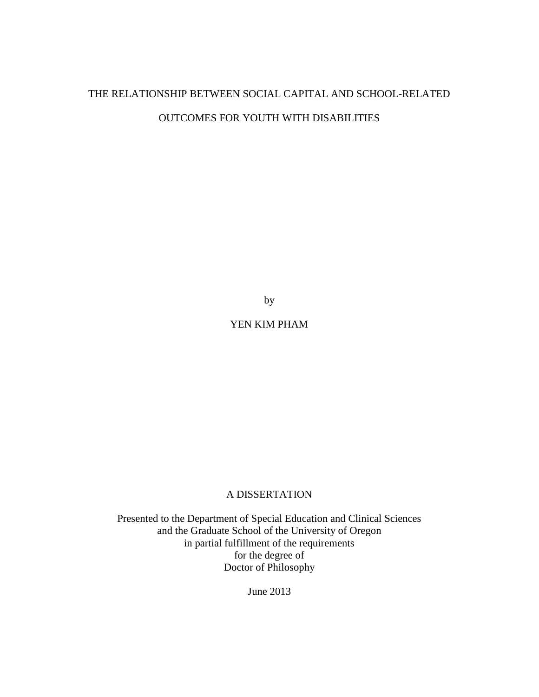# THE RELATIONSHIP BETWEEN SOCIAL CAPITAL AND SCHOOL-RELATED OUTCOMES FOR YOUTH WITH DISABILITIES

by

YEN KIM PHAM

# A DISSERTATION

Presented to the Department of Special Education and Clinical Sciences and the Graduate School of the University of Oregon in partial fulfillment of the requirements for the degree of Doctor of Philosophy

June 2013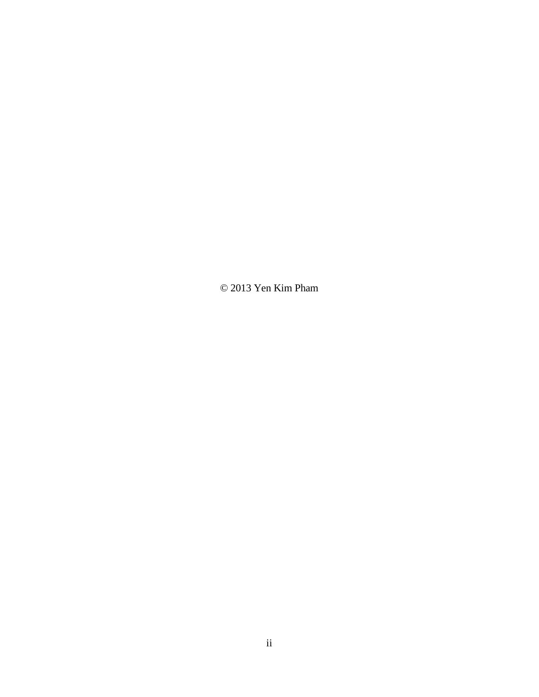© 2013 Yen Kim Pham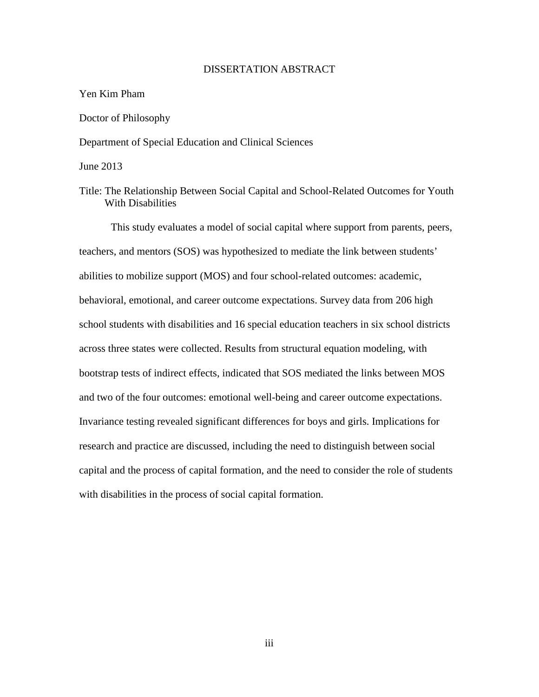### DISSERTATION ABSTRACT

#### Yen Kim Pham

#### Doctor of Philosophy

Department of Special Education and Clinical Sciences

June 2013

## Title: The Relationship Between Social Capital and School-Related Outcomes for Youth With Disabilities

This study evaluates a model of social capital where support from parents, peers, teachers, and mentors (SOS) was hypothesized to mediate the link between students' abilities to mobilize support (MOS) and four school-related outcomes: academic, behavioral, emotional, and career outcome expectations. Survey data from 206 high school students with disabilities and 16 special education teachers in six school districts across three states were collected. Results from structural equation modeling, with bootstrap tests of indirect effects, indicated that SOS mediated the links between MOS and two of the four outcomes: emotional well-being and career outcome expectations. Invariance testing revealed significant differences for boys and girls. Implications for research and practice are discussed, including the need to distinguish between social capital and the process of capital formation, and the need to consider the role of students with disabilities in the process of social capital formation.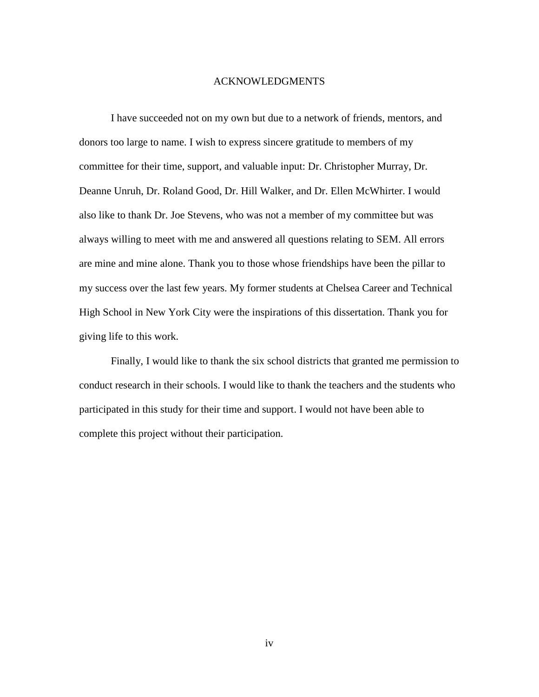#### ACKNOWLEDGMENTS

I have succeeded not on my own but due to a network of friends, mentors, and donors too large to name. I wish to express sincere gratitude to members of my committee for their time, support, and valuable input: Dr. Christopher Murray, Dr. Deanne Unruh, Dr. Roland Good, Dr. Hill Walker, and Dr. Ellen McWhirter. I would also like to thank Dr. Joe Stevens, who was not a member of my committee but was always willing to meet with me and answered all questions relating to SEM. All errors are mine and mine alone. Thank you to those whose friendships have been the pillar to my success over the last few years. My former students at Chelsea Career and Technical High School in New York City were the inspirations of this dissertation. Thank you for giving life to this work.

Finally, I would like to thank the six school districts that granted me permission to conduct research in their schools. I would like to thank the teachers and the students who participated in this study for their time and support. I would not have been able to complete this project without their participation.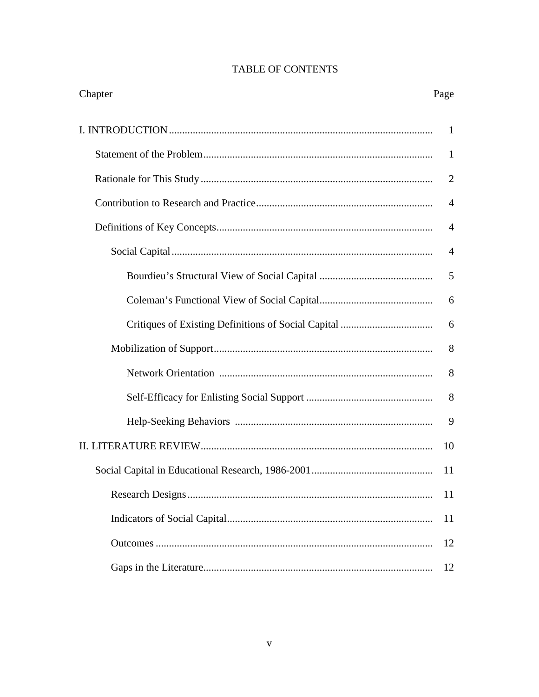# **TABLE OF CONTENTS**

| Chapter | Page           |
|---------|----------------|
|         | 1              |
|         | $\mathbf{1}$   |
|         | $\overline{2}$ |
|         | $\overline{4}$ |
|         | $\overline{A}$ |
|         | $\overline{4}$ |
|         | 5              |
|         | 6              |
|         | 6              |
|         | 8              |
|         | 8              |
|         | 8              |
|         | 9              |
|         | 10             |
|         | 11             |
|         | 11             |
|         | 11             |
|         | 12             |
|         | 12             |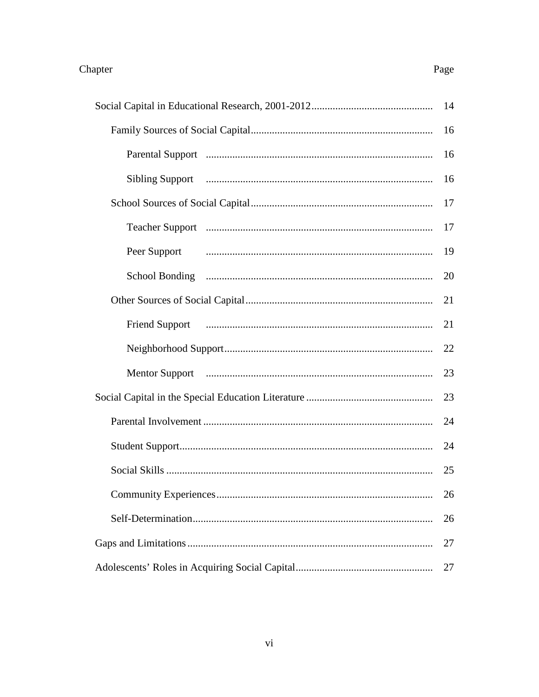## **Sibling Support** Peer Support **Friend Support**

#### Page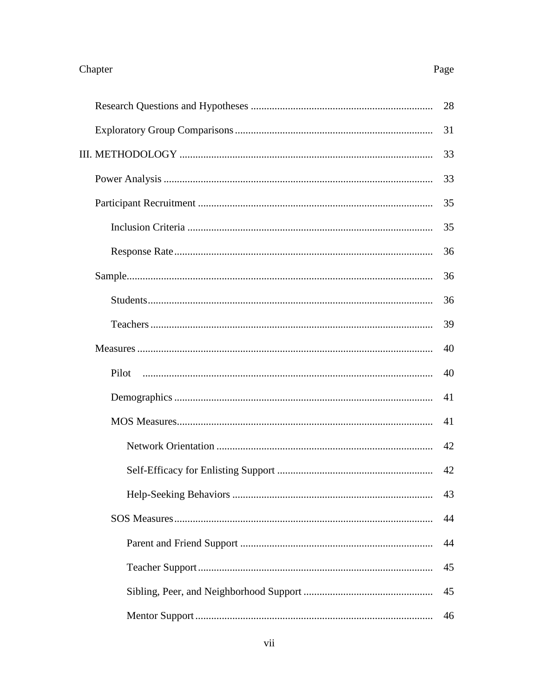# Page

|       | 31 |  |  |  |
|-------|----|--|--|--|
|       | 33 |  |  |  |
|       | 33 |  |  |  |
|       | 35 |  |  |  |
|       | 35 |  |  |  |
|       | 36 |  |  |  |
|       | 36 |  |  |  |
|       | 36 |  |  |  |
|       | 39 |  |  |  |
|       | 40 |  |  |  |
| Pilot | 40 |  |  |  |
|       | 41 |  |  |  |
|       | 41 |  |  |  |
|       | 42 |  |  |  |
|       | 42 |  |  |  |
|       | 43 |  |  |  |
|       | 44 |  |  |  |
|       | 44 |  |  |  |
|       | 45 |  |  |  |
|       | 45 |  |  |  |
|       | 46 |  |  |  |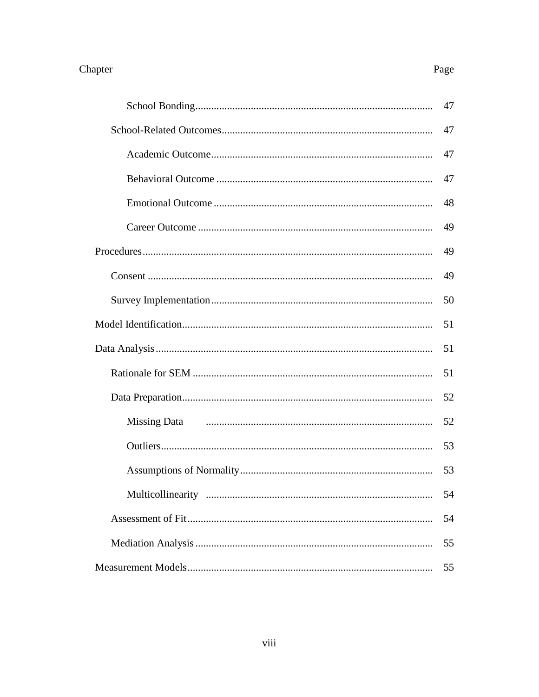# Procedures **Missing Data**

#### Page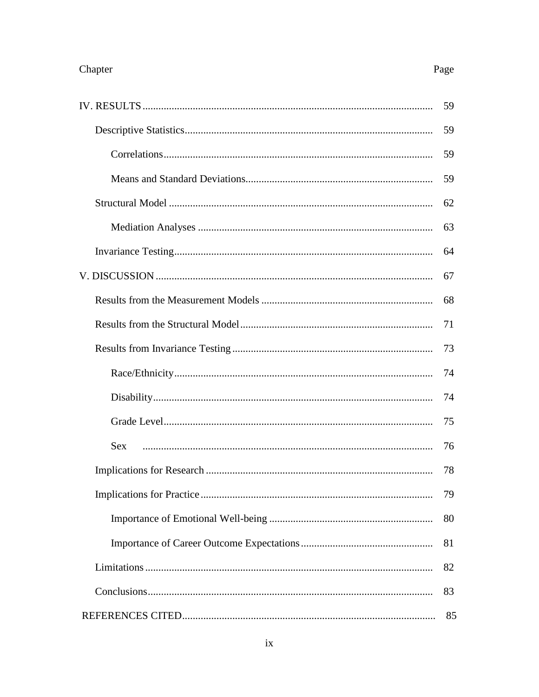# Page

|     | 59 |
|-----|----|
|     | 59 |
|     | 59 |
|     | 59 |
|     | 62 |
|     | 63 |
|     | 64 |
|     | 67 |
|     | 68 |
|     | 71 |
|     | 73 |
|     | 74 |
|     | 74 |
|     | 75 |
| Sex | 76 |
|     | 78 |
|     | 79 |
|     | 80 |
|     | 81 |
|     | 82 |
|     | 83 |
|     | 85 |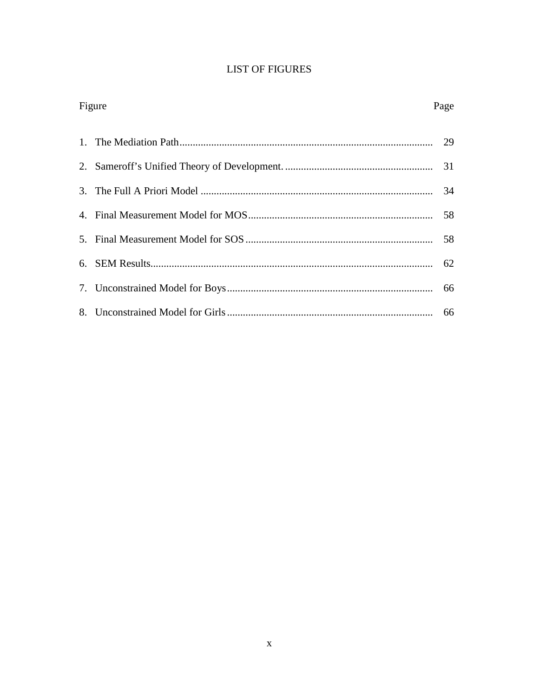# **LIST OF FIGURES**

| Figure | Page |
|--------|------|
|        |      |
|        |      |
|        |      |
|        |      |
|        |      |
|        |      |
|        |      |
|        |      |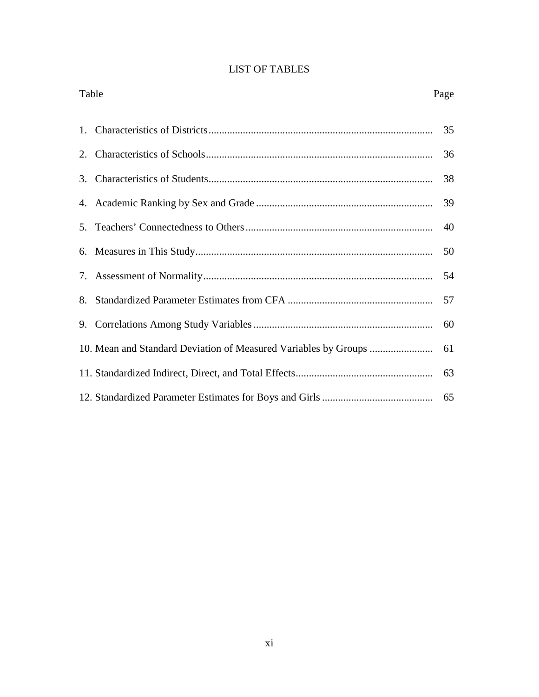|  |  | <b>LIST OF TABLES</b> |  |
|--|--|-----------------------|--|
|--|--|-----------------------|--|

| Table<br>Page |    |
|---------------|----|
|               | 35 |
|               | 36 |
|               | 38 |
|               | 39 |
|               | 40 |
|               | 50 |
|               | 54 |
|               | 57 |
|               | 60 |
|               | 61 |
|               | 63 |
|               |    |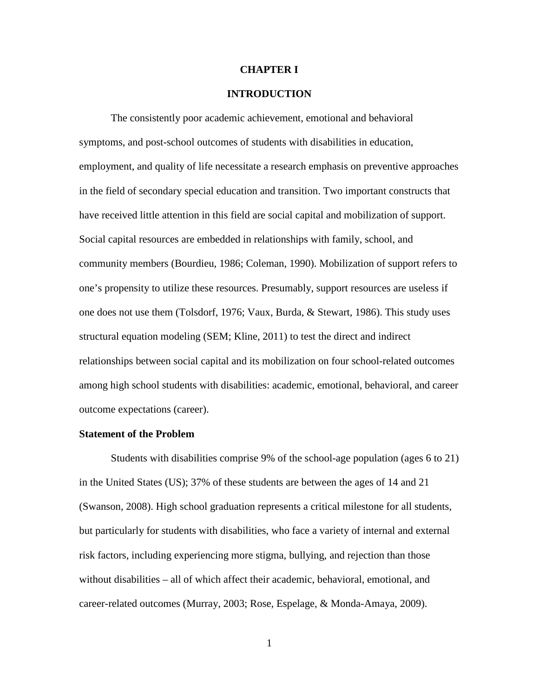#### **CHAPTER I**

### **INTRODUCTION**

 The consistently poor academic achievement, emotional and behavioral symptoms, and post-school outcomes of students with disabilities in education, employment, and quality of life necessitate a research emphasis on preventive approaches in the field of secondary special education and transition. Two important constructs that have received little attention in this field are social capital and mobilization of support. Social capital resources are embedded in relationships with family, school, and community members (Bourdieu, 1986; Coleman, 1990). Mobilization of support refers to one's propensity to utilize these resources. Presumably, support resources are useless if one does not use them (Tolsdorf, 1976; Vaux, Burda, & Stewart, 1986). This study uses structural equation modeling (SEM; Kline, 2011) to test the direct and indirect relationships between social capital and its mobilization on four school-related outcomes among high school students with disabilities: academic, emotional, behavioral, and career outcome expectations (career).

#### **Statement of the Problem**

Students with disabilities comprise 9% of the school-age population (ages 6 to 21) in the United States (US); 37% of these students are between the ages of 14 and 21 (Swanson, 2008). High school graduation represents a critical milestone for all students, but particularly for students with disabilities, who face a variety of internal and external risk factors, including experiencing more stigma, bullying, and rejection than those without disabilities – all of which affect their academic, behavioral, emotional, and career-related outcomes (Murray, 2003; Rose, Espelage, & Monda-Amaya, 2009).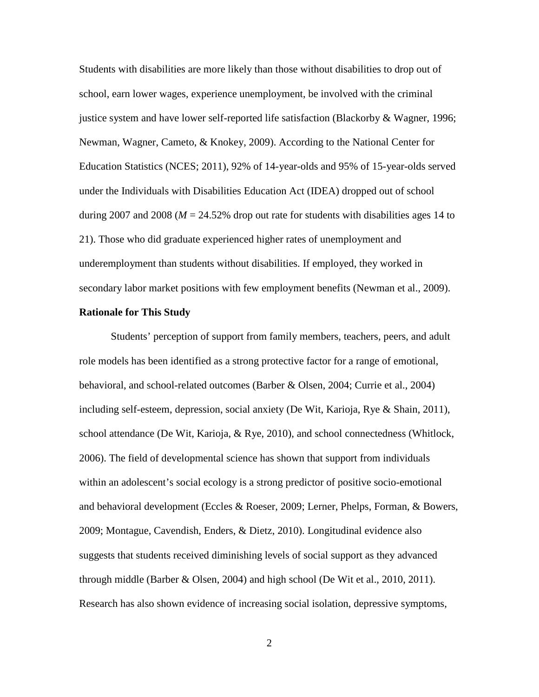Students with disabilities are more likely than those without disabilities to drop out of school, earn lower wages, experience unemployment, be involved with the criminal justice system and have lower self-reported life satisfaction (Blackorby & Wagner, 1996; Newman, Wagner, Cameto, & Knokey, 2009). According to the National Center for Education Statistics (NCES; 2011), 92% of 14-year-olds and 95% of 15-year-olds served under the Individuals with Disabilities Education Act (IDEA) dropped out of school during 2007 and 2008 ( $M = 24.52\%$  drop out rate for students with disabilities ages 14 to 21). Those who did graduate experienced higher rates of unemployment and underemployment than students without disabilities. If employed, they worked in secondary labor market positions with few employment benefits (Newman et al., 2009).

#### **Rationale for This Study**

Students' perception of support from family members, teachers, peers, and adult role models has been identified as a strong protective factor for a range of emotional, behavioral, and school-related outcomes (Barber & Olsen, 2004; Currie et al., 2004) including self-esteem, depression, social anxiety (De Wit, Karioja, Rye & Shain, 2011), school attendance (De Wit, Karioja, & Rye, 2010), and school connectedness (Whitlock, 2006). The field of developmental science has shown that support from individuals within an adolescent's social ecology is a strong predictor of positive socio-emotional and behavioral development (Eccles & Roeser, 2009; Lerner, Phelps, Forman, & Bowers, 2009; Montague, Cavendish, Enders, & Dietz, 2010). Longitudinal evidence also suggests that students received diminishing levels of social support as they advanced through middle (Barber & Olsen, 2004) and high school (De Wit et al., 2010, 2011). Research has also shown evidence of increasing social isolation, depressive symptoms,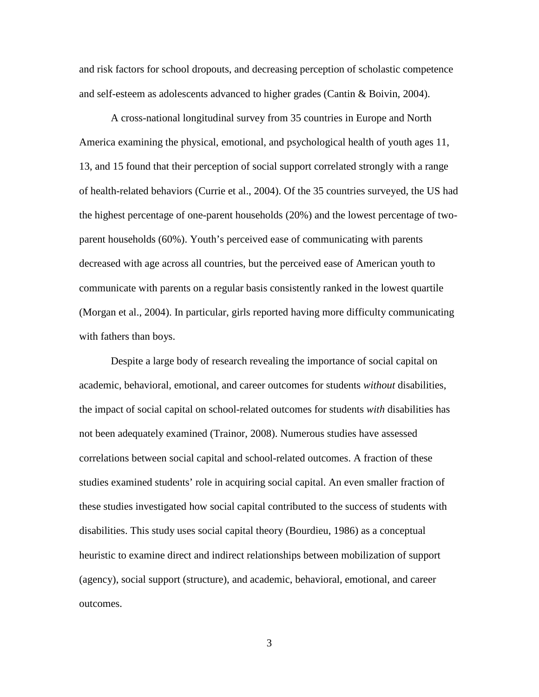and risk factors for school dropouts, and decreasing perception of scholastic competence and self-esteem as adolescents advanced to higher grades (Cantin & Boivin, 2004).

A cross-national longitudinal survey from 35 countries in Europe and North America examining the physical, emotional, and psychological health of youth ages 11, 13, and 15 found that their perception of social support correlated strongly with a range of health-related behaviors (Currie et al., 2004). Of the 35 countries surveyed, the US had the highest percentage of one-parent households (20%) and the lowest percentage of twoparent households (60%). Youth's perceived ease of communicating with parents decreased with age across all countries, but the perceived ease of American youth to communicate with parents on a regular basis consistently ranked in the lowest quartile (Morgan et al., 2004). In particular, girls reported having more difficulty communicating with fathers than boys.

Despite a large body of research revealing the importance of social capital on academic, behavioral, emotional, and career outcomes for students *without* disabilities, the impact of social capital on school-related outcomes for students *with* disabilities has not been adequately examined (Trainor, 2008). Numerous studies have assessed correlations between social capital and school-related outcomes. A fraction of these studies examined students' role in acquiring social capital. An even smaller fraction of these studies investigated how social capital contributed to the success of students with disabilities. This study uses social capital theory (Bourdieu, 1986) as a conceptual heuristic to examine direct and indirect relationships between mobilization of support (agency), social support (structure), and academic, behavioral, emotional, and career outcomes.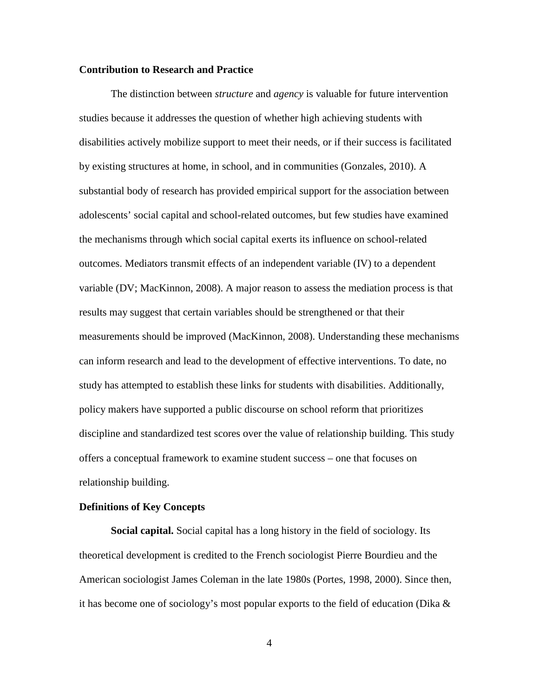## **Contribution to Research and Practice**

The distinction between *structure* and *agency* is valuable for future intervention studies because it addresses the question of whether high achieving students with disabilities actively mobilize support to meet their needs, or if their success is facilitated by existing structures at home, in school, and in communities (Gonzales, 2010). A substantial body of research has provided empirical support for the association between adolescents' social capital and school-related outcomes, but few studies have examined the mechanisms through which social capital exerts its influence on school-related outcomes. Mediators transmit effects of an independent variable (IV) to a dependent variable (DV; MacKinnon, 2008). A major reason to assess the mediation process is that results may suggest that certain variables should be strengthened or that their measurements should be improved (MacKinnon, 2008). Understanding these mechanisms can inform research and lead to the development of effective interventions. To date, no study has attempted to establish these links for students with disabilities. Additionally, policy makers have supported a public discourse on school reform that prioritizes discipline and standardized test scores over the value of relationship building. This study offers a conceptual framework to examine student success – one that focuses on relationship building.

#### **Definitions of Key Concepts**

**Social capital.** Social capital has a long history in the field of sociology. Its theoretical development is credited to the French sociologist Pierre Bourdieu and the American sociologist James Coleman in the late 1980s (Portes, 1998, 2000). Since then, it has become one of sociology's most popular exports to the field of education (Dika  $\&$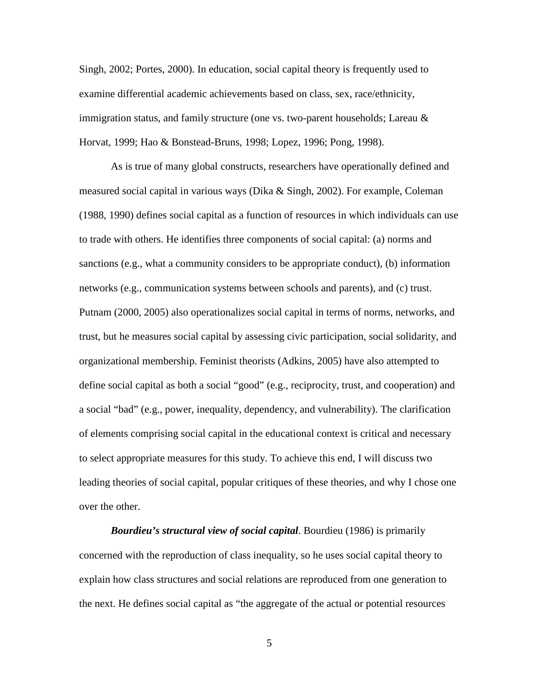Singh, 2002; Portes, 2000). In education, social capital theory is frequently used to examine differential academic achievements based on class, sex, race/ethnicity, immigration status, and family structure (one vs. two-parent households; Lareau  $\&$ Horvat, 1999; Hao & Bonstead-Bruns, 1998; Lopez, 1996; Pong, 1998).

As is true of many global constructs, researchers have operationally defined and measured social capital in various ways (Dika & Singh, 2002). For example, Coleman (1988, 1990) defines social capital as a function of resources in which individuals can use to trade with others. He identifies three components of social capital: (a) norms and sanctions (e.g., what a community considers to be appropriate conduct), (b) information networks (e.g., communication systems between schools and parents), and (c) trust. Putnam (2000, 2005) also operationalizes social capital in terms of norms, networks, and trust, but he measures social capital by assessing civic participation, social solidarity, and organizational membership. Feminist theorists (Adkins, 2005) have also attempted to define social capital as both a social "good" (e.g., reciprocity, trust, and cooperation) and a social "bad" (e.g., power, inequality, dependency, and vulnerability). The clarification of elements comprising social capital in the educational context is critical and necessary to select appropriate measures for this study. To achieve this end, I will discuss two leading theories of social capital, popular critiques of these theories, and why I chose one over the other.

*Bourdieu's structural view of social capital*. Bourdieu (1986) is primarily concerned with the reproduction of class inequality, so he uses social capital theory to explain how class structures and social relations are reproduced from one generation to the next. He defines social capital as "the aggregate of the actual or potential resources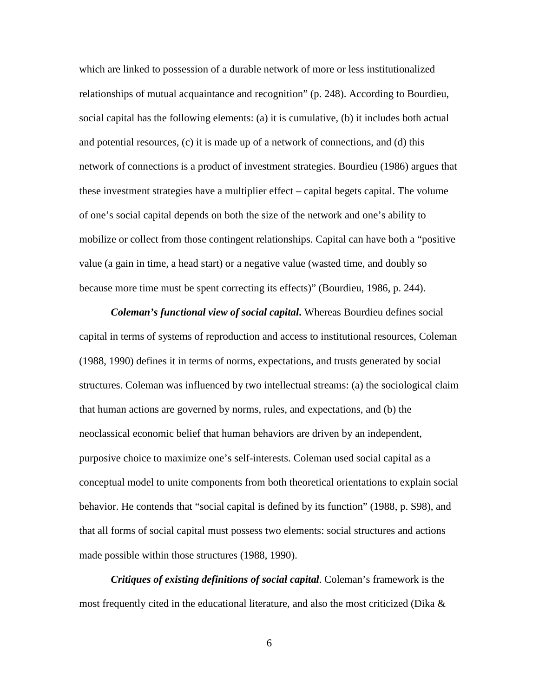which are linked to possession of a durable network of more or less institutionalized relationships of mutual acquaintance and recognition" (p. 248). According to Bourdieu, social capital has the following elements: (a) it is cumulative, (b) it includes both actual and potential resources, (c) it is made up of a network of connections, and (d) this network of connections is a product of investment strategies. Bourdieu (1986) argues that these investment strategies have a multiplier effect – capital begets capital. The volume of one's social capital depends on both the size of the network and one's ability to mobilize or collect from those contingent relationships. Capital can have both a "positive value (a gain in time, a head start) or a negative value (wasted time, and doubly so because more time must be spent correcting its effects)" (Bourdieu, 1986, p. 244).

*Coleman's functional view of social capital***.** Whereas Bourdieu defines social capital in terms of systems of reproduction and access to institutional resources, Coleman (1988, 1990) defines it in terms of norms, expectations, and trusts generated by social structures. Coleman was influenced by two intellectual streams: (a) the sociological claim that human actions are governed by norms, rules, and expectations, and (b) the neoclassical economic belief that human behaviors are driven by an independent, purposive choice to maximize one's self-interests. Coleman used social capital as a conceptual model to unite components from both theoretical orientations to explain social behavior. He contends that "social capital is defined by its function" (1988, p. S98), and that all forms of social capital must possess two elements: social structures and actions made possible within those structures (1988, 1990).

*Critiques of existing definitions of social capital*. Coleman's framework is the most frequently cited in the educational literature, and also the most criticized (Dika  $\&$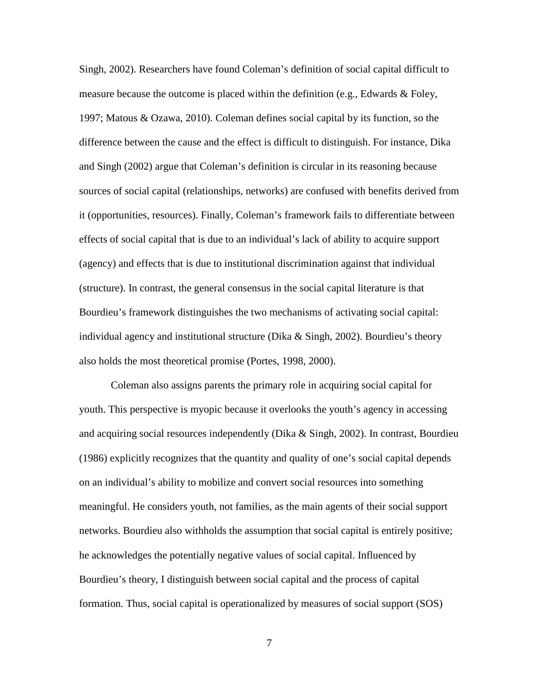Singh, 2002). Researchers have found Coleman's definition of social capital difficult to measure because the outcome is placed within the definition (e.g., Edwards & Foley, 1997; Matous & Ozawa, 2010). Coleman defines social capital by its function, so the difference between the cause and the effect is difficult to distinguish. For instance, Dika and Singh (2002) argue that Coleman's definition is circular in its reasoning because sources of social capital (relationships, networks) are confused with benefits derived from it (opportunities, resources). Finally, Coleman's framework fails to differentiate between effects of social capital that is due to an individual's lack of ability to acquire support (agency) and effects that is due to institutional discrimination against that individual (structure). In contrast, the general consensus in the social capital literature is that Bourdieu's framework distinguishes the two mechanisms of activating social capital: individual agency and institutional structure (Dika  $&$  Singh, 2002). Bourdieu's theory also holds the most theoretical promise (Portes, 1998, 2000).

Coleman also assigns parents the primary role in acquiring social capital for youth. This perspective is myopic because it overlooks the youth's agency in accessing and acquiring social resources independently (Dika & Singh, 2002). In contrast, Bourdieu (1986) explicitly recognizes that the quantity and quality of one's social capital depends on an individual's ability to mobilize and convert social resources into something meaningful. He considers youth, not families, as the main agents of their social support networks. Bourdieu also withholds the assumption that social capital is entirely positive; he acknowledges the potentially negative values of social capital. Influenced by Bourdieu's theory, I distinguish between social capital and the process of capital formation. Thus, social capital is operationalized by measures of social support (SOS)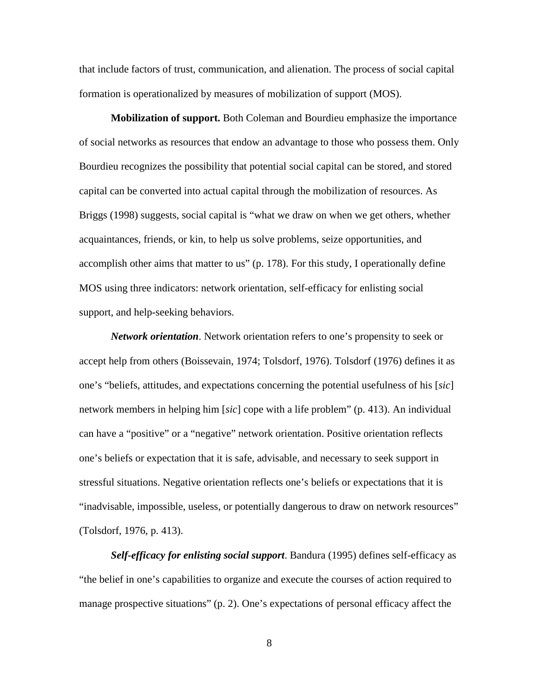that include factors of trust, communication, and alienation. The process of social capital formation is operationalized by measures of mobilization of support (MOS).

**Mobilization of support.** Both Coleman and Bourdieu emphasize the importance of social networks as resources that endow an advantage to those who possess them. Only Bourdieu recognizes the possibility that potential social capital can be stored, and stored capital can be converted into actual capital through the mobilization of resources. As Briggs (1998) suggests, social capital is "what we draw on when we get others, whether acquaintances, friends, or kin, to help us solve problems, seize opportunities, and accomplish other aims that matter to us" (p. 178). For this study, I operationally define MOS using three indicators: network orientation, self-efficacy for enlisting social support, and help-seeking behaviors.

*Network orientation*. Network orientation refers to one's propensity to seek or accept help from others (Boissevain, 1974; Tolsdorf, 1976). Tolsdorf (1976) defines it as one's "beliefs, attitudes, and expectations concerning the potential usefulness of his [*sic*] network members in helping him [*sic*] cope with a life problem" (p. 413). An individual can have a "positive" or a "negative" network orientation. Positive orientation reflects one's beliefs or expectation that it is safe, advisable, and necessary to seek support in stressful situations. Negative orientation reflects one's beliefs or expectations that it is "inadvisable, impossible, useless, or potentially dangerous to draw on network resources" (Tolsdorf, 1976, p. 413).

*Self-efficacy for enlisting social support*. Bandura (1995) defines self-efficacy as "the belief in one's capabilities to organize and execute the courses of action required to manage prospective situations" (p. 2). One's expectations of personal efficacy affect the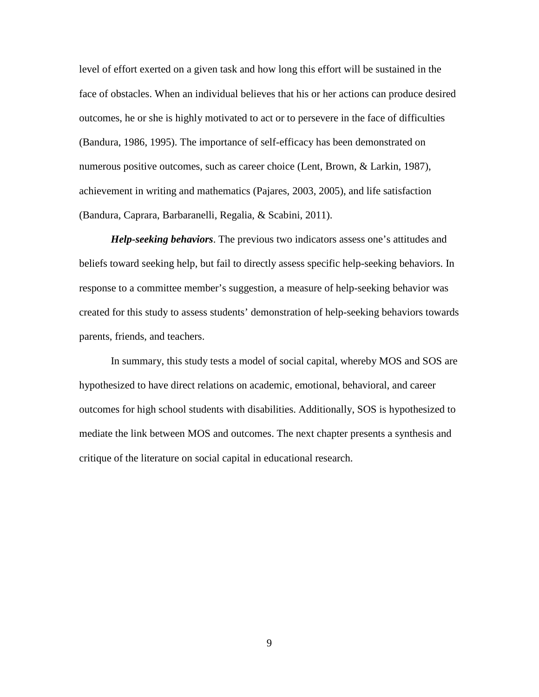level of effort exerted on a given task and how long this effort will be sustained in the face of obstacles. When an individual believes that his or her actions can produce desired outcomes, he or she is highly motivated to act or to persevere in the face of difficulties (Bandura, 1986, 1995). The importance of self-efficacy has been demonstrated on numerous positive outcomes, such as career choice (Lent, Brown, & Larkin, 1987), achievement in writing and mathematics (Pajares, 2003, 2005), and life satisfaction (Bandura, Caprara, Barbaranelli, Regalia, & Scabini, 2011).

*Help-seeking behaviors*. The previous two indicators assess one's attitudes and beliefs toward seeking help, but fail to directly assess specific help-seeking behaviors. In response to a committee member's suggestion, a measure of help-seeking behavior was created for this study to assess students' demonstration of help-seeking behaviors towards parents, friends, and teachers.

In summary, this study tests a model of social capital, whereby MOS and SOS are hypothesized to have direct relations on academic, emotional, behavioral, and career outcomes for high school students with disabilities. Additionally, SOS is hypothesized to mediate the link between MOS and outcomes. The next chapter presents a synthesis and critique of the literature on social capital in educational research.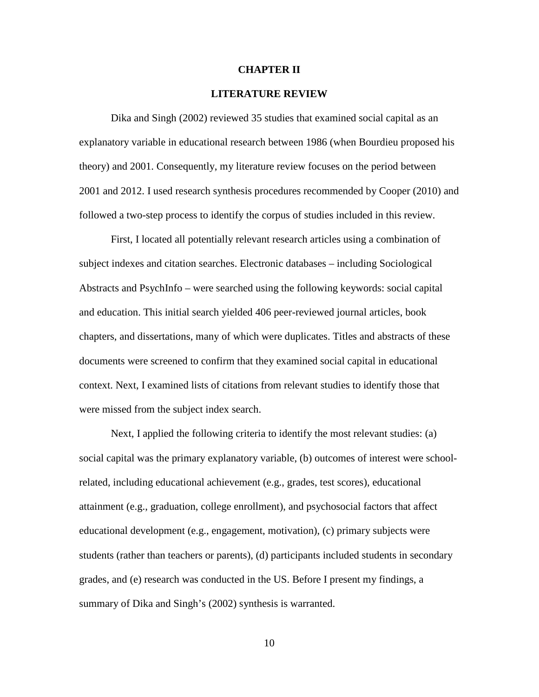#### **CHAPTER II**

## **LITERATURE REVIEW**

Dika and Singh (2002) reviewed 35 studies that examined social capital as an explanatory variable in educational research between 1986 (when Bourdieu proposed his theory) and 2001. Consequently, my literature review focuses on the period between 2001 and 2012. I used research synthesis procedures recommended by Cooper (2010) and followed a two-step process to identify the corpus of studies included in this review.

First, I located all potentially relevant research articles using a combination of subject indexes and citation searches. Electronic databases – including Sociological Abstracts and PsychInfo – were searched using the following keywords: social capital and education. This initial search yielded 406 peer-reviewed journal articles, book chapters, and dissertations, many of which were duplicates. Titles and abstracts of these documents were screened to confirm that they examined social capital in educational context. Next, I examined lists of citations from relevant studies to identify those that were missed from the subject index search.

Next, I applied the following criteria to identify the most relevant studies: (a) social capital was the primary explanatory variable, (b) outcomes of interest were schoolrelated, including educational achievement (e.g., grades, test scores), educational attainment (e.g., graduation, college enrollment), and psychosocial factors that affect educational development (e.g., engagement, motivation), (c) primary subjects were students (rather than teachers or parents), (d) participants included students in secondary grades, and (e) research was conducted in the US. Before I present my findings, a summary of Dika and Singh's (2002) synthesis is warranted.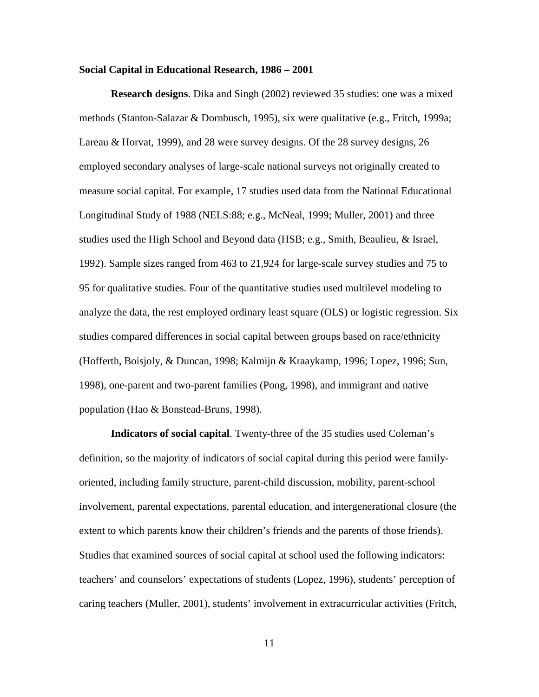#### **Social Capital in Educational Research, 1986 – 2001**

**Research designs**. Dika and Singh (2002) reviewed 35 studies: one was a mixed methods (Stanton-Salazar & Dornbusch, 1995), six were qualitative (e.g., Fritch, 1999a; Lareau & Horvat, 1999), and 28 were survey designs. Of the 28 survey designs, 26 employed secondary analyses of large-scale national surveys not originally created to measure social capital. For example, 17 studies used data from the National Educational Longitudinal Study of 1988 (NELS:88; e.g., McNeal, 1999; Muller, 2001) and three studies used the High School and Beyond data (HSB; e.g., Smith, Beaulieu, & Israel, 1992). Sample sizes ranged from 463 to 21,924 for large-scale survey studies and 75 to 95 for qualitative studies. Four of the quantitative studies used multilevel modeling to analyze the data, the rest employed ordinary least square (OLS) or logistic regression. Six studies compared differences in social capital between groups based on race/ethnicity (Hofferth, Boisjoly, & Duncan, 1998; Kalmijn & Kraaykamp, 1996; Lopez, 1996; Sun, 1998), one-parent and two-parent families (Pong, 1998), and immigrant and native population (Hao & Bonstead-Bruns, 1998).

**Indicators of social capital**. Twenty-three of the 35 studies used Coleman's definition, so the majority of indicators of social capital during this period were familyoriented, including family structure, parent-child discussion, mobility, parent-school involvement, parental expectations, parental education, and intergenerational closure (the extent to which parents know their children's friends and the parents of those friends). Studies that examined sources of social capital at school used the following indicators: teachers' and counselors' expectations of students (Lopez, 1996), students' perception of caring teachers (Muller, 2001), students' involvement in extracurricular activities (Fritch,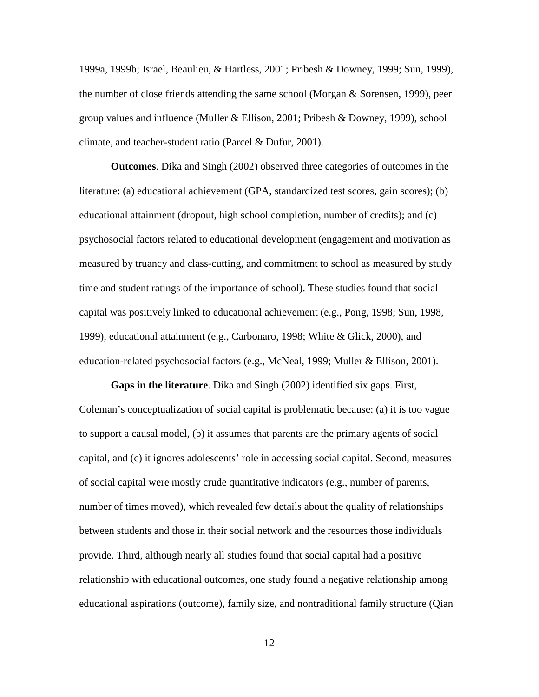1999a, 1999b; Israel, Beaulieu, & Hartless, 2001; Pribesh & Downey, 1999; Sun, 1999), the number of close friends attending the same school (Morgan & Sorensen, 1999), peer group values and influence (Muller & Ellison, 2001; Pribesh & Downey, 1999), school climate, and teacher-student ratio (Parcel & Dufur, 2001).

**Outcomes**. Dika and Singh (2002) observed three categories of outcomes in the literature: (a) educational achievement (GPA, standardized test scores, gain scores); (b) educational attainment (dropout, high school completion, number of credits); and (c) psychosocial factors related to educational development (engagement and motivation as measured by truancy and class-cutting, and commitment to school as measured by study time and student ratings of the importance of school). These studies found that social capital was positively linked to educational achievement (e.g., Pong, 1998; Sun, 1998, 1999), educational attainment (e.g., Carbonaro, 1998; White & Glick, 2000), and education-related psychosocial factors (e.g., McNeal, 1999; Muller & Ellison, 2001).

**Gaps in the literature**. Dika and Singh (2002) identified six gaps. First, Coleman's conceptualization of social capital is problematic because: (a) it is too vague to support a causal model, (b) it assumes that parents are the primary agents of social capital, and (c) it ignores adolescents' role in accessing social capital. Second, measures of social capital were mostly crude quantitative indicators (e.g., number of parents, number of times moved), which revealed few details about the quality of relationships between students and those in their social network and the resources those individuals provide. Third, although nearly all studies found that social capital had a positive relationship with educational outcomes, one study found a negative relationship among educational aspirations (outcome), family size, and nontraditional family structure (Qian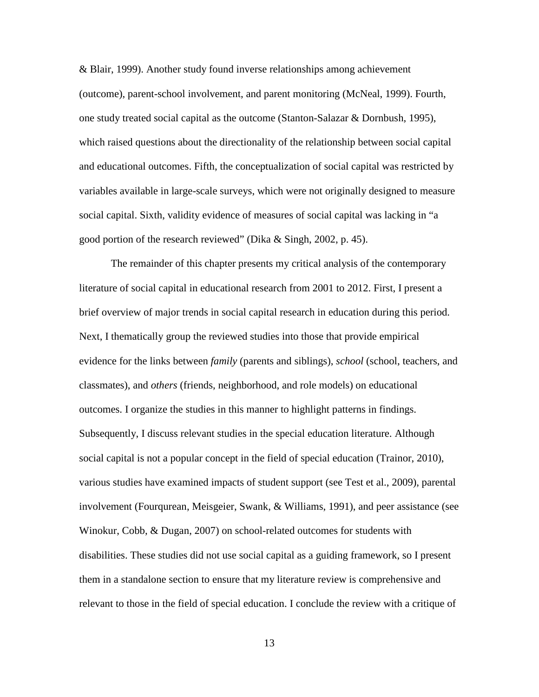& Blair, 1999). Another study found inverse relationships among achievement (outcome), parent-school involvement, and parent monitoring (McNeal, 1999). Fourth, one study treated social capital as the outcome (Stanton-Salazar & Dornbush, 1995), which raised questions about the directionality of the relationship between social capital and educational outcomes. Fifth, the conceptualization of social capital was restricted by variables available in large-scale surveys, which were not originally designed to measure social capital. Sixth, validity evidence of measures of social capital was lacking in "a good portion of the research reviewed" (Dika & Singh, 2002, p. 45).

The remainder of this chapter presents my critical analysis of the contemporary literature of social capital in educational research from 2001 to 2012. First, I present a brief overview of major trends in social capital research in education during this period. Next, I thematically group the reviewed studies into those that provide empirical evidence for the links between *family* (parents and siblings), *school* (school, teachers, and classmates), and *others* (friends, neighborhood, and role models) on educational outcomes. I organize the studies in this manner to highlight patterns in findings. Subsequently, I discuss relevant studies in the special education literature. Although social capital is not a popular concept in the field of special education (Trainor, 2010), various studies have examined impacts of student support (see Test et al., 2009), parental involvement (Fourqurean, Meisgeier, Swank, & Williams, 1991), and peer assistance (see Winokur, Cobb, & Dugan, 2007) on school-related outcomes for students with disabilities. These studies did not use social capital as a guiding framework, so I present them in a standalone section to ensure that my literature review is comprehensive and relevant to those in the field of special education. I conclude the review with a critique of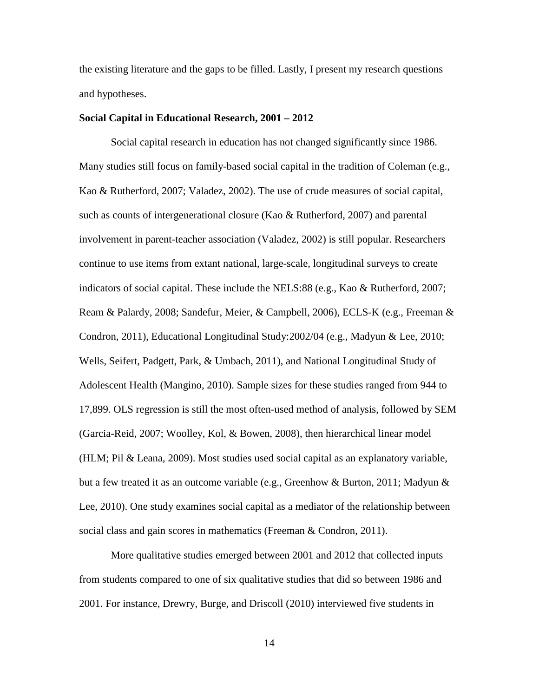the existing literature and the gaps to be filled. Lastly, I present my research questions and hypotheses.

#### **Social Capital in Educational Research, 2001 – 2012**

Social capital research in education has not changed significantly since 1986. Many studies still focus on family-based social capital in the tradition of Coleman (e.g., Kao & Rutherford, 2007; Valadez, 2002). The use of crude measures of social capital, such as counts of intergenerational closure (Kao & Rutherford, 2007) and parental involvement in parent-teacher association (Valadez, 2002) is still popular. Researchers continue to use items from extant national, large-scale, longitudinal surveys to create indicators of social capital. These include the NELS:88 (e.g., Kao & Rutherford, 2007; Ream & Palardy, 2008; Sandefur, Meier, & Campbell, 2006), ECLS-K (e.g., Freeman & Condron, 2011), Educational Longitudinal Study:2002/04 (e.g., Madyun & Lee, 2010; Wells, Seifert, Padgett, Park, & Umbach, 2011), and National Longitudinal Study of Adolescent Health (Mangino, 2010). Sample sizes for these studies ranged from 944 to 17,899. OLS regression is still the most often-used method of analysis, followed by SEM (Garcia-Reid, 2007; Woolley, Kol, & Bowen, 2008), then hierarchical linear model (HLM; Pil & Leana, 2009). Most studies used social capital as an explanatory variable, but a few treated it as an outcome variable (e.g., Greenhow & Burton, 2011; Madyun & Lee, 2010). One study examines social capital as a mediator of the relationship between social class and gain scores in mathematics (Freeman & Condron, 2011).

More qualitative studies emerged between 2001 and 2012 that collected inputs from students compared to one of six qualitative studies that did so between 1986 and 2001. For instance, Drewry, Burge, and Driscoll (2010) interviewed five students in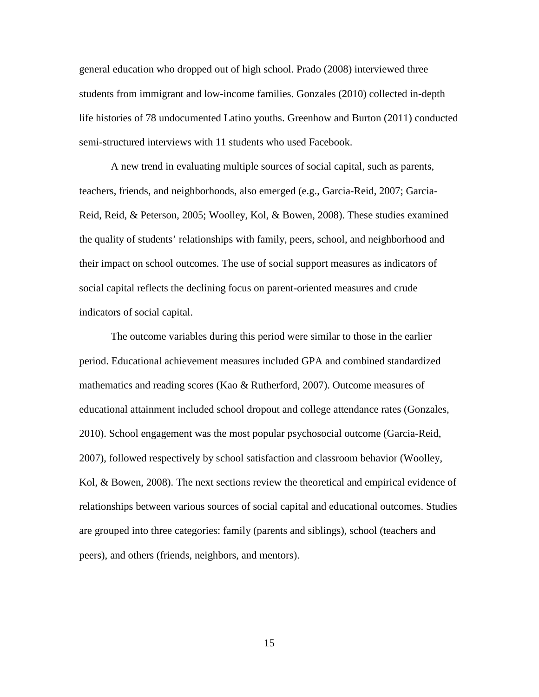general education who dropped out of high school. Prado (2008) interviewed three students from immigrant and low-income families. Gonzales (2010) collected in-depth life histories of 78 undocumented Latino youths. Greenhow and Burton (2011) conducted semi-structured interviews with 11 students who used Facebook.

A new trend in evaluating multiple sources of social capital, such as parents, teachers, friends, and neighborhoods, also emerged (e.g., Garcia-Reid, 2007; Garcia-Reid, Reid, & Peterson, 2005; Woolley, Kol, & Bowen, 2008). These studies examined the quality of students' relationships with family, peers, school, and neighborhood and their impact on school outcomes. The use of social support measures as indicators of social capital reflects the declining focus on parent-oriented measures and crude indicators of social capital.

The outcome variables during this period were similar to those in the earlier period. Educational achievement measures included GPA and combined standardized mathematics and reading scores (Kao & Rutherford, 2007). Outcome measures of educational attainment included school dropout and college attendance rates (Gonzales, 2010). School engagement was the most popular psychosocial outcome (Garcia-Reid, 2007), followed respectively by school satisfaction and classroom behavior (Woolley, Kol, & Bowen, 2008). The next sections review the theoretical and empirical evidence of relationships between various sources of social capital and educational outcomes. Studies are grouped into three categories: family (parents and siblings), school (teachers and peers), and others (friends, neighbors, and mentors).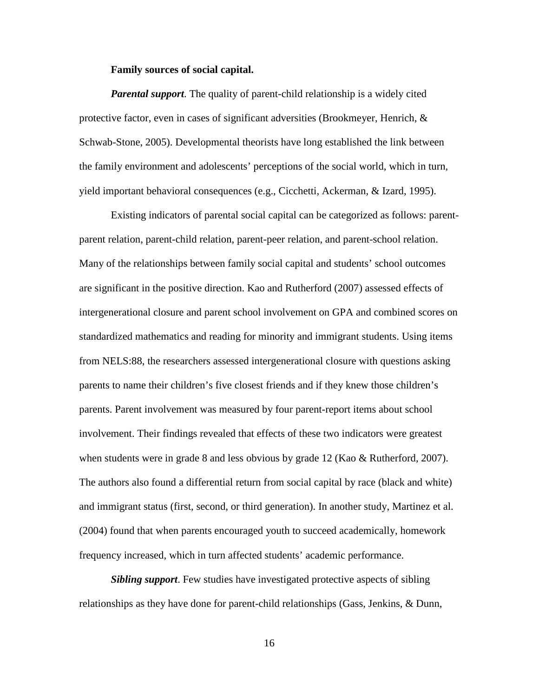#### **Family sources of social capital.**

*Parental support*. The quality of parent-child relationship is a widely cited protective factor, even in cases of significant adversities (Brookmeyer, Henrich, & Schwab-Stone, 2005). Developmental theorists have long established the link between the family environment and adolescents' perceptions of the social world, which in turn, yield important behavioral consequences (e.g., Cicchetti, Ackerman, & Izard, 1995).

Existing indicators of parental social capital can be categorized as follows: parentparent relation, parent-child relation, parent-peer relation, and parent-school relation. Many of the relationships between family social capital and students' school outcomes are significant in the positive direction. Kao and Rutherford (2007) assessed effects of intergenerational closure and parent school involvement on GPA and combined scores on standardized mathematics and reading for minority and immigrant students. Using items from NELS:88, the researchers assessed intergenerational closure with questions asking parents to name their children's five closest friends and if they knew those children's parents. Parent involvement was measured by four parent-report items about school involvement. Their findings revealed that effects of these two indicators were greatest when students were in grade 8 and less obvious by grade 12 (Kao & Rutherford, 2007). The authors also found a differential return from social capital by race (black and white) and immigrant status (first, second, or third generation). In another study, Martinez et al. (2004) found that when parents encouraged youth to succeed academically, homework frequency increased, which in turn affected students' academic performance.

*Sibling support*. Few studies have investigated protective aspects of sibling relationships as they have done for parent-child relationships (Gass, Jenkins, & Dunn,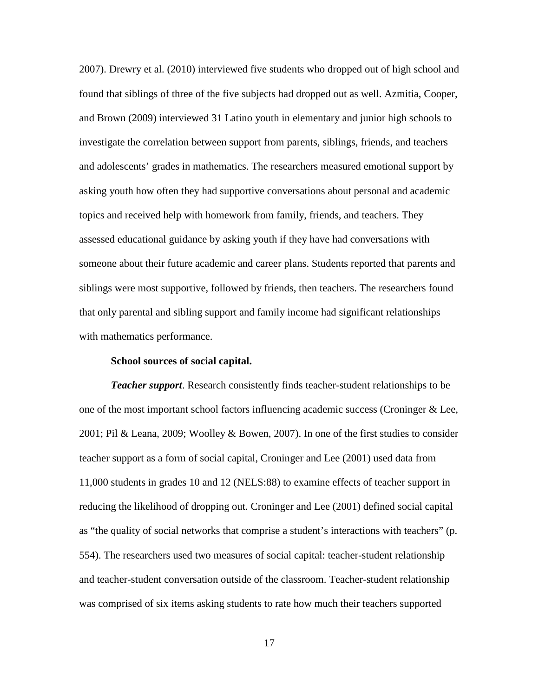2007). Drewry et al. (2010) interviewed five students who dropped out of high school and found that siblings of three of the five subjects had dropped out as well. Azmitia, Cooper, and Brown (2009) interviewed 31 Latino youth in elementary and junior high schools to investigate the correlation between support from parents, siblings, friends, and teachers and adolescents' grades in mathematics. The researchers measured emotional support by asking youth how often they had supportive conversations about personal and academic topics and received help with homework from family, friends, and teachers. They assessed educational guidance by asking youth if they have had conversations with someone about their future academic and career plans. Students reported that parents and siblings were most supportive, followed by friends, then teachers. The researchers found that only parental and sibling support and family income had significant relationships with mathematics performance.

#### **School sources of social capital.**

*Teacher support*. Research consistently finds teacher-student relationships to be one of the most important school factors influencing academic success (Croninger & Lee, 2001; Pil & Leana, 2009; Woolley & Bowen, 2007). In one of the first studies to consider teacher support as a form of social capital, Croninger and Lee (2001) used data from 11,000 students in grades 10 and 12 (NELS:88) to examine effects of teacher support in reducing the likelihood of dropping out. Croninger and Lee (2001) defined social capital as "the quality of social networks that comprise a student's interactions with teachers" (p. 554). The researchers used two measures of social capital: teacher-student relationship and teacher-student conversation outside of the classroom. Teacher-student relationship was comprised of six items asking students to rate how much their teachers supported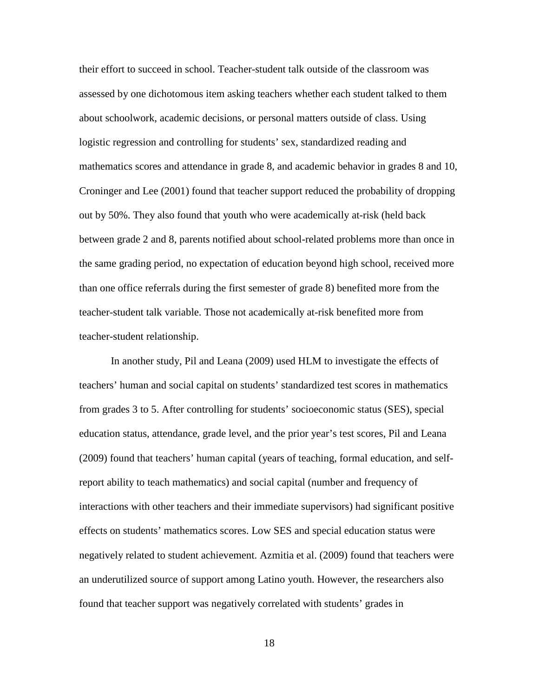their effort to succeed in school. Teacher-student talk outside of the classroom was assessed by one dichotomous item asking teachers whether each student talked to them about schoolwork, academic decisions, or personal matters outside of class. Using logistic regression and controlling for students' sex, standardized reading and mathematics scores and attendance in grade 8, and academic behavior in grades 8 and 10, Croninger and Lee (2001) found that teacher support reduced the probability of dropping out by 50%. They also found that youth who were academically at-risk (held back between grade 2 and 8, parents notified about school-related problems more than once in the same grading period, no expectation of education beyond high school, received more than one office referrals during the first semester of grade 8) benefited more from the teacher-student talk variable. Those not academically at-risk benefited more from teacher-student relationship.

In another study, Pil and Leana (2009) used HLM to investigate the effects of teachers' human and social capital on students' standardized test scores in mathematics from grades 3 to 5. After controlling for students' socioeconomic status (SES), special education status, attendance, grade level, and the prior year's test scores, Pil and Leana (2009) found that teachers' human capital (years of teaching, formal education, and selfreport ability to teach mathematics) and social capital (number and frequency of interactions with other teachers and their immediate supervisors) had significant positive effects on students' mathematics scores. Low SES and special education status were negatively related to student achievement. Azmitia et al. (2009) found that teachers were an underutilized source of support among Latino youth. However, the researchers also found that teacher support was negatively correlated with students' grades in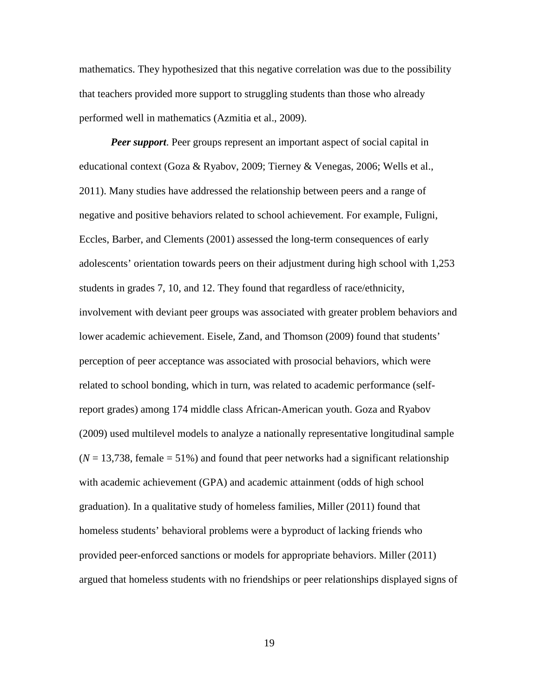mathematics. They hypothesized that this negative correlation was due to the possibility that teachers provided more support to struggling students than those who already performed well in mathematics (Azmitia et al., 2009).

*Peer support*. Peer groups represent an important aspect of social capital in educational context (Goza & Ryabov, 2009; Tierney & Venegas, 2006; Wells et al., 2011). Many studies have addressed the relationship between peers and a range of negative and positive behaviors related to school achievement. For example, Fuligni, Eccles, Barber, and Clements (2001) assessed the long-term consequences of early adolescents' orientation towards peers on their adjustment during high school with 1,253 students in grades 7, 10, and 12. They found that regardless of race/ethnicity, involvement with deviant peer groups was associated with greater problem behaviors and lower academic achievement. Eisele, Zand, and Thomson (2009) found that students' perception of peer acceptance was associated with prosocial behaviors, which were related to school bonding, which in turn, was related to academic performance (selfreport grades) among 174 middle class African-American youth. Goza and Ryabov (2009) used multilevel models to analyze a nationally representative longitudinal sample  $(N = 13,738,$  female  $= 51\%$ ) and found that peer networks had a significant relationship with academic achievement (GPA) and academic attainment (odds of high school graduation). In a qualitative study of homeless families, Miller (2011) found that homeless students' behavioral problems were a byproduct of lacking friends who provided peer-enforced sanctions or models for appropriate behaviors. Miller (2011) argued that homeless students with no friendships or peer relationships displayed signs of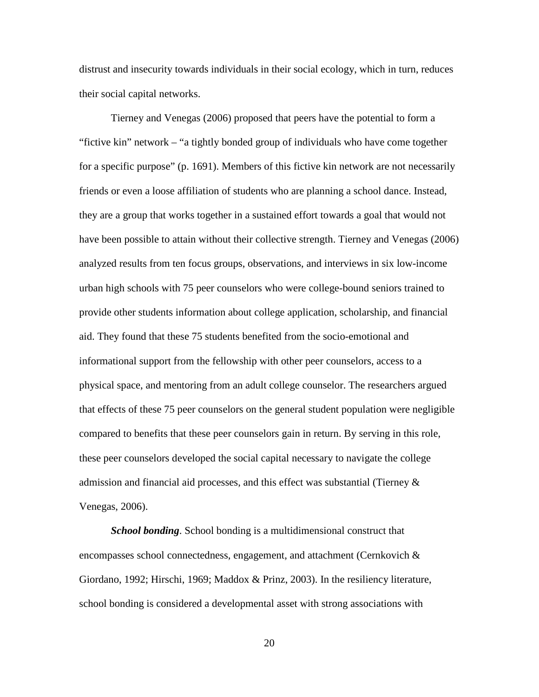distrust and insecurity towards individuals in their social ecology, which in turn, reduces their social capital networks.

Tierney and Venegas (2006) proposed that peers have the potential to form a "fictive kin" network – "a tightly bonded group of individuals who have come together for a specific purpose" (p. 1691). Members of this fictive kin network are not necessarily friends or even a loose affiliation of students who are planning a school dance. Instead, they are a group that works together in a sustained effort towards a goal that would not have been possible to attain without their collective strength. Tierney and Venegas (2006) analyzed results from ten focus groups, observations, and interviews in six low-income urban high schools with 75 peer counselors who were college-bound seniors trained to provide other students information about college application, scholarship, and financial aid. They found that these 75 students benefited from the socio-emotional and informational support from the fellowship with other peer counselors, access to a physical space, and mentoring from an adult college counselor. The researchers argued that effects of these 75 peer counselors on the general student population were negligible compared to benefits that these peer counselors gain in return. By serving in this role, these peer counselors developed the social capital necessary to navigate the college admission and financial aid processes, and this effect was substantial (Tierney  $\&$ Venegas, 2006).

*School bonding*. School bonding is a multidimensional construct that encompasses school connectedness, engagement, and attachment (Cernkovich  $\&$ Giordano, 1992; Hirschi, 1969; Maddox & Prinz, 2003). In the resiliency literature, school bonding is considered a developmental asset with strong associations with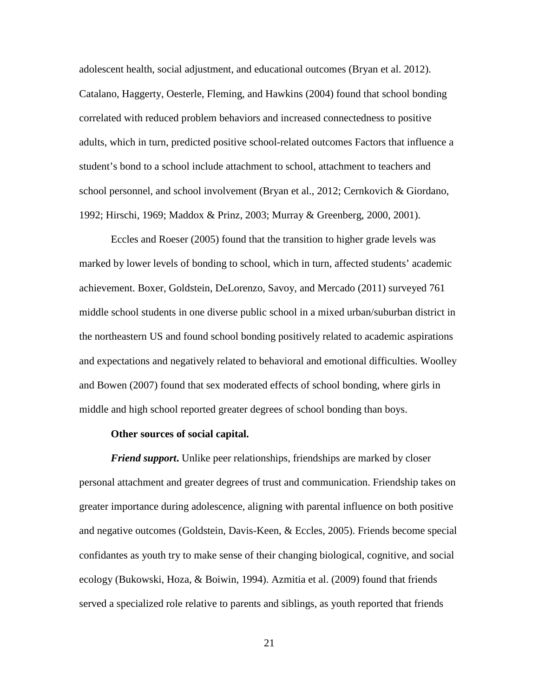adolescent health, social adjustment, and educational outcomes (Bryan et al. 2012). Catalano, Haggerty, Oesterle, Fleming, and Hawkins (2004) found that school bonding correlated with reduced problem behaviors and increased connectedness to positive adults, which in turn, predicted positive school-related outcomes Factors that influence a student's bond to a school include attachment to school, attachment to teachers and school personnel, and school involvement (Bryan et al., 2012; Cernkovich & Giordano, 1992; Hirschi, 1969; Maddox & Prinz, 2003; Murray & Greenberg, 2000, 2001).

Eccles and Roeser (2005) found that the transition to higher grade levels was marked by lower levels of bonding to school, which in turn, affected students' academic achievement. Boxer, Goldstein, DeLorenzo, Savoy, and Mercado (2011) surveyed 761 middle school students in one diverse public school in a mixed urban/suburban district in the northeastern US and found school bonding positively related to academic aspirations and expectations and negatively related to behavioral and emotional difficulties. Woolley and Bowen (2007) found that sex moderated effects of school bonding, where girls in middle and high school reported greater degrees of school bonding than boys.

#### **Other sources of social capital.**

*Friend support*. Unlike peer relationships, friendships are marked by closer personal attachment and greater degrees of trust and communication. Friendship takes on greater importance during adolescence, aligning with parental influence on both positive and negative outcomes (Goldstein, Davis-Keen, & Eccles, 2005). Friends become special confidantes as youth try to make sense of their changing biological, cognitive, and social ecology (Bukowski, Hoza, & Boiwin, 1994). Azmitia et al. (2009) found that friends served a specialized role relative to parents and siblings, as youth reported that friends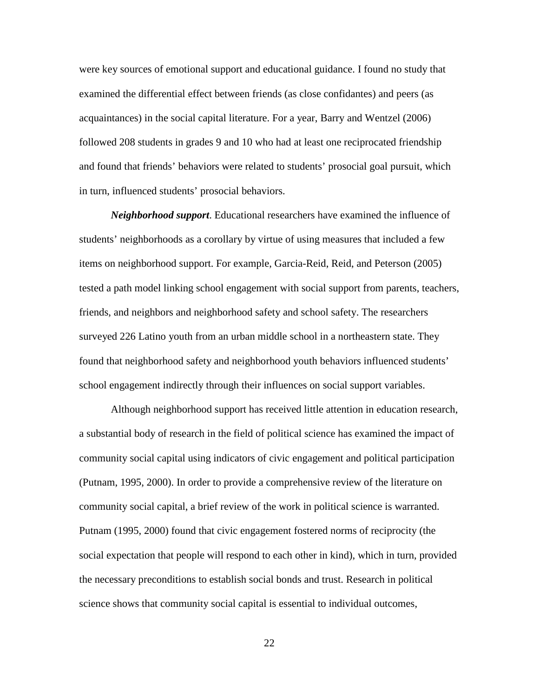were key sources of emotional support and educational guidance. I found no study that examined the differential effect between friends (as close confidantes) and peers (as acquaintances) in the social capital literature. For a year, Barry and Wentzel (2006) followed 208 students in grades 9 and 10 who had at least one reciprocated friendship and found that friends' behaviors were related to students' prosocial goal pursuit, which in turn, influenced students' prosocial behaviors.

*Neighborhood support*. Educational researchers have examined the influence of students' neighborhoods as a corollary by virtue of using measures that included a few items on neighborhood support. For example, Garcia-Reid, Reid, and Peterson (2005) tested a path model linking school engagement with social support from parents, teachers, friends, and neighbors and neighborhood safety and school safety. The researchers surveyed 226 Latino youth from an urban middle school in a northeastern state. They found that neighborhood safety and neighborhood youth behaviors influenced students' school engagement indirectly through their influences on social support variables.

Although neighborhood support has received little attention in education research, a substantial body of research in the field of political science has examined the impact of community social capital using indicators of civic engagement and political participation (Putnam, 1995, 2000). In order to provide a comprehensive review of the literature on community social capital, a brief review of the work in political science is warranted. Putnam (1995, 2000) found that civic engagement fostered norms of reciprocity (the social expectation that people will respond to each other in kind), which in turn, provided the necessary preconditions to establish social bonds and trust. Research in political science shows that community social capital is essential to individual outcomes,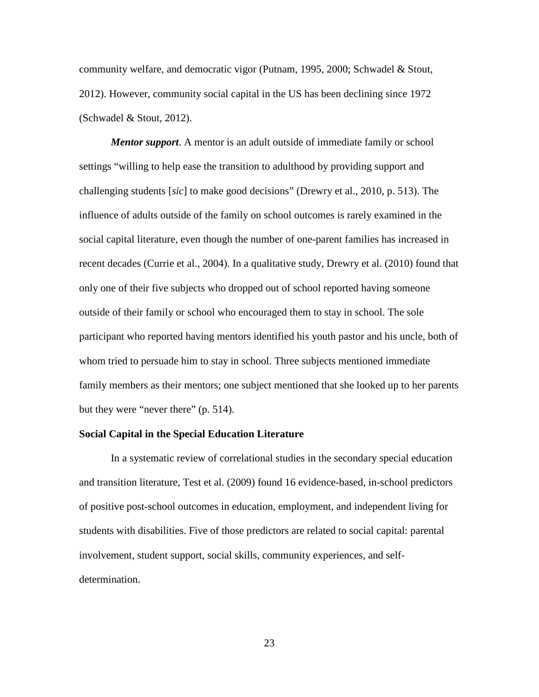community welfare, and democratic vigor (Putnam, 1995, 2000; Schwadel & Stout, 2012). However, community social capital in the US has been declining since 1972 (Schwadel & Stout, 2012).

*Mentor support*. A mentor is an adult outside of immediate family or school settings "willing to help ease the transition to adulthood by providing support and challenging students [*sic*] to make good decisions" (Drewry et al., 2010, p. 513). The influence of adults outside of the family on school outcomes is rarely examined in the social capital literature, even though the number of one-parent families has increased in recent decades (Currie et al., 2004). In a qualitative study, Drewry et al. (2010) found that only one of their five subjects who dropped out of school reported having someone outside of their family or school who encouraged them to stay in school. The sole participant who reported having mentors identified his youth pastor and his uncle, both of whom tried to persuade him to stay in school. Three subjects mentioned immediate family members as their mentors; one subject mentioned that she looked up to her parents but they were "never there" (p. 514).

### **Social Capital in the Special Education Literature**

In a systematic review of correlational studies in the secondary special education and transition literature, Test et al. (2009) found 16 evidence-based, in-school predictors of positive post-school outcomes in education, employment, and independent living for students with disabilities. Five of those predictors are related to social capital: parental involvement, student support, social skills, community experiences, and selfdetermination.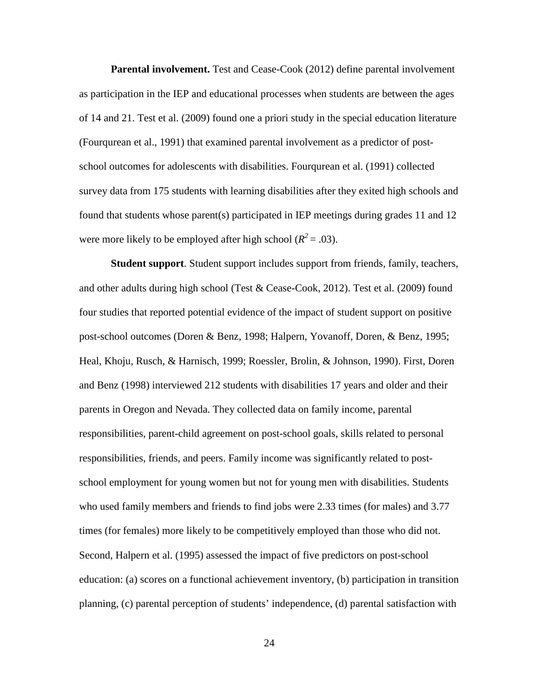**Parental involvement.** Test and Cease-Cook (2012) define parental involvement as participation in the IEP and educational processes when students are between the ages of 14 and 21. Test et al. (2009) found one a priori study in the special education literature (Fourqurean et al., 1991) that examined parental involvement as a predictor of postschool outcomes for adolescents with disabilities. Fourqurean et al. (1991) collected survey data from 175 students with learning disabilities after they exited high schools and found that students whose parent(s) participated in IEP meetings during grades 11 and 12 were more likely to be employed after high school ( $R^2 = .03$ ).

**Student support**. Student support includes support from friends, family, teachers, and other adults during high school (Test & Cease-Cook, 2012). Test et al. (2009) found four studies that reported potential evidence of the impact of student support on positive post-school outcomes (Doren & Benz, 1998; Halpern, Yovanoff, Doren, & Benz, 1995; Heal, Khoju, Rusch, & Harnisch, 1999; Roessler, Brolin, & Johnson, 1990). First, Doren and Benz (1998) interviewed 212 students with disabilities 17 years and older and their parents in Oregon and Nevada. They collected data on family income, parental responsibilities, parent-child agreement on post-school goals, skills related to personal responsibilities, friends, and peers. Family income was significantly related to postschool employment for young women but not for young men with disabilities. Students who used family members and friends to find jobs were 2.33 times (for males) and 3.77 times (for females) more likely to be competitively employed than those who did not. Second, Halpern et al. (1995) assessed the impact of five predictors on post-school education: (a) scores on a functional achievement inventory, (b) participation in transition planning, (c) parental perception of students' independence, (d) parental satisfaction with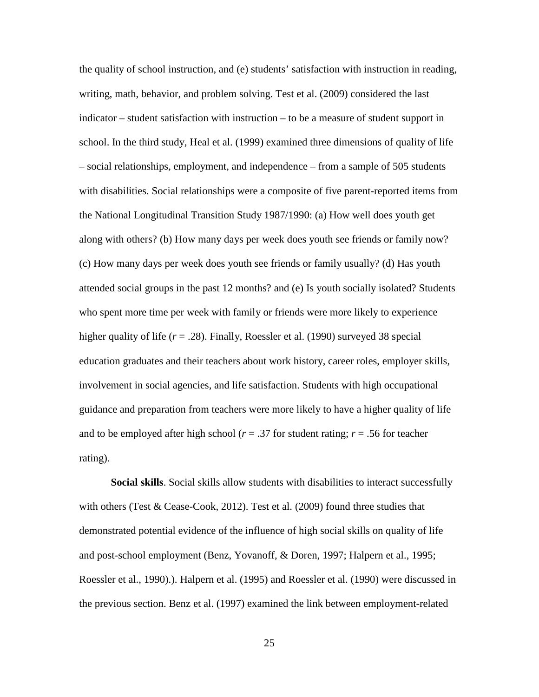the quality of school instruction, and (e) students' satisfaction with instruction in reading, writing, math, behavior, and problem solving. Test et al. (2009) considered the last indicator – student satisfaction with instruction – to be a measure of student support in school. In the third study, Heal et al. (1999) examined three dimensions of quality of life – social relationships, employment, and independence – from a sample of 505 students with disabilities. Social relationships were a composite of five parent-reported items from the National Longitudinal Transition Study 1987/1990: (a) How well does youth get along with others? (b) How many days per week does youth see friends or family now? (c) How many days per week does youth see friends or family usually? (d) Has youth attended social groups in the past 12 months? and (e) Is youth socially isolated? Students who spent more time per week with family or friends were more likely to experience higher quality of life (*r* = .28). Finally, Roessler et al. (1990) surveyed 38 special education graduates and their teachers about work history, career roles, employer skills, involvement in social agencies, and life satisfaction. Students with high occupational guidance and preparation from teachers were more likely to have a higher quality of life and to be employed after high school ( $r = .37$  for student rating;  $r = .56$  for teacher rating).

**Social skills**. Social skills allow students with disabilities to interact successfully with others (Test & Cease-Cook, 2012). Test et al.  $(2009)$  found three studies that demonstrated potential evidence of the influence of high social skills on quality of life and post-school employment (Benz, Yovanoff, & Doren, 1997; Halpern et al., 1995; Roessler et al., 1990).). Halpern et al. (1995) and Roessler et al. (1990) were discussed in the previous section. Benz et al. (1997) examined the link between employment-related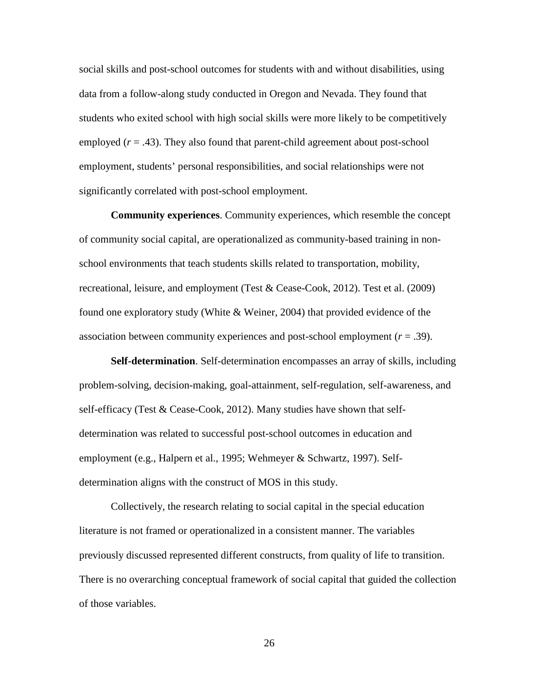social skills and post-school outcomes for students with and without disabilities, using data from a follow-along study conducted in Oregon and Nevada. They found that students who exited school with high social skills were more likely to be competitively employed  $(r = .43)$ . They also found that parent-child agreement about post-school employment, students' personal responsibilities, and social relationships were not significantly correlated with post-school employment.

**Community experiences**. Community experiences, which resemble the concept of community social capital, are operationalized as community-based training in nonschool environments that teach students skills related to transportation, mobility, recreational, leisure, and employment (Test & Cease-Cook, 2012). Test et al. (2009) found one exploratory study (White & Weiner, 2004) that provided evidence of the association between community experiences and post-school employment (*r* = .39).

**Self-determination**. Self-determination encompasses an array of skills, including problem-solving, decision-making, goal-attainment, self-regulation, self-awareness, and self-efficacy (Test & Cease-Cook, 2012). Many studies have shown that selfdetermination was related to successful post-school outcomes in education and employment (e.g., Halpern et al., 1995; Wehmeyer & Schwartz, 1997). Selfdetermination aligns with the construct of MOS in this study.

Collectively, the research relating to social capital in the special education literature is not framed or operationalized in a consistent manner. The variables previously discussed represented different constructs, from quality of life to transition. There is no overarching conceptual framework of social capital that guided the collection of those variables.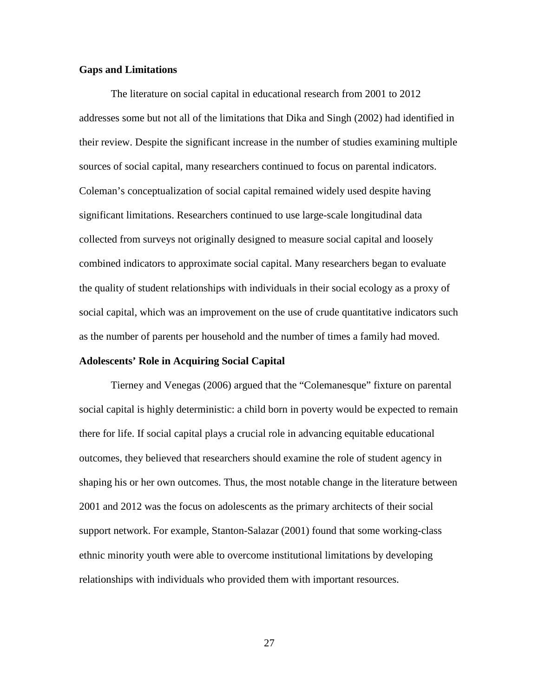### **Gaps and Limitations**

The literature on social capital in educational research from 2001 to 2012 addresses some but not all of the limitations that Dika and Singh (2002) had identified in their review. Despite the significant increase in the number of studies examining multiple sources of social capital, many researchers continued to focus on parental indicators. Coleman's conceptualization of social capital remained widely used despite having significant limitations. Researchers continued to use large-scale longitudinal data collected from surveys not originally designed to measure social capital and loosely combined indicators to approximate social capital. Many researchers began to evaluate the quality of student relationships with individuals in their social ecology as a proxy of social capital, which was an improvement on the use of crude quantitative indicators such as the number of parents per household and the number of times a family had moved.

### **Adolescents' Role in Acquiring Social Capital**

Tierney and Venegas (2006) argued that the "Colemanesque" fixture on parental social capital is highly deterministic: a child born in poverty would be expected to remain there for life. If social capital plays a crucial role in advancing equitable educational outcomes, they believed that researchers should examine the role of student agency in shaping his or her own outcomes. Thus, the most notable change in the literature between 2001 and 2012 was the focus on adolescents as the primary architects of their social support network. For example, Stanton-Salazar (2001) found that some working-class ethnic minority youth were able to overcome institutional limitations by developing relationships with individuals who provided them with important resources.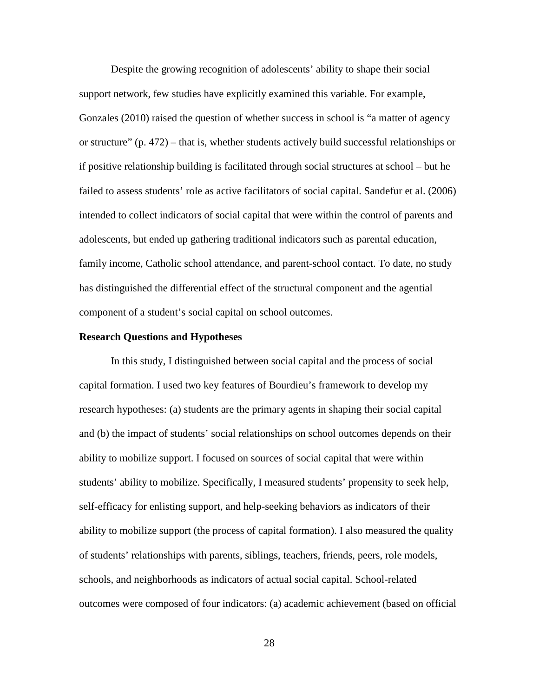Despite the growing recognition of adolescents' ability to shape their social support network, few studies have explicitly examined this variable. For example, Gonzales (2010) raised the question of whether success in school is "a matter of agency or structure" (p. 472) – that is, whether students actively build successful relationships or if positive relationship building is facilitated through social structures at school – but he failed to assess students' role as active facilitators of social capital. Sandefur et al. (2006) intended to collect indicators of social capital that were within the control of parents and adolescents, but ended up gathering traditional indicators such as parental education, family income, Catholic school attendance, and parent-school contact. To date, no study has distinguished the differential effect of the structural component and the agential component of a student's social capital on school outcomes.

### **Research Questions and Hypotheses**

In this study, I distinguished between social capital and the process of social capital formation. I used two key features of Bourdieu's framework to develop my research hypotheses: (a) students are the primary agents in shaping their social capital and (b) the impact of students' social relationships on school outcomes depends on their ability to mobilize support. I focused on sources of social capital that were within students' ability to mobilize. Specifically, I measured students' propensity to seek help, self-efficacy for enlisting support, and help-seeking behaviors as indicators of their ability to mobilize support (the process of capital formation). I also measured the quality of students' relationships with parents, siblings, teachers, friends, peers, role models, schools, and neighborhoods as indicators of actual social capital. School-related outcomes were composed of four indicators: (a) academic achievement (based on official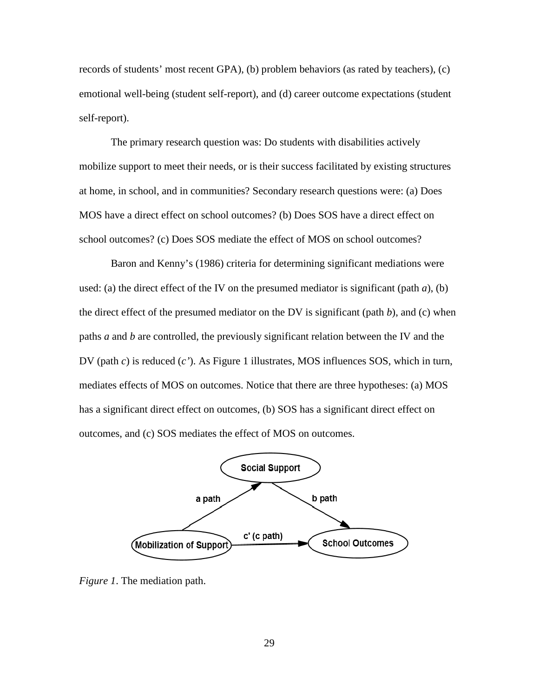records of students' most recent GPA), (b) problem behaviors (as rated by teachers), (c) emotional well-being (student self-report), and (d) career outcome expectations (student self-report).

The primary research question was: Do students with disabilities actively mobilize support to meet their needs, or is their success facilitated by existing structures at home, in school, and in communities? Secondary research questions were: (a) Does MOS have a direct effect on school outcomes? (b) Does SOS have a direct effect on school outcomes? (c) Does SOS mediate the effect of MOS on school outcomes?

Baron and Kenny's (1986) criteria for determining significant mediations were used: (a) the direct effect of the IV on the presumed mediator is significant (path  $a$ ), (b) the direct effect of the presumed mediator on the DV is significant (path *b*), and (c) when paths *a* and *b* are controlled, the previously significant relation between the IV and the DV (path *c*) is reduced (*c'*). As Figure 1 illustrates, MOS influences SOS, which in turn, mediates effects of MOS on outcomes. Notice that there are three hypotheses: (a) MOS has a significant direct effect on outcomes, (b) SOS has a significant direct effect on outcomes, and (c) SOS mediates the effect of MOS on outcomes.



*Figure 1*. The mediation path.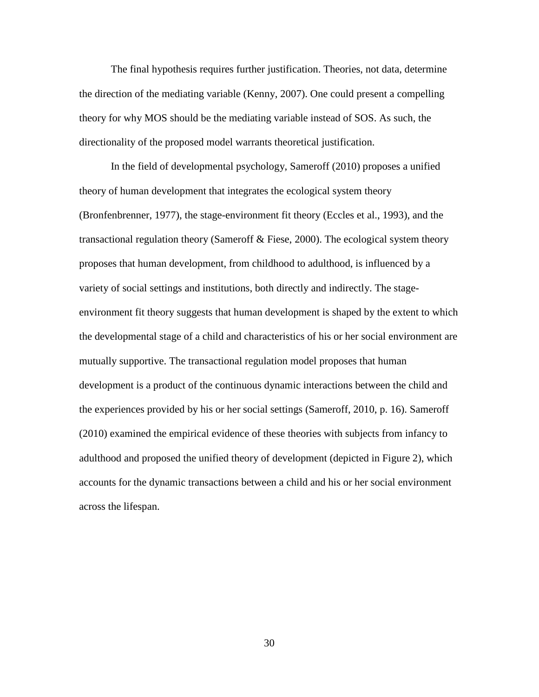The final hypothesis requires further justification. Theories, not data, determine the direction of the mediating variable (Kenny, 2007). One could present a compelling theory for why MOS should be the mediating variable instead of SOS. As such, the directionality of the proposed model warrants theoretical justification.

In the field of developmental psychology, Sameroff (2010) proposes a unified theory of human development that integrates the ecological system theory (Bronfenbrenner, 1977), the stage-environment fit theory (Eccles et al., 1993), and the transactional regulation theory (Sameroff & Fiese, 2000). The ecological system theory proposes that human development, from childhood to adulthood, is influenced by a variety of social settings and institutions, both directly and indirectly. The stageenvironment fit theory suggests that human development is shaped by the extent to which the developmental stage of a child and characteristics of his or her social environment are mutually supportive. The transactional regulation model proposes that human development is a product of the continuous dynamic interactions between the child and the experiences provided by his or her social settings (Sameroff, 2010, p. 16). Sameroff (2010) examined the empirical evidence of these theories with subjects from infancy to adulthood and proposed the unified theory of development (depicted in Figure 2), which accounts for the dynamic transactions between a child and his or her social environment across the lifespan.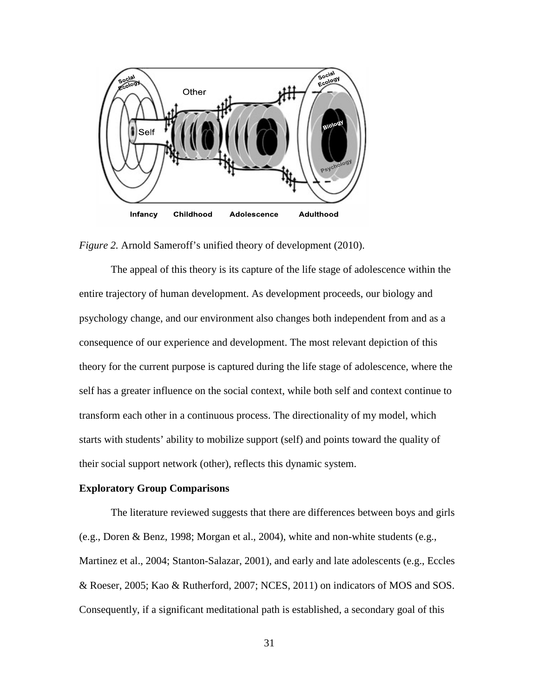

*Figure 2.* Arnold Sameroff's unified theory of development (2010).

The appeal of this theory is its capture of the life stage of adolescence within the entire trajectory of human development. As development proceeds, our biology and psychology change, and our environment also changes both independent from and as a consequence of our experience and development. The most relevant depiction of this theory for the current purpose is captured during the life stage of adolescence, where the self has a greater influence on the social context, while both self and context continue to transform each other in a continuous process. The directionality of my model, which starts with students' ability to mobilize support (self) and points toward the quality of their social support network (other), reflects this dynamic system.

### **Exploratory Group Comparisons**

 The literature reviewed suggests that there are differences between boys and girls (e.g., Doren & Benz, 1998; Morgan et al., 2004), white and non-white students (e.g., Martinez et al., 2004; Stanton-Salazar, 2001), and early and late adolescents (e.g., Eccles & Roeser, 2005; Kao & Rutherford, 2007; NCES, 2011) on indicators of MOS and SOS. Consequently, if a significant meditational path is established, a secondary goal of this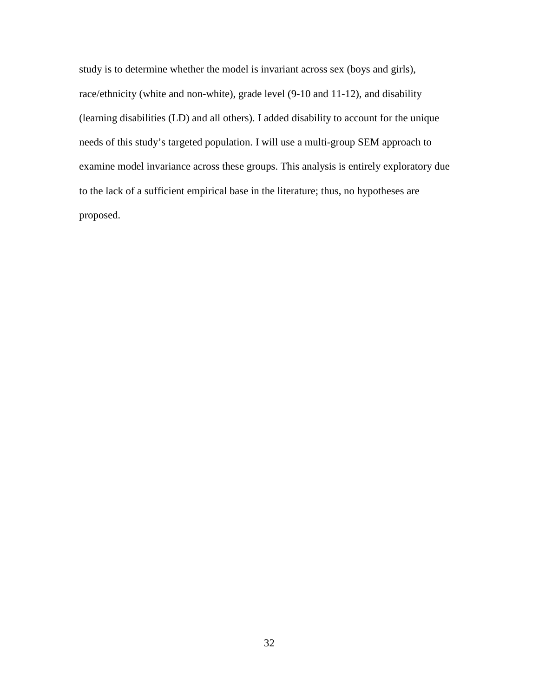study is to determine whether the model is invariant across sex (boys and girls), race/ethnicity (white and non-white), grade level (9-10 and 11-12), and disability (learning disabilities (LD) and all others). I added disability to account for the unique needs of this study's targeted population. I will use a multi-group SEM approach to examine model invariance across these groups. This analysis is entirely exploratory due to the lack of a sufficient empirical base in the literature; thus, no hypotheses are proposed.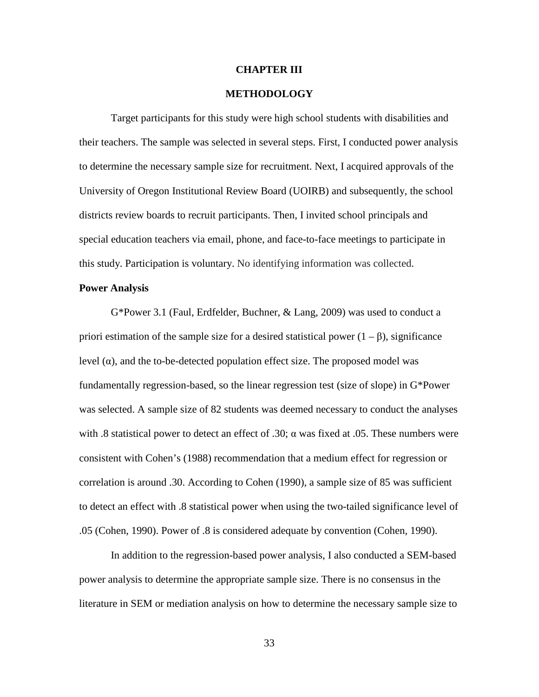### **CHAPTER III**

### **METHODOLOGY**

 Target participants for this study were high school students with disabilities and their teachers. The sample was selected in several steps. First, I conducted power analysis to determine the necessary sample size for recruitment. Next, I acquired approvals of the University of Oregon Institutional Review Board (UOIRB) and subsequently, the school districts review boards to recruit participants. Then, I invited school principals and special education teachers via email, phone, and face-to-face meetings to participate in this study. Participation is voluntary. No identifying information was collected.

### **Power Analysis**

G\*Power 3.1 (Faul, Erdfelder, Buchner, & Lang, 2009) was used to conduct a priori estimation of the sample size for a desired statistical power  $(1 - \beta)$ , significance level (α), and the to-be-detected population effect size. The proposed model was fundamentally regression-based, so the linear regression test (size of slope) in G\*Power was selected. A sample size of 82 students was deemed necessary to conduct the analyses with .8 statistical power to detect an effect of .30;  $\alpha$  was fixed at .05. These numbers were consistent with Cohen's (1988) recommendation that a medium effect for regression or correlation is around .30. According to Cohen (1990), a sample size of 85 was sufficient to detect an effect with .8 statistical power when using the two-tailed significance level of .05 (Cohen, 1990). Power of .8 is considered adequate by convention (Cohen, 1990).

In addition to the regression-based power analysis, I also conducted a SEM-based power analysis to determine the appropriate sample size. There is no consensus in the literature in SEM or mediation analysis on how to determine the necessary sample size to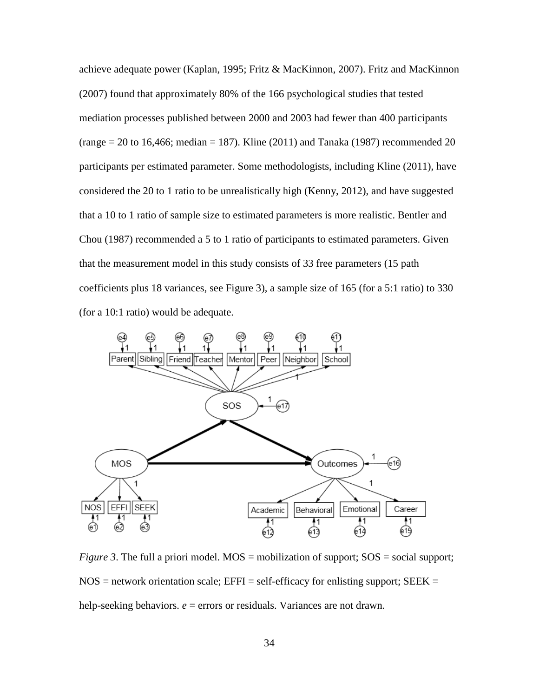achieve adequate power (Kaplan, 1995; Fritz & MacKinnon, 2007). Fritz and MacKinnon (2007) found that approximately 80% of the 166 psychological studies that tested mediation processes published between 2000 and 2003 had fewer than 400 participants  $(\text{range} = 20 \text{ to } 16,466; \text{ median} = 187)$ . Kline  $(2011)$  and Tanaka  $(1987)$  recommended 20 participants per estimated parameter. Some methodologists, including Kline (2011), have considered the 20 to 1 ratio to be unrealistically high (Kenny, 2012), and have suggested that a 10 to 1 ratio of sample size to estimated parameters is more realistic. Bentler and Chou (1987) recommended a 5 to 1 ratio of participants to estimated parameters. Given that the measurement model in this study consists of 33 free parameters (15 path coefficients plus 18 variances, see Figure 3), a sample size of 165 (for a 5:1 ratio) to 330 (for a 10:1 ratio) would be adequate.



*Figure 3*. The full a priori model.  $MOS =$  mobilization of support;  $SOS =$  social support;  $NOS =$  network orientation scale;  $EFFI = self\text{-efficacy}$  for enlisting support;  $SEEK =$ help-seeking behaviors.  $e =$  errors or residuals. Variances are not drawn.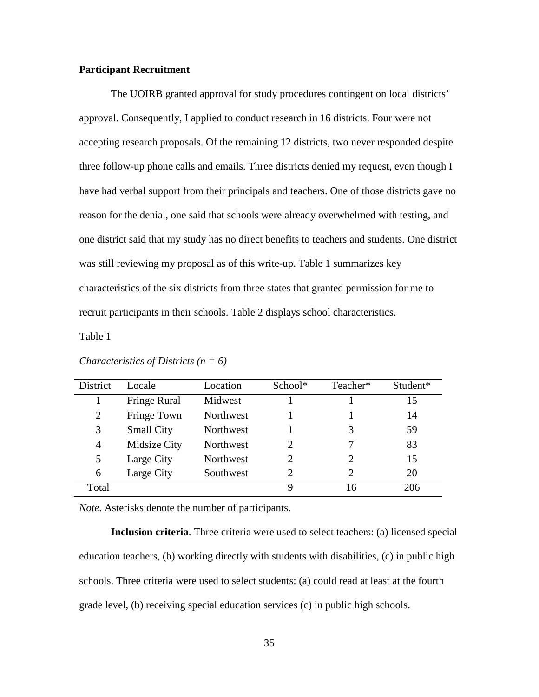### **Participant Recruitment**

The UOIRB granted approval for study procedures contingent on local districts' approval. Consequently, I applied to conduct research in 16 districts. Four were not accepting research proposals. Of the remaining 12 districts, two never responded despite three follow-up phone calls and emails. Three districts denied my request, even though I have had verbal support from their principals and teachers. One of those districts gave no reason for the denial, one said that schools were already overwhelmed with testing, and one district said that my study has no direct benefits to teachers and students. One district was still reviewing my proposal as of this write-up. Table 1 summarizes key characteristics of the six districts from three states that granted permission for me to recruit participants in their schools. Table 2 displays school characteristics.

Table 1

| <b>District</b> | Locale            | Location  | School*               | Teacher* | Student* |
|-----------------|-------------------|-----------|-----------------------|----------|----------|
|                 | Fringe Rural      | Midwest   |                       |          | 15       |
| 2               | Fringe Town       | Northwest |                       |          | 14       |
| 3               | <b>Small City</b> | Northwest |                       | 3        | 59       |
| 4               | Midsize City      | Northwest | $\mathcal{D}_{\cdot}$ |          | 83       |
| 5               | Large City        | Northwest | $\mathcal{D}_{\cdot}$ | 2        | 15       |
| 6               | Large City        | Southwest | $\mathcal{D}_{\cdot}$ | 2        | 20       |
| Total           |                   |           | 9                     | 16       | 206      |

*Characteristics of Districts (n = 6)* 

*Note*. Asterisks denote the number of participants.

**Inclusion criteria**. Three criteria were used to select teachers: (a) licensed special education teachers, (b) working directly with students with disabilities, (c) in public high schools. Three criteria were used to select students: (a) could read at least at the fourth grade level, (b) receiving special education services (c) in public high schools.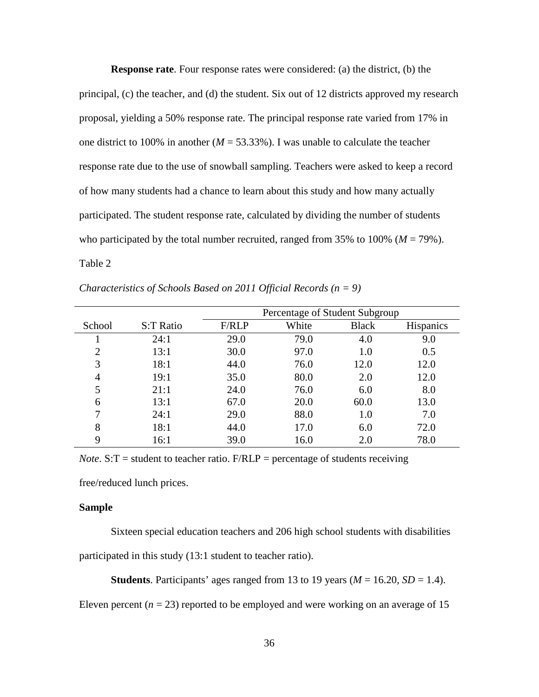**Response rate**. Four response rates were considered: (a) the district, (b) the principal, (c) the teacher, and (d) the student. Six out of 12 districts approved my research proposal, yielding a 50% response rate. The principal response rate varied from 17% in one district to 100% in another  $(M = 53.33\%)$ . I was unable to calculate the teacher response rate due to the use of snowball sampling. Teachers were asked to keep a record of how many students had a chance to learn about this study and how many actually participated. The student response rate, calculated by dividing the number of students who participated by the total number recruited, ranged from  $35\%$  to  $100\%$  ( $M = 79\%$ ). Table 2

|                |           | Percentage of Student Subgroup |       |              |                  |  |
|----------------|-----------|--------------------------------|-------|--------------|------------------|--|
| School         | S:T Ratio | F/RLP                          | White | <b>Black</b> | <b>Hispanics</b> |  |
|                | 24:1      | 29.0                           | 79.0  | 4.0          | 9.0              |  |
| $\overline{2}$ | 13:1      | 30.0                           | 97.0  | 1.0          | 0.5              |  |
| 3              | 18:1      | 44.0                           | 76.0  | 12.0         | 12.0             |  |
| 4              | 19:1      | 35.0                           | 80.0  | 2.0          | 12.0             |  |
| 5              | 21:1      | 24.0                           | 76.0  | 6.0          | 8.0              |  |
| 6              | 13:1      | 67.0                           | 20.0  | 60.0         | 13.0             |  |
| 7              | 24:1      | 29.0                           | 88.0  | 1.0          | 7.0              |  |
| 8              | 18:1      | 44.0                           | 17.0  | 6.0          | 72.0             |  |
| 9              | 16:1      | 39.0                           | 16.0  | 2.0          | 78.0             |  |

*Characteristics of Schools Based on 2011 Official Records (n = 9)* 

*Note*.  $S: T =$  student to teacher ratio.  $F/RLP =$  percentage of students receiving

free/reduced lunch prices.

### **Sample**

Sixteen special education teachers and 206 high school students with disabilities participated in this study (13:1 student to teacher ratio).

**Students**. Participants' ages ranged from 13 to 19 years ( $M = 16.20$ ,  $SD = 1.4$ ).

Eleven percent  $(n = 23)$  reported to be employed and were working on an average of 15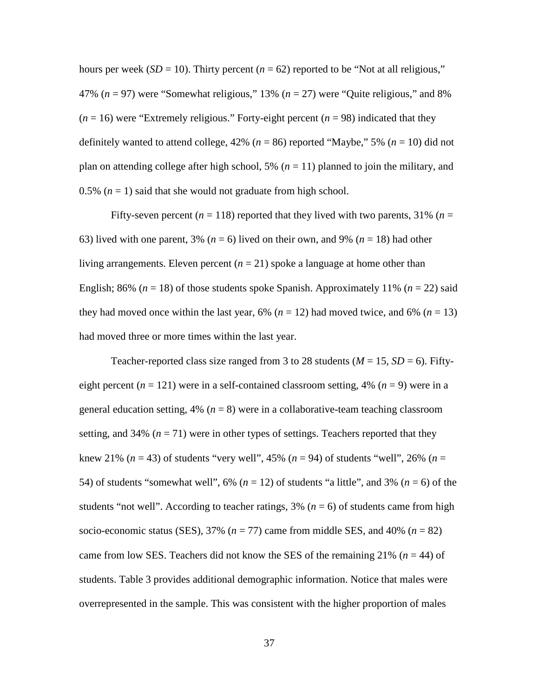hours per week ( $SD = 10$ ). Thirty percent ( $n = 62$ ) reported to be "Not at all religious," 47% (*n* = 97) were "Somewhat religious," 13% (*n* = 27) were "Quite religious," and 8%  $(n = 16)$  were "Extremely religious." Forty-eight percent  $(n = 98)$  indicated that they definitely wanted to attend college,  $42\%$  ( $n = 86$ ) reported "Maybe," 5% ( $n = 10$ ) did not plan on attending college after high school,  $5\%$  ( $n = 11$ ) planned to join the military, and 0.5%  $(n = 1)$  said that she would not graduate from high school.

Fifty-seven percent ( $n = 118$ ) reported that they lived with two parents, 31% ( $n =$ 63) lived with one parent, 3% (*n* = 6) lived on their own, and 9% (*n* = 18) had other living arrangements. Eleven percent  $(n = 21)$  spoke a language at home other than English; 86% ( $n = 18$ ) of those students spoke Spanish. Approximately 11% ( $n = 22$ ) said they had moved once within the last year,  $6\%$  ( $n = 12$ ) had moved twice, and  $6\%$  ( $n = 13$ ) had moved three or more times within the last year.

Teacher-reported class size ranged from 3 to 28 students ( $M = 15$ ,  $SD = 6$ ). Fiftyeight percent ( $n = 121$ ) were in a self-contained classroom setting, 4% ( $n = 9$ ) were in a general education setting,  $4\%$  ( $n = 8$ ) were in a collaborative-team teaching classroom setting, and 34%  $(n = 71)$  were in other types of settings. Teachers reported that they knew 21% (*n* = 43) of students "very well", 45% (*n* = 94) of students "well", 26% (*n* = 54) of students "somewhat well", 6% (*n* = 12) of students "a little", and 3% (*n* = 6) of the students "not well". According to teacher ratings,  $3\%$  ( $n = 6$ ) of students came from high socio-economic status (SES),  $37\%$  ( $n = 77$ ) came from middle SES, and  $40\%$  ( $n = 82$ ) came from low SES. Teachers did not know the SES of the remaining 21% ( $n = 44$ ) of students. Table 3 provides additional demographic information. Notice that males were overrepresented in the sample. This was consistent with the higher proportion of males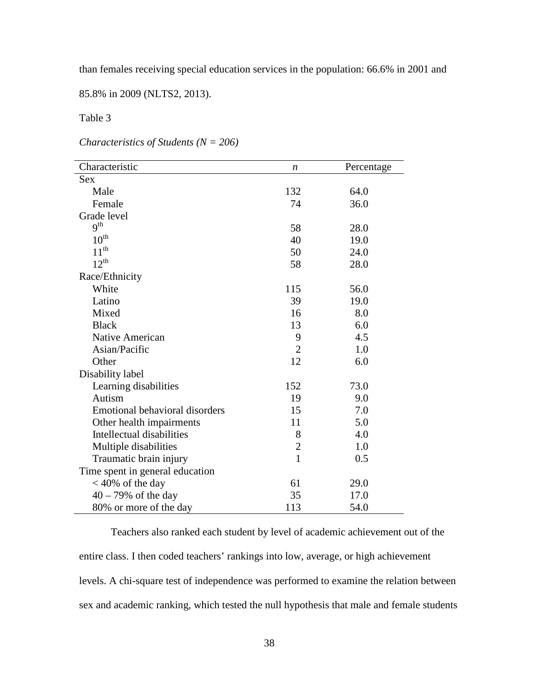than females receiving special education services in the population: 66.6% in 2001 and

85.8% in 2009 (NLTS2, 2013).

Table 3

*Characteristics of Students (N = 206)* 

| Characteristic                        | n              | Percentage |
|---------------------------------------|----------------|------------|
| <b>Sex</b>                            |                |            |
| Male                                  | 132            | 64.0       |
| Female                                | 74             | 36.0       |
| Grade level                           |                |            |
| 9 <sup>th</sup>                       | 58             | 28.0       |
| $10^{\text{th}}$                      | 40             | 19.0       |
| $11^{th}$                             | 50             | 24.0       |
| $12^{th}$                             | 58             | 28.0       |
| Race/Ethnicity                        |                |            |
| White                                 | 115            | 56.0       |
| Latino                                | 39             | 19.0       |
| Mixed                                 | 16             | 8.0        |
| <b>Black</b>                          | 13             | 6.0        |
| Native American                       | 9              | 4.5        |
| Asian/Pacific                         | $\overline{2}$ | 1.0        |
| Other                                 | 12             | 6.0        |
| Disability label                      |                |            |
| Learning disabilities                 | 152            | 73.0       |
| Autism                                | 19             | 9.0        |
| <b>Emotional behavioral disorders</b> | 15             | 7.0        |
| Other health impairments              | 11             | 5.0        |
| Intellectual disabilities             | 8              | 4.0        |
| Multiple disabilities                 | $\mathbf{2}$   | 1.0        |
| Traumatic brain injury                | $\mathbf{1}$   | 0.5        |
| Time spent in general education       |                |            |
| $<$ 40% of the day                    | 61             | 29.0       |
| $40 - 79\%$ of the day                | 35             | 17.0       |
| 80% or more of the day                | 113            | 54.0       |

Teachers also ranked each student by level of academic achievement out of the entire class. I then coded teachers' rankings into low, average, or high achievement levels. A chi-square test of independence was performed to examine the relation between sex and academic ranking, which tested the null hypothesis that male and female students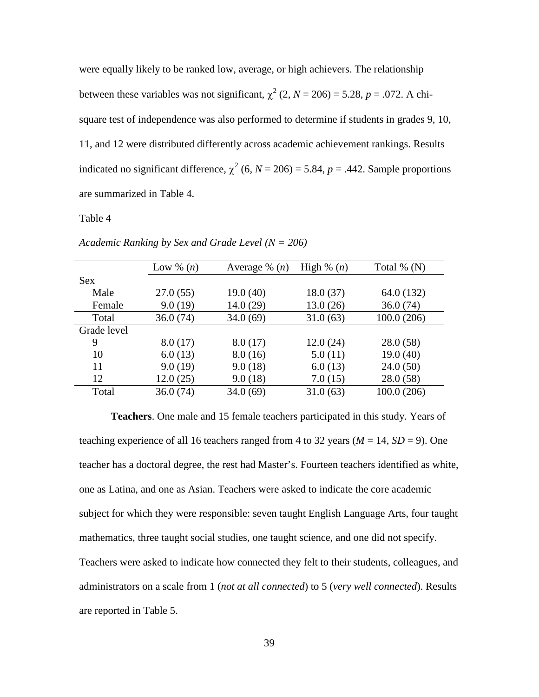were equally likely to be ranked low, average, or high achievers. The relationship between these variables was not significant,  $\chi^2$  (2, *N* = 206) = 5.28, *p* = .072. A chisquare test of independence was also performed to determine if students in grades 9, 10, 11, and 12 were distributed differently across academic achievement rankings. Results indicated no significant difference,  $\chi^2$  (6, *N* = 206) = 5.84, *p* = .442. Sample proportions are summarized in Table 4.

### Table 4

| Low $\%$ $(n)$ | Average % $(n)$ | High % $(n)$ | Total $\%$ (N) |
|----------------|-----------------|--------------|----------------|
|                |                 |              |                |
| 27.0(55)       | 19.0(40)        | 18.0(37)     | 64.0 (132)     |
| 9.0(19)        | 14.0(29)        | 13.0(26)     | 36.0(74)       |
| 36.0(74)       | 34.0(69)        | 31.0(63)     | 100.0(206)     |
|                |                 |              |                |
| 8.0(17)        | 8.0(17)         | 12.0(24)     | 28.0(58)       |
| 6.0(13)        | 8.0(16)         | 5.0(11)      | 19.0(40)       |
| 9.0(19)        | 9.0(18)         | 6.0(13)      | 24.0(50)       |
| 12.0(25)       | 9.0(18)         | 7.0(15)      | 28.0(58)       |
| 36.0(74)       | 34.0(69)        | 31.0(63)     | 100.0 (206)    |
|                |                 |              |                |

*Academic Ranking by Sex and Grade Level (N = 206)* 

**Teachers**. One male and 15 female teachers participated in this study. Years of teaching experience of all 16 teachers ranged from 4 to 32 years ( $M = 14$ ,  $SD = 9$ ). One teacher has a doctoral degree, the rest had Master's. Fourteen teachers identified as white, one as Latina, and one as Asian. Teachers were asked to indicate the core academic subject for which they were responsible: seven taught English Language Arts, four taught mathematics, three taught social studies, one taught science, and one did not specify. Teachers were asked to indicate how connected they felt to their students, colleagues, and administrators on a scale from 1 (*not at all connected*) to 5 (*very well connected*). Results are reported in Table 5.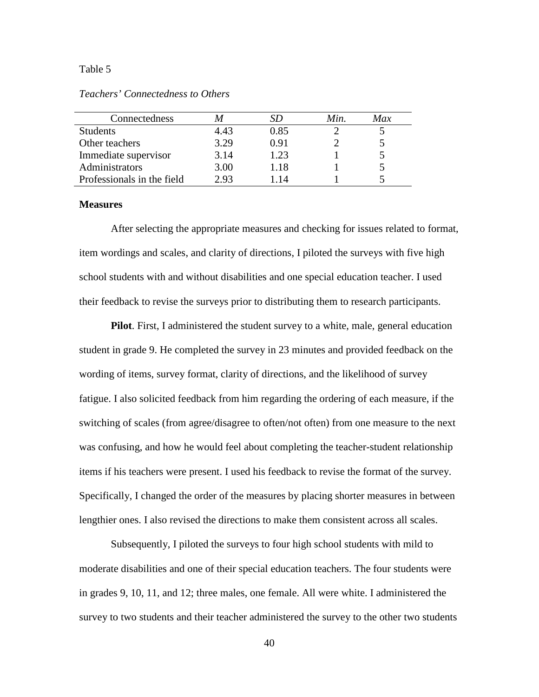### Table 5

*Teachers' Connectedness to Others* 

| Connectedness              |      |      | Min. | Max |
|----------------------------|------|------|------|-----|
| <b>Students</b>            | 4.43 | 0.85 |      |     |
| Other teachers             | 3.29 | 0.91 |      |     |
| Immediate supervisor       | 3.14 | 1.23 |      |     |
| Administrators             | 3.00 | 1.18 |      |     |
| Professionals in the field | 2.93 | -14  |      |     |

#### **Measures**

 After selecting the appropriate measures and checking for issues related to format, item wordings and scales, and clarity of directions, I piloted the surveys with five high school students with and without disabilities and one special education teacher. I used their feedback to revise the surveys prior to distributing them to research participants.

**Pilot**. First, I administered the student survey to a white, male, general education student in grade 9. He completed the survey in 23 minutes and provided feedback on the wording of items, survey format, clarity of directions, and the likelihood of survey fatigue. I also solicited feedback from him regarding the ordering of each measure, if the switching of scales (from agree/disagree to often/not often) from one measure to the next was confusing, and how he would feel about completing the teacher-student relationship items if his teachers were present. I used his feedback to revise the format of the survey. Specifically, I changed the order of the measures by placing shorter measures in between lengthier ones. I also revised the directions to make them consistent across all scales.

Subsequently, I piloted the surveys to four high school students with mild to moderate disabilities and one of their special education teachers. The four students were in grades 9, 10, 11, and 12; three males, one female. All were white. I administered the survey to two students and their teacher administered the survey to the other two students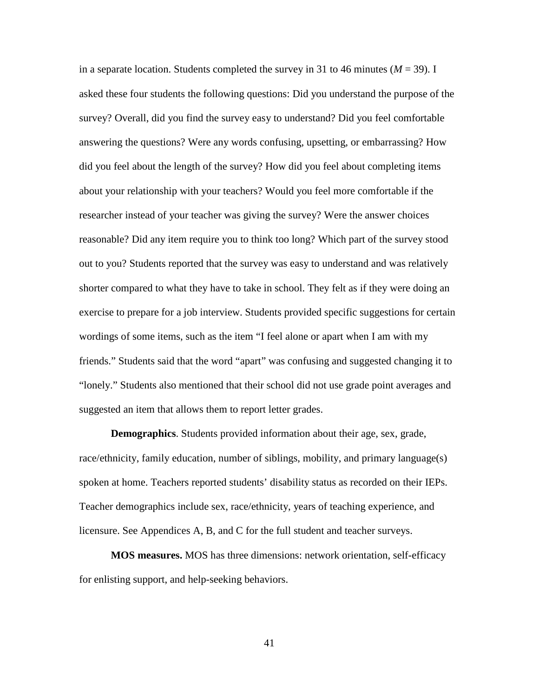in a separate location. Students completed the survey in 31 to 46 minutes  $(M = 39)$ . I asked these four students the following questions: Did you understand the purpose of the survey? Overall, did you find the survey easy to understand? Did you feel comfortable answering the questions? Were any words confusing, upsetting, or embarrassing? How did you feel about the length of the survey? How did you feel about completing items about your relationship with your teachers? Would you feel more comfortable if the researcher instead of your teacher was giving the survey? Were the answer choices reasonable? Did any item require you to think too long? Which part of the survey stood out to you? Students reported that the survey was easy to understand and was relatively shorter compared to what they have to take in school. They felt as if they were doing an exercise to prepare for a job interview. Students provided specific suggestions for certain wordings of some items, such as the item "I feel alone or apart when I am with my friends." Students said that the word "apart" was confusing and suggested changing it to "lonely." Students also mentioned that their school did not use grade point averages and suggested an item that allows them to report letter grades.

**Demographics**. Students provided information about their age, sex, grade, race/ethnicity, family education, number of siblings, mobility, and primary language(s) spoken at home. Teachers reported students' disability status as recorded on their IEPs. Teacher demographics include sex, race/ethnicity, years of teaching experience, and licensure. See Appendices A, B, and C for the full student and teacher surveys.

**MOS measures.** MOS has three dimensions: network orientation, self-efficacy for enlisting support, and help-seeking behaviors.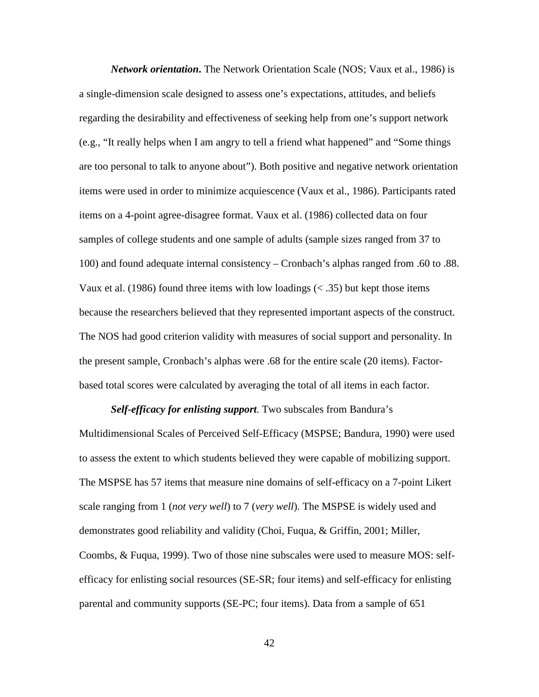*Network orientation***.** The Network Orientation Scale (NOS; Vaux et al., 1986) is a single-dimension scale designed to assess one's expectations, attitudes, and beliefs regarding the desirability and effectiveness of seeking help from one's support network (e.g., "It really helps when I am angry to tell a friend what happened" and "Some things are too personal to talk to anyone about"). Both positive and negative network orientation items were used in order to minimize acquiescence (Vaux et al., 1986). Participants rated items on a 4-point agree-disagree format. Vaux et al. (1986) collected data on four samples of college students and one sample of adults (sample sizes ranged from 37 to 100) and found adequate internal consistency – Cronbach's alphas ranged from .60 to .88. Vaux et al. (1986) found three items with low loadings  $(< .35)$  but kept those items because the researchers believed that they represented important aspects of the construct. The NOS had good criterion validity with measures of social support and personality. In the present sample, Cronbach's alphas were .68 for the entire scale (20 items). Factorbased total scores were calculated by averaging the total of all items in each factor.

*Self-efficacy for enlisting support*. Two subscales from Bandura's Multidimensional Scales of Perceived Self-Efficacy (MSPSE; Bandura, 1990) were used to assess the extent to which students believed they were capable of mobilizing support. The MSPSE has 57 items that measure nine domains of self-efficacy on a 7-point Likert scale ranging from 1 (*not very well*) to 7 (*very well*). The MSPSE is widely used and demonstrates good reliability and validity (Choi, Fuqua, & Griffin, 2001; Miller, Coombs, & Fuqua, 1999). Two of those nine subscales were used to measure MOS: selfefficacy for enlisting social resources (SE-SR; four items) and self-efficacy for enlisting parental and community supports (SE-PC; four items). Data from a sample of 651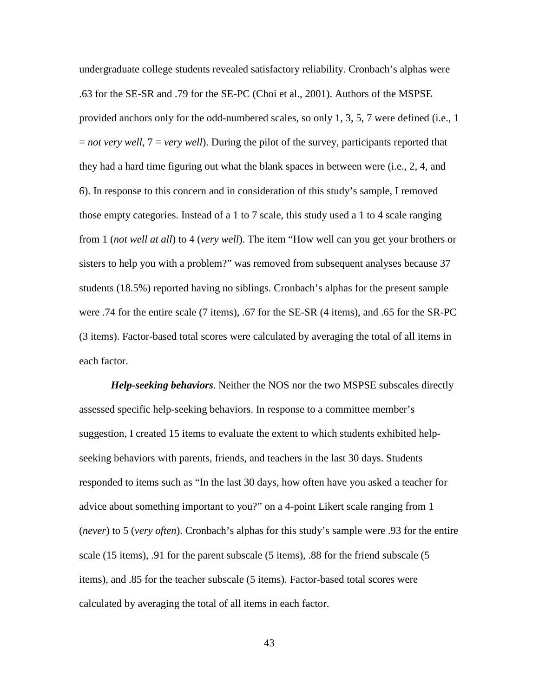undergraduate college students revealed satisfactory reliability. Cronbach's alphas were .63 for the SE-SR and .79 for the SE-PC (Choi et al., 2001). Authors of the MSPSE provided anchors only for the odd-numbered scales, so only 1, 3, 5, 7 were defined (i.e., 1 = *not very well*, 7 = *very well*). During the pilot of the survey, participants reported that they had a hard time figuring out what the blank spaces in between were (i.e., 2, 4, and 6). In response to this concern and in consideration of this study's sample, I removed those empty categories. Instead of a 1 to 7 scale, this study used a 1 to 4 scale ranging from 1 (*not well at all*) to 4 (*very well*). The item "How well can you get your brothers or sisters to help you with a problem?" was removed from subsequent analyses because 37 students (18.5%) reported having no siblings. Cronbach's alphas for the present sample were .74 for the entire scale (7 items), .67 for the SE-SR (4 items), and .65 for the SR-PC (3 items). Factor-based total scores were calculated by averaging the total of all items in each factor.

*Help-seeking behaviors*. Neither the NOS nor the two MSPSE subscales directly assessed specific help-seeking behaviors. In response to a committee member's suggestion, I created 15 items to evaluate the extent to which students exhibited helpseeking behaviors with parents, friends, and teachers in the last 30 days. Students responded to items such as "In the last 30 days, how often have you asked a teacher for advice about something important to you?" on a 4-point Likert scale ranging from 1 (*never*) to 5 (*very often*). Cronbach's alphas for this study's sample were .93 for the entire scale (15 items), .91 for the parent subscale (5 items), .88 for the friend subscale (5 items), and .85 for the teacher subscale (5 items). Factor-based total scores were calculated by averaging the total of all items in each factor.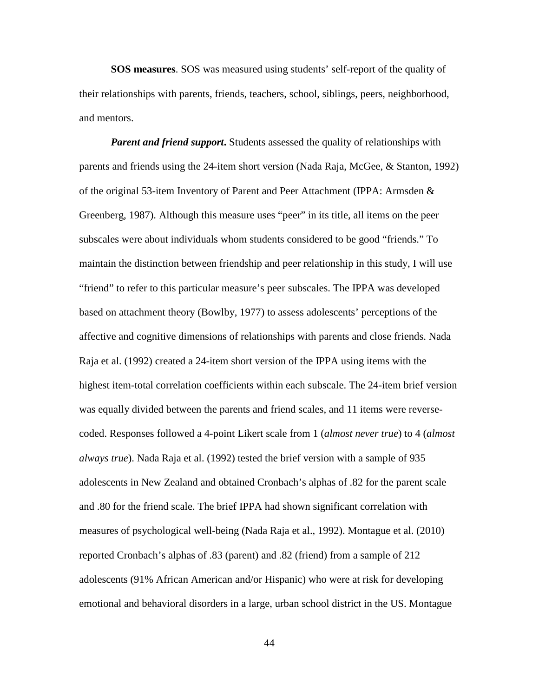**SOS measures**. SOS was measured using students' self-report of the quality of their relationships with parents, friends, teachers, school, siblings, peers, neighborhood, and mentors.

*Parent and friend support*. Students assessed the quality of relationships with parents and friends using the 24-item short version (Nada Raja, McGee, & Stanton, 1992) of the original 53-item Inventory of Parent and Peer Attachment (IPPA: Armsden & Greenberg, 1987). Although this measure uses "peer" in its title, all items on the peer subscales were about individuals whom students considered to be good "friends." To maintain the distinction between friendship and peer relationship in this study, I will use "friend" to refer to this particular measure's peer subscales. The IPPA was developed based on attachment theory (Bowlby, 1977) to assess adolescents' perceptions of the affective and cognitive dimensions of relationships with parents and close friends. Nada Raja et al. (1992) created a 24-item short version of the IPPA using items with the highest item-total correlation coefficients within each subscale. The 24-item brief version was equally divided between the parents and friend scales, and 11 items were reversecoded. Responses followed a 4-point Likert scale from 1 (*almost never true*) to 4 (*almost always true*). Nada Raja et al. (1992) tested the brief version with a sample of 935 adolescents in New Zealand and obtained Cronbach's alphas of .82 for the parent scale and .80 for the friend scale. The brief IPPA had shown significant correlation with measures of psychological well-being (Nada Raja et al., 1992). Montague et al. (2010) reported Cronbach's alphas of .83 (parent) and .82 (friend) from a sample of 212 adolescents (91% African American and/or Hispanic) who were at risk for developing emotional and behavioral disorders in a large, urban school district in the US. Montague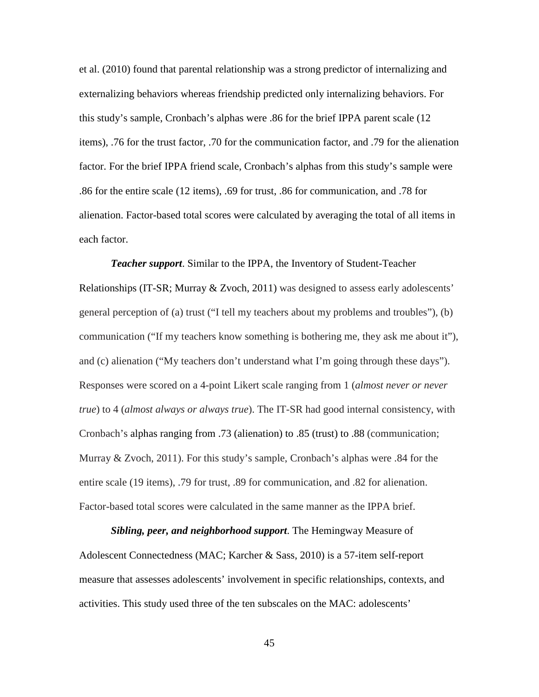et al. (2010) found that parental relationship was a strong predictor of internalizing and externalizing behaviors whereas friendship predicted only internalizing behaviors. For this study's sample, Cronbach's alphas were .86 for the brief IPPA parent scale (12 items), .76 for the trust factor, .70 for the communication factor, and .79 for the alienation factor. For the brief IPPA friend scale, Cronbach's alphas from this study's sample were .86 for the entire scale (12 items), .69 for trust, .86 for communication, and .78 for alienation. Factor-based total scores were calculated by averaging the total of all items in each factor.

*Teacher support*. Similar to the IPPA, the Inventory of Student-Teacher Relationships (IT-SR; Murray & Zvoch, 2011) was designed to assess early adolescents' general perception of (a) trust ("I tell my teachers about my problems and troubles"), (b) communication ("If my teachers know something is bothering me, they ask me about it"), and (c) alienation ("My teachers don't understand what I'm going through these days"). Responses were scored on a 4-point Likert scale ranging from 1 (*almost never or never true*) to 4 (*almost always or always true*). The IT-SR had good internal consistency, with Cronbach's alphas ranging from .73 (alienation) to .85 (trust) to .88 (communication; Murray & Zvoch, 2011). For this study's sample, Cronbach's alphas were .84 for the entire scale (19 items), .79 for trust, .89 for communication, and .82 for alienation. Factor-based total scores were calculated in the same manner as the IPPA brief.

*Sibling, peer, and neighborhood support*. The Hemingway Measure of Adolescent Connectedness (MAC; Karcher & Sass, 2010) is a 57-item self-report measure that assesses adolescents' involvement in specific relationships, contexts, and activities. This study used three of the ten subscales on the MAC: adolescents'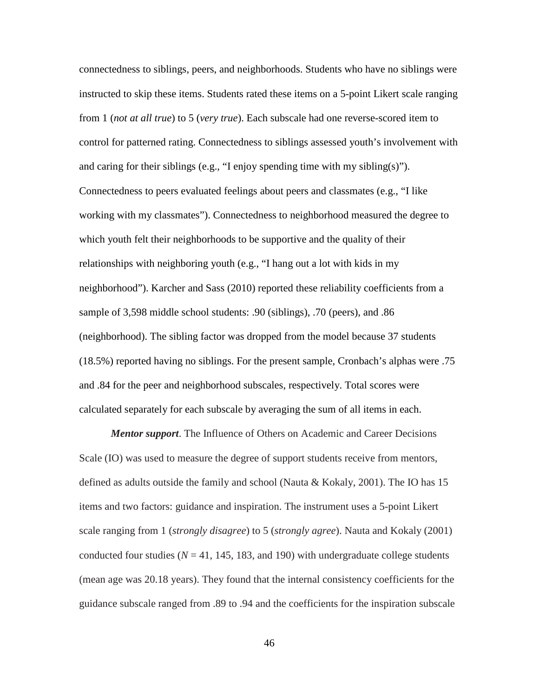connectedness to siblings, peers, and neighborhoods. Students who have no siblings were instructed to skip these items. Students rated these items on a 5-point Likert scale ranging from 1 (*not at all true*) to 5 (*very true*). Each subscale had one reverse-scored item to control for patterned rating. Connectedness to siblings assessed youth's involvement with and caring for their siblings (e.g., "I enjoy spending time with my sibling(s)"). Connectedness to peers evaluated feelings about peers and classmates (e.g., "I like working with my classmates"). Connectedness to neighborhood measured the degree to which youth felt their neighborhoods to be supportive and the quality of their relationships with neighboring youth (e.g., "I hang out a lot with kids in my neighborhood"). Karcher and Sass (2010) reported these reliability coefficients from a sample of 3,598 middle school students: .90 (siblings), .70 (peers), and .86 (neighborhood). The sibling factor was dropped from the model because 37 students (18.5%) reported having no siblings. For the present sample, Cronbach's alphas were .75 and .84 for the peer and neighborhood subscales, respectively. Total scores were calculated separately for each subscale by averaging the sum of all items in each.

*Mentor support*. The Influence of Others on Academic and Career Decisions Scale (IO) was used to measure the degree of support students receive from mentors, defined as adults outside the family and school (Nauta & Kokaly, 2001). The IO has 15 items and two factors: guidance and inspiration. The instrument uses a 5-point Likert scale ranging from 1 (*strongly disagree*) to 5 (*strongly agree*). Nauta and Kokaly (2001) conducted four studies  $(N = 41, 145, 183,$  and 190) with undergraduate college students (mean age was 20.18 years). They found that the internal consistency coefficients for the guidance subscale ranged from .89 to .94 and the coefficients for the inspiration subscale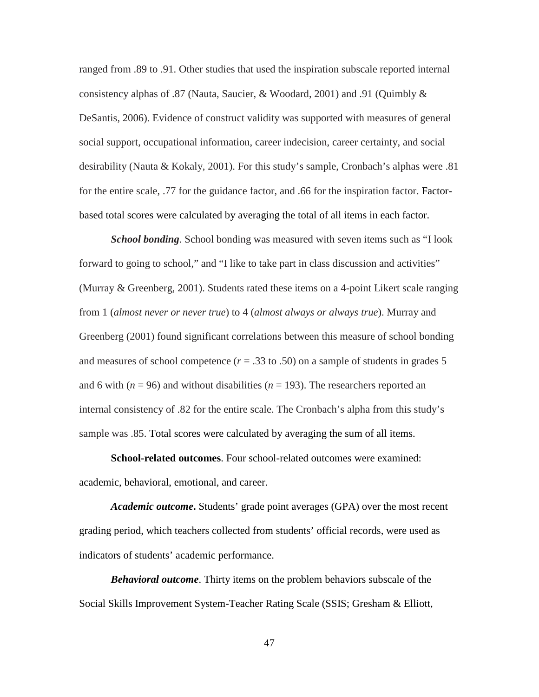ranged from .89 to .91. Other studies that used the inspiration subscale reported internal consistency alphas of .87 (Nauta, Saucier, & Woodard, 2001) and .91 (Quimbly & DeSantis, 2006). Evidence of construct validity was supported with measures of general social support, occupational information, career indecision, career certainty, and social desirability (Nauta & Kokaly, 2001). For this study's sample, Cronbach's alphas were .81 for the entire scale, .77 for the guidance factor, and .66 for the inspiration factor. Factorbased total scores were calculated by averaging the total of all items in each factor.

*School bonding*. School bonding was measured with seven items such as "I look forward to going to school," and "I like to take part in class discussion and activities" (Murray & Greenberg, 2001). Students rated these items on a 4-point Likert scale ranging from 1 (*almost never or never true*) to 4 (*almost always or always true*). Murray and Greenberg (2001) found significant correlations between this measure of school bonding and measures of school competence  $(r = .33 \text{ to } .50)$  on a sample of students in grades 5 and 6 with  $(n = 96)$  and without disabilities  $(n = 193)$ . The researchers reported an internal consistency of .82 for the entire scale. The Cronbach's alpha from this study's sample was .85. Total scores were calculated by averaging the sum of all items.

**School-related outcomes**. Four school-related outcomes were examined: academic, behavioral, emotional, and career.

*Academic outcome***.** Students' grade point averages (GPA) over the most recent grading period, which teachers collected from students' official records, were used as indicators of students' academic performance.

*Behavioral outcome*. Thirty items on the problem behaviors subscale of the Social Skills Improvement System-Teacher Rating Scale (SSIS; Gresham & Elliott,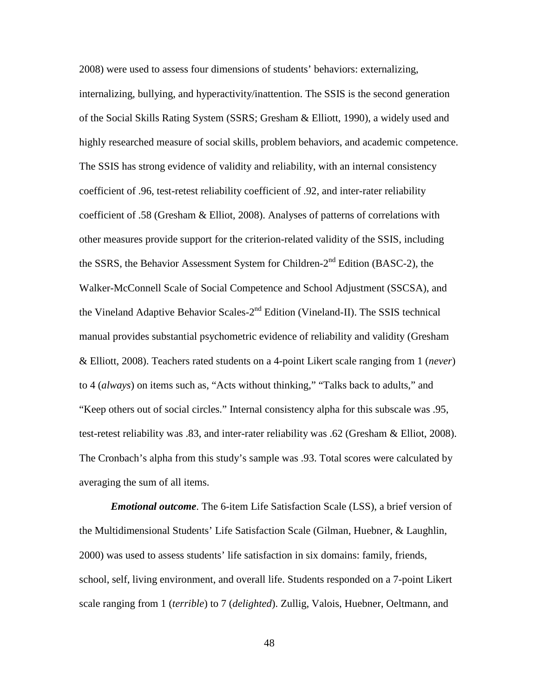2008) were used to assess four dimensions of students' behaviors: externalizing, internalizing, bullying, and hyperactivity/inattention. The SSIS is the second generation of the Social Skills Rating System (SSRS; Gresham & Elliott, 1990), a widely used and highly researched measure of social skills, problem behaviors, and academic competence. The SSIS has strong evidence of validity and reliability, with an internal consistency coefficient of .96, test-retest reliability coefficient of .92, and inter-rater reliability coefficient of .58 (Gresham & Elliot, 2008). Analyses of patterns of correlations with other measures provide support for the criterion-related validity of the SSIS, including the SSRS, the Behavior Assessment System for Children- $2<sup>nd</sup>$  Edition (BASC-2), the Walker-McConnell Scale of Social Competence and School Adjustment (SSCSA), and the Vineland Adaptive Behavior Scales-2<sup>nd</sup> Edition (Vineland-II). The SSIS technical manual provides substantial psychometric evidence of reliability and validity (Gresham & Elliott, 2008). Teachers rated students on a 4-point Likert scale ranging from 1 (*never*) to 4 (*always*) on items such as, "Acts without thinking," "Talks back to adults," and "Keep others out of social circles." Internal consistency alpha for this subscale was .95, test-retest reliability was .83, and inter-rater reliability was .62 (Gresham & Elliot, 2008). The Cronbach's alpha from this study's sample was .93. Total scores were calculated by averaging the sum of all items.

*Emotional outcome*. The 6-item Life Satisfaction Scale (LSS), a brief version of the Multidimensional Students' Life Satisfaction Scale (Gilman, Huebner, & Laughlin, 2000) was used to assess students' life satisfaction in six domains: family, friends, school, self, living environment, and overall life. Students responded on a 7-point Likert scale ranging from 1 (*terrible*) to 7 (*delighted*). Zullig, Valois, Huebner, Oeltmann, and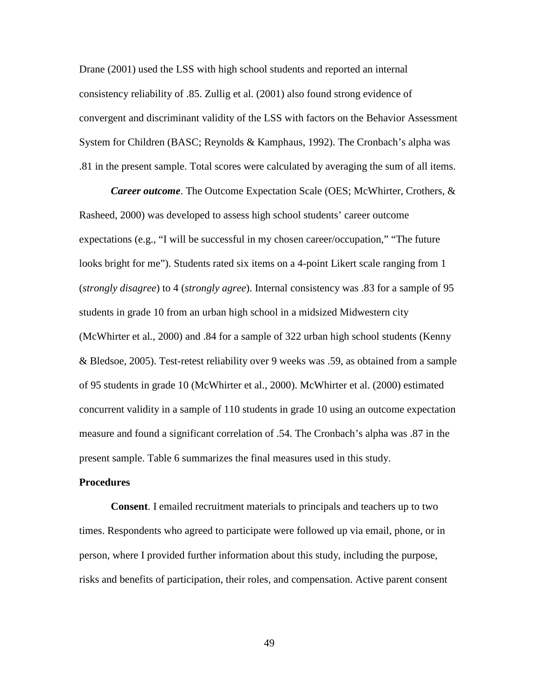Drane (2001) used the LSS with high school students and reported an internal consistency reliability of .85. Zullig et al. (2001) also found strong evidence of convergent and discriminant validity of the LSS with factors on the Behavior Assessment System for Children (BASC; Reynolds & Kamphaus, 1992). The Cronbach's alpha was .81 in the present sample. Total scores were calculated by averaging the sum of all items.

*Career outcome*. The Outcome Expectation Scale (OES; McWhirter, Crothers, & Rasheed, 2000) was developed to assess high school students' career outcome expectations (e.g., "I will be successful in my chosen career/occupation," "The future looks bright for me"). Students rated six items on a 4-point Likert scale ranging from 1 (*strongly disagree*) to 4 (*strongly agree*). Internal consistency was .83 for a sample of 95 students in grade 10 from an urban high school in a midsized Midwestern city (McWhirter et al., 2000) and .84 for a sample of 322 urban high school students (Kenny & Bledsoe, 2005). Test-retest reliability over 9 weeks was .59, as obtained from a sample of 95 students in grade 10 (McWhirter et al., 2000). McWhirter et al. (2000) estimated concurrent validity in a sample of 110 students in grade 10 using an outcome expectation measure and found a significant correlation of .54. The Cronbach's alpha was .87 in the present sample. Table 6 summarizes the final measures used in this study.

### **Procedures**

**Consent**. I emailed recruitment materials to principals and teachers up to two times. Respondents who agreed to participate were followed up via email, phone, or in person, where I provided further information about this study, including the purpose, risks and benefits of participation, their roles, and compensation. Active parent consent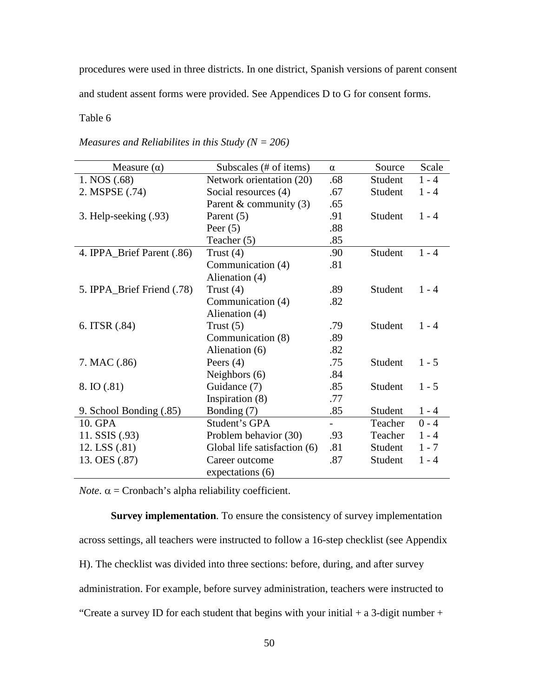procedures were used in three districts. In one district, Spanish versions of parent consent

and student assent forms were provided. See Appendices D to G for consent forms.

### Table 6

| Measure $(\alpha)$         | Subscales (# of items)       | $\alpha$ | Source  | Scale   |
|----------------------------|------------------------------|----------|---------|---------|
| 1. NOS (.68)               | Network orientation (20)     | .68      | Student | $1 - 4$ |
| 2. MSPSE (.74)             | Social resources (4)         | .67      | Student | $1 - 4$ |
|                            | Parent & community (3)       | .65      |         |         |
| 3. Help-seeking (.93)      | Parent (5)                   | .91      | Student | $1 - 4$ |
|                            | Peer $(5)$                   | .88      |         |         |
|                            | Teacher $(5)$                | .85      |         |         |
| 4. IPPA_Brief Parent (.86) | Trust $(4)$                  | .90      | Student | $1 - 4$ |
|                            | Communication (4)            | .81      |         |         |
|                            | Alienation (4)               |          |         |         |
| 5. IPPA_Brief Friend (.78) | Trust $(4)$                  | .89      | Student | $1 - 4$ |
|                            | Communication (4)            | .82      |         |         |
|                            | Alienation (4)               |          |         |         |
| 6. ITSR (.84)              | Trust $(5)$                  | .79      | Student | $1 - 4$ |
|                            | Communication (8)            | .89      |         |         |
|                            | Alienation (6)               | .82      |         |         |
| 7. MAC (.86)               | Peers $(4)$                  | .75      | Student | $1 - 5$ |
|                            | Neighbors (6)                | .84      |         |         |
| 8. IO (.81)                | Guidance (7)                 | .85      | Student | $1 - 5$ |
|                            | Inspiration (8)              | .77      |         |         |
| 9. School Bonding (.85)    | Bonding (7)                  | .85      | Student | $1 - 4$ |
| 10. GPA                    | Student's GPA                |          | Teacher | $0 - 4$ |
| 11. SSIS (.93)             | Problem behavior (30)        | .93      | Teacher | $1 - 4$ |
| 12. LSS (.81)              | Global life satisfaction (6) | .81      | Student | $1 - 7$ |
| 13. OES (.87)              | Career outcome               | .87      | Student | $1 - 4$ |
|                            | expectations (6)             |          |         |         |

*Note*.  $\alpha$  = Cronbach's alpha reliability coefficient.

**Survey implementation**. To ensure the consistency of survey implementation across settings, all teachers were instructed to follow a 16-step checklist (see Appendix H). The checklist was divided into three sections: before, during, and after survey administration. For example, before survey administration, teachers were instructed to "Create a survey ID for each student that begins with your initial  $+$  a 3-digit number  $+$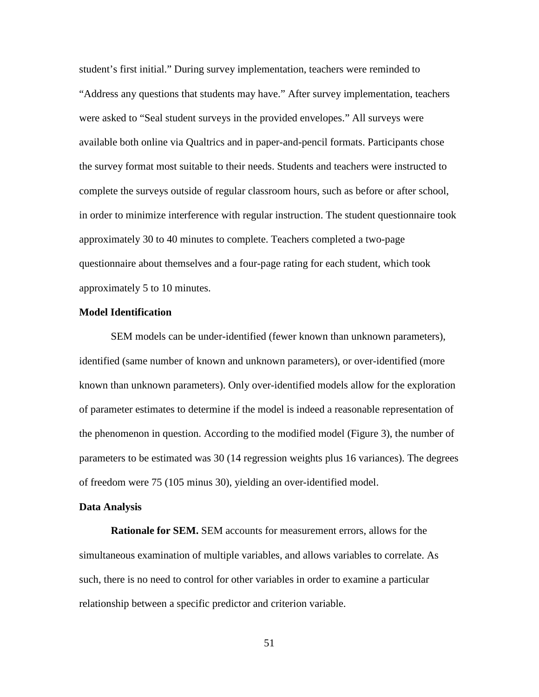student's first initial." During survey implementation, teachers were reminded to "Address any questions that students may have." After survey implementation, teachers were asked to "Seal student surveys in the provided envelopes." All surveys were available both online via Qualtrics and in paper-and-pencil formats. Participants chose the survey format most suitable to their needs. Students and teachers were instructed to complete the surveys outside of regular classroom hours, such as before or after school, in order to minimize interference with regular instruction. The student questionnaire took approximately 30 to 40 minutes to complete. Teachers completed a two-page questionnaire about themselves and a four-page rating for each student, which took approximately 5 to 10 minutes.

### **Model Identification**

SEM models can be under-identified (fewer known than unknown parameters), identified (same number of known and unknown parameters), or over-identified (more known than unknown parameters). Only over-identified models allow for the exploration of parameter estimates to determine if the model is indeed a reasonable representation of the phenomenon in question. According to the modified model (Figure 3), the number of parameters to be estimated was 30 (14 regression weights plus 16 variances). The degrees of freedom were 75 (105 minus 30), yielding an over-identified model.

#### **Data Analysis**

**Rationale for SEM.** SEM accounts for measurement errors, allows for the simultaneous examination of multiple variables, and allows variables to correlate. As such, there is no need to control for other variables in order to examine a particular relationship between a specific predictor and criterion variable.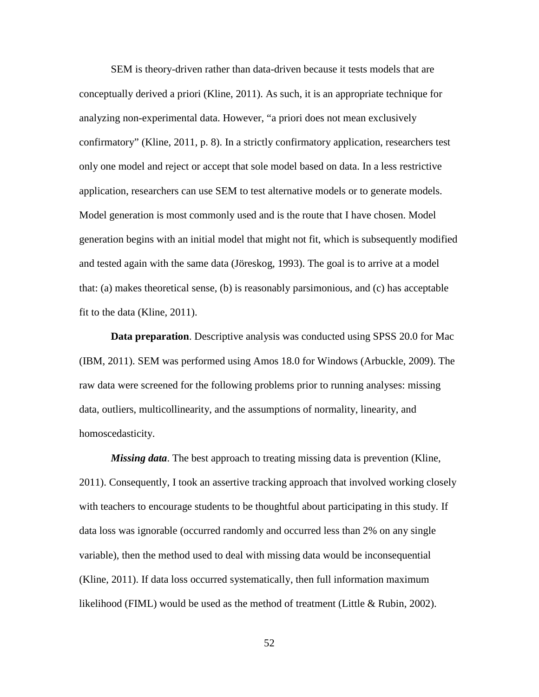SEM is theory-driven rather than data-driven because it tests models that are conceptually derived a priori (Kline, 2011). As such, it is an appropriate technique for analyzing non-experimental data. However, "a priori does not mean exclusively confirmatory" (Kline, 2011, p. 8). In a strictly confirmatory application, researchers test only one model and reject or accept that sole model based on data. In a less restrictive application, researchers can use SEM to test alternative models or to generate models. Model generation is most commonly used and is the route that I have chosen. Model generation begins with an initial model that might not fit, which is subsequently modified and tested again with the same data (Jöreskog, 1993). The goal is to arrive at a model that: (a) makes theoretical sense, (b) is reasonably parsimonious, and (c) has acceptable fit to the data (Kline, 2011).

**Data preparation**. Descriptive analysis was conducted using SPSS 20.0 for Mac (IBM, 2011). SEM was performed using Amos 18.0 for Windows (Arbuckle, 2009). The raw data were screened for the following problems prior to running analyses: missing data, outliers, multicollinearity, and the assumptions of normality, linearity, and homoscedasticity.

*Missing data*. The best approach to treating missing data is prevention (Kline, 2011). Consequently, I took an assertive tracking approach that involved working closely with teachers to encourage students to be thoughtful about participating in this study. If data loss was ignorable (occurred randomly and occurred less than 2% on any single variable), then the method used to deal with missing data would be inconsequential (Kline, 2011). If data loss occurred systematically, then full information maximum likelihood (FIML) would be used as the method of treatment (Little  $\&$  Rubin, 2002).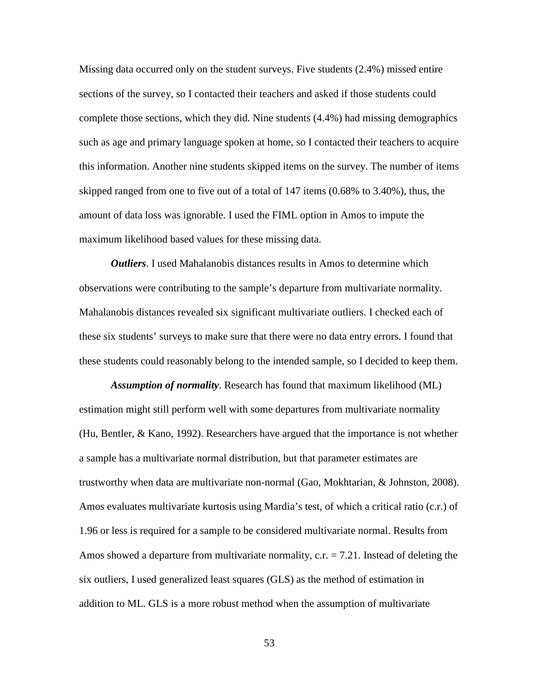Missing data occurred only on the student surveys. Five students (2.4%) missed entire sections of the survey, so I contacted their teachers and asked if those students could complete those sections, which they did. Nine students (4.4%) had missing demographics such as age and primary language spoken at home, so I contacted their teachers to acquire this information. Another nine students skipped items on the survey. The number of items skipped ranged from one to five out of a total of 147 items (0.68% to 3.40%), thus, the amount of data loss was ignorable. I used the FIML option in Amos to impute the maximum likelihood based values for these missing data.

*Outliers*. I used Mahalanobis distances results in Amos to determine which observations were contributing to the sample's departure from multivariate normality. Mahalanobis distances revealed six significant multivariate outliers. I checked each of these six students' surveys to make sure that there were no data entry errors. I found that these students could reasonably belong to the intended sample, so I decided to keep them.

*Assumption of normality*. Research has found that maximum likelihood (ML) estimation might still perform well with some departures from multivariate normality (Hu, Bentler, & Kano, 1992). Researchers have argued that the importance is not whether a sample has a multivariate normal distribution, but that parameter estimates are trustworthy when data are multivariate non-normal (Gao, Mokhtarian, & Johnston, 2008). Amos evaluates multivariate kurtosis using Mardia's test, of which a critical ratio (c.r.) of 1.96 or less is required for a sample to be considered multivariate normal. Results from Amos showed a departure from multivariate normality,  $c.r. = 7.21$ . Instead of deleting the six outliers, I used generalized least squares (GLS) as the method of estimation in addition to ML. GLS is a more robust method when the assumption of multivariate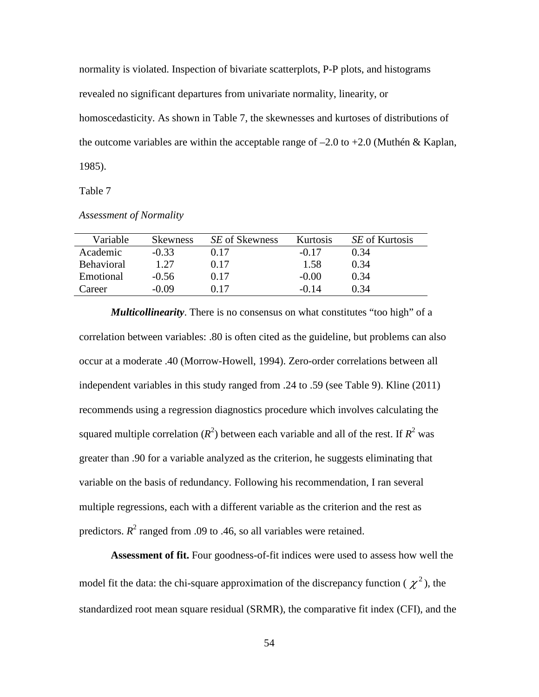normality is violated. Inspection of bivariate scatterplots, P-P plots, and histograms revealed no significant departures from univariate normality, linearity, or homoscedasticity. As shown in Table 7, the skewnesses and kurtoses of distributions of the outcome variables are within the acceptable range of  $-2.0$  to  $+2.0$  (Muthén & Kaplan, 1985).

Table 7

*Assessment of Normality* 

| Variable          | Skewness | SE of Skewness | <b>Kurtosis</b> | <i>SE</i> of Kurtosis |
|-------------------|----------|----------------|-----------------|-----------------------|
| Academic          | $-0.33$  | 0.17           | $-0.17$         | 0.34                  |
| <b>Behavioral</b> | 1.27     | 0.17           | 1.58            | 0.34                  |
| Emotional         | $-0.56$  | 0.17           | $-0.00$         | 0.34                  |
| Career            | $-0.09$  | 0.17           | -0.14           | 0.34                  |

 *Multicollinearity*. There is no consensus on what constitutes "too high" of a correlation between variables: .80 is often cited as the guideline, but problems can also occur at a moderate .40 (Morrow-Howell, 1994). Zero-order correlations between all independent variables in this study ranged from .24 to .59 (see Table 9). Kline (2011) recommends using a regression diagnostics procedure which involves calculating the squared multiple correlation  $(R^2)$  between each variable and all of the rest. If  $R^2$  was greater than .90 for a variable analyzed as the criterion, he suggests eliminating that variable on the basis of redundancy. Following his recommendation, I ran several multiple regressions, each with a different variable as the criterion and the rest as predictors.  $R^2$  ranged from .09 to .46, so all variables were retained.

**Assessment of fit.** Four goodness-of-fit indices were used to assess how well the model fit the data: the chi-square approximation of the discrepancy function ( $\chi^2$ ), the standardized root mean square residual (SRMR), the comparative fit index (CFI), and the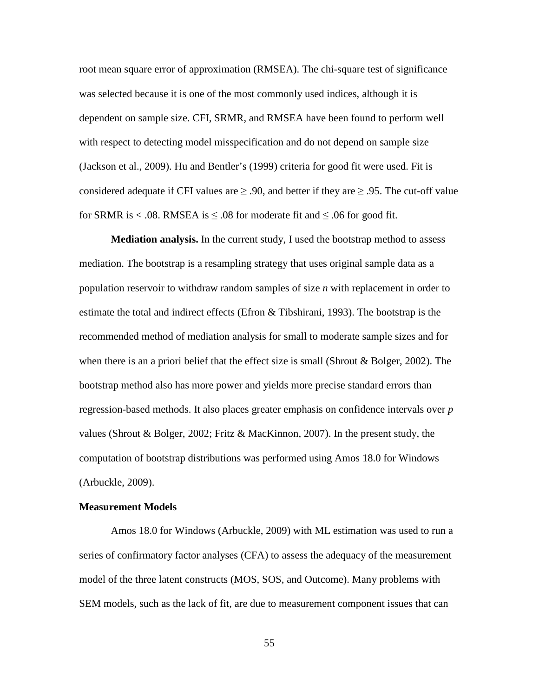root mean square error of approximation (RMSEA). The chi-square test of significance was selected because it is one of the most commonly used indices, although it is dependent on sample size. CFI, SRMR, and RMSEA have been found to perform well with respect to detecting model misspecification and do not depend on sample size (Jackson et al., 2009). Hu and Bentler's (1999) criteria for good fit were used. Fit is considered adequate if CFI values are  $\geq$  .90, and better if they are  $\geq$  .95. The cut-off value for SRMR is < .08. RMSEA is  $\leq$  .08 for moderate fit and  $\leq$  .06 for good fit.

**Mediation analysis.** In the current study, I used the bootstrap method to assess mediation. The bootstrap is a resampling strategy that uses original sample data as a population reservoir to withdraw random samples of size *n* with replacement in order to estimate the total and indirect effects (Efron & Tibshirani, 1993). The bootstrap is the recommended method of mediation analysis for small to moderate sample sizes and for when there is an a priori belief that the effect size is small (Shrout & Bolger, 2002). The bootstrap method also has more power and yields more precise standard errors than regression-based methods. It also places greater emphasis on confidence intervals over *p* values (Shrout & Bolger, 2002; Fritz & MacKinnon, 2007). In the present study, the computation of bootstrap distributions was performed using Amos 18.0 for Windows (Arbuckle, 2009).

### **Measurement Models**

Amos 18.0 for Windows (Arbuckle, 2009) with ML estimation was used to run a series of confirmatory factor analyses (CFA) to assess the adequacy of the measurement model of the three latent constructs (MOS, SOS, and Outcome). Many problems with SEM models, such as the lack of fit, are due to measurement component issues that can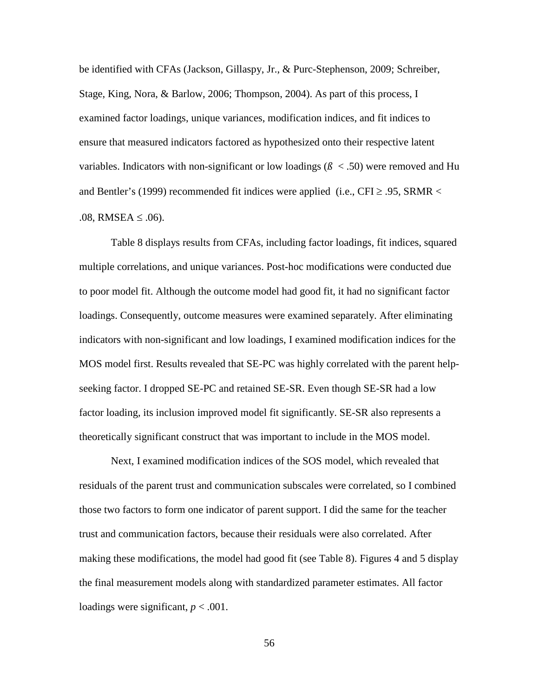be identified with CFAs (Jackson, Gillaspy, Jr., & Purc-Stephenson, 2009; Schreiber, Stage, King, Nora, & Barlow, 2006; Thompson, 2004). As part of this process, I examined factor loadings, unique variances, modification indices, and fit indices to ensure that measured indicators factored as hypothesized onto their respective latent variables. Indicators with non-significant or low loadings ( $\beta$  < .50) were removed and Hu and Bentler's (1999) recommended fit indices were applied (i.e.,  $CFI \ge 0.95$ , SRMR < .08, RMSEA ≤ .06).

Table 8 displays results from CFAs, including factor loadings, fit indices, squared multiple correlations, and unique variances. Post-hoc modifications were conducted due to poor model fit. Although the outcome model had good fit, it had no significant factor loadings. Consequently, outcome measures were examined separately. After eliminating indicators with non-significant and low loadings, I examined modification indices for the MOS model first. Results revealed that SE-PC was highly correlated with the parent helpseeking factor. I dropped SE-PC and retained SE-SR. Even though SE-SR had a low factor loading, its inclusion improved model fit significantly. SE-SR also represents a theoretically significant construct that was important to include in the MOS model.

Next, I examined modification indices of the SOS model, which revealed that residuals of the parent trust and communication subscales were correlated, so I combined those two factors to form one indicator of parent support. I did the same for the teacher trust and communication factors, because their residuals were also correlated. After making these modifications, the model had good fit (see Table 8). Figures 4 and 5 display the final measurement models along with standardized parameter estimates. All factor loadings were significant,  $p < .001$ .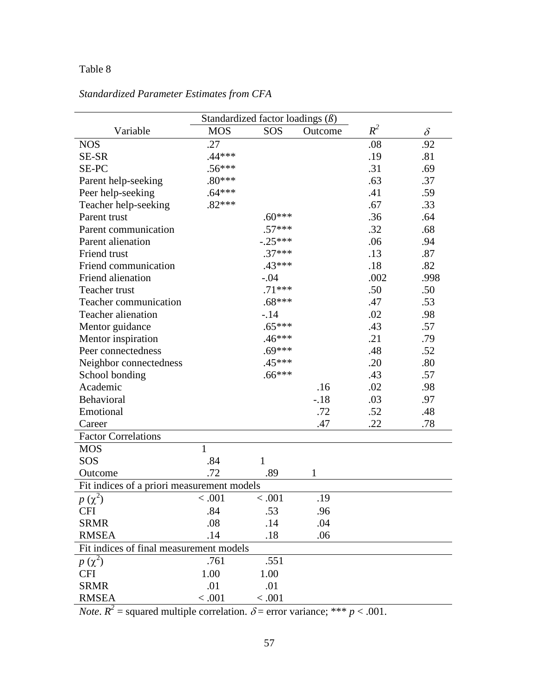# Table 8

| Standardized factor loadings $(\beta)$     |              |              |         |       |          |  |  |
|--------------------------------------------|--------------|--------------|---------|-------|----------|--|--|
| Variable                                   | <b>MOS</b>   | SOS          | Outcome | $R^2$ | $\delta$ |  |  |
| <b>NOS</b>                                 | .27          |              |         | .08   | .92      |  |  |
| SE-SR                                      | $.44***$     |              |         | .19   | .81      |  |  |
| SE-PC                                      | $.56***$     |              |         | .31   | .69      |  |  |
| Parent help-seeking                        | $.80***$     |              |         | .63   | .37      |  |  |
| Peer help-seeking                          | $.64***$     |              |         | .41   | .59      |  |  |
| Teacher help-seeking                       | $.82***$     |              |         | .67   | .33      |  |  |
| Parent trust                               |              | $.60***$     |         | .36   | .64      |  |  |
| Parent communication                       |              | $.57***$     |         | .32   | .68      |  |  |
| Parent alienation                          |              | $-.25***$    |         | .06   | .94      |  |  |
| Friend trust                               |              | $.37***$     |         | .13   | .87      |  |  |
| Friend communication                       |              | $.43***$     |         | .18   | .82      |  |  |
| Friend alienation                          |              | $-.04$       |         | .002  | .998     |  |  |
| Teacher trust                              |              | $.71***$     |         | .50   | .50      |  |  |
| Teacher communication                      |              | $.68***$     |         | .47   | .53      |  |  |
| <b>Teacher alienation</b>                  |              | $-.14$       |         | .02   | .98      |  |  |
| Mentor guidance                            |              | $.65***$     |         | .43   | .57      |  |  |
| Mentor inspiration                         |              | $.46***$     |         | .21   | .79      |  |  |
| Peer connectedness                         |              | $.69***$     |         | .48   | .52      |  |  |
| Neighbor connectedness                     |              | $.45***$     |         | .20   | .80      |  |  |
| School bonding                             |              | $.66***$     |         | .43   | .57      |  |  |
| Academic                                   |              |              | .16     | .02   | .98      |  |  |
| Behavioral                                 |              |              | $-.18$  | .03   | .97      |  |  |
| Emotional                                  |              |              | .72     | .52   | .48      |  |  |
| Career                                     |              |              | .47     | .22   | .78      |  |  |
| <b>Factor Correlations</b>                 |              |              |         |       |          |  |  |
| <b>MOS</b>                                 | $\mathbf{1}$ |              |         |       |          |  |  |
| SOS                                        | .84          | $\mathbf{1}$ |         |       |          |  |  |
| Outcome                                    | .72          | .89          | 1       |       |          |  |  |
| Fit indices of a priori measurement models |              |              |         |       |          |  |  |
| $p(\chi^2)$                                | < 0.001      | < .001       | .19     |       |          |  |  |
| <b>CFI</b>                                 | .84          | .53          | .96     |       |          |  |  |
| <b>SRMR</b>                                | .08          | .14          | .04     |       |          |  |  |
| <b>RMSEA</b>                               | .14          | .18          | .06     |       |          |  |  |
| Fit indices of final measurement models    |              |              |         |       |          |  |  |
| $p(\chi^2)$                                | .761         | .551         |         |       |          |  |  |
| <b>CFI</b>                                 | 1.00         | 1.00         |         |       |          |  |  |
| <b>SRMR</b>                                | .01          | .01          |         |       |          |  |  |
| <b>RMSEA</b>                               | < .001       | < .001       |         |       |          |  |  |

# *Standardized Parameter Estimates from CFA*

*Note*.  $R^2$  = squared multiple correlation.  $\delta$  = error variance; \*\*\* *p* < .001.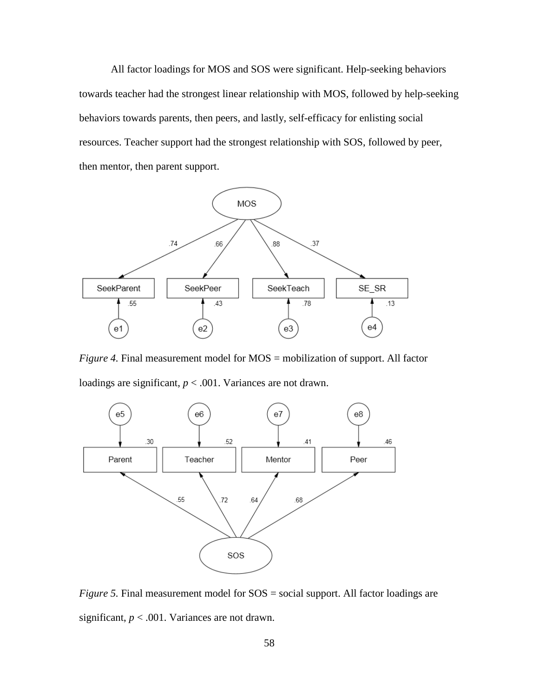All factor loadings for MOS and SOS were significant. Help-seeking behaviors towards teacher had the strongest linear relationship with MOS, followed by help-seeking behaviors towards parents, then peers, and lastly, self-efficacy for enlisting social resources. Teacher support had the strongest relationship with SOS, followed by peer, then mentor, then parent support.



*Figure 4.* Final measurement model for MOS = mobilization of support. All factor loadings are significant,  $p < .001$ . Variances are not drawn.



*Figure 5.* Final measurement model for  $SOS = social$  support. All factor loadings are significant,  $p < .001$ . Variances are not drawn.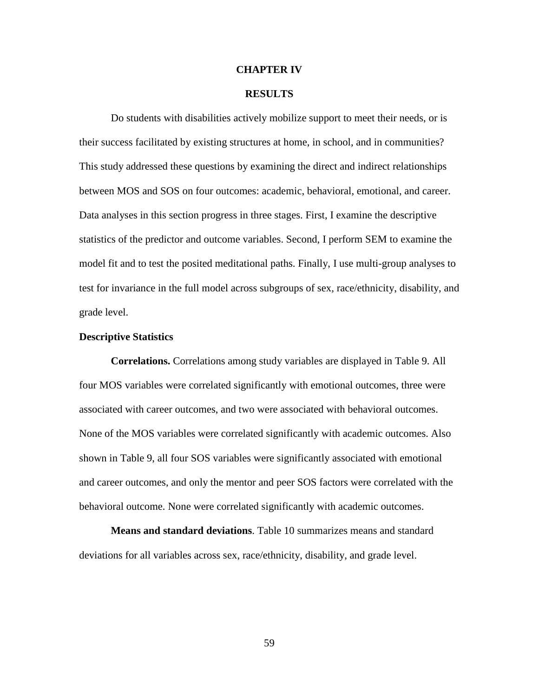### **CHAPTER IV**

### **RESULTS**

Do students with disabilities actively mobilize support to meet their needs, or is their success facilitated by existing structures at home, in school, and in communities? This study addressed these questions by examining the direct and indirect relationships between MOS and SOS on four outcomes: academic, behavioral, emotional, and career. Data analyses in this section progress in three stages. First, I examine the descriptive statistics of the predictor and outcome variables. Second, I perform SEM to examine the model fit and to test the posited meditational paths. Finally, I use multi-group analyses to test for invariance in the full model across subgroups of sex, race/ethnicity, disability, and grade level.

### **Descriptive Statistics**

**Correlations.** Correlations among study variables are displayed in Table 9. All four MOS variables were correlated significantly with emotional outcomes, three were associated with career outcomes, and two were associated with behavioral outcomes. None of the MOS variables were correlated significantly with academic outcomes. Also shown in Table 9, all four SOS variables were significantly associated with emotional and career outcomes, and only the mentor and peer SOS factors were correlated with the behavioral outcome. None were correlated significantly with academic outcomes.

**Means and standard deviations**. Table 10 summarizes means and standard deviations for all variables across sex, race/ethnicity, disability, and grade level.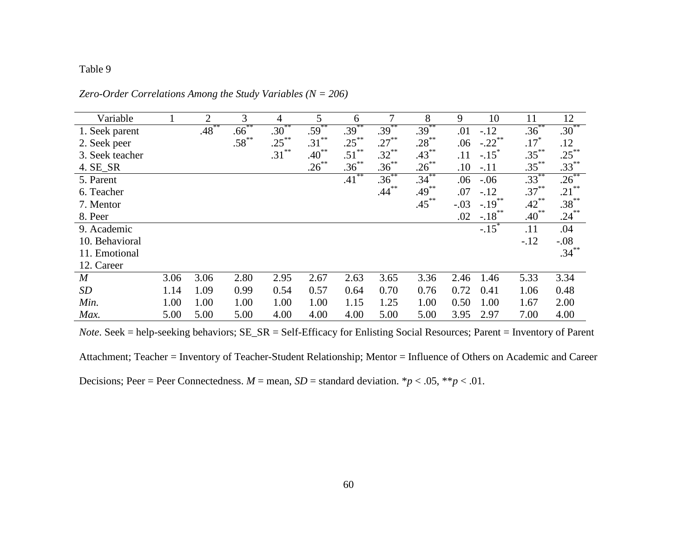## Table 9

| Variable         |      | 2        | 3          | 4        | 5          | 6          | 7        | 8        | 9      | 10                   | 11                 | 12       |
|------------------|------|----------|------------|----------|------------|------------|----------|----------|--------|----------------------|--------------------|----------|
| 1. Seek parent   |      | $.48***$ | $.66^{**}$ | $.30***$ | $.59***$   | $.39***$   | $.39***$ | $.39***$ | .01    | $-.12$               | $.36***$           | $.30***$ |
| 2. Seek peer     |      |          | $.58^{**}$ | $.25***$ | $.31***$   | $.25***$   | $.27***$ | $.28***$ | .06    | $-.22$ **            | $.17$ <sup>*</sup> | .12      |
| 3. Seek teacher  |      |          |            | $.31***$ | $.40^{**}$ | $.51***$   | $.32***$ | $.43***$ | .11    | $-.15$ <sup>*</sup>  | $.35***$           | $.25***$ |
| 4. SE_SR         |      |          |            |          | $.26***$   | $.36^{**}$ | $.36***$ | $.26***$ | .10    | $-.11$               | $.35***$           | $.33***$ |
| 5. Parent        |      |          |            |          |            | $.41***$   | $.36***$ | $.34***$ | .06    | $-.06$               | $.33***$           | $.26***$ |
| 6. Teacher       |      |          |            |          |            |            | $.44***$ | $.49***$ | .07    | $-.12$               | $.37***$           | $.21***$ |
| 7. Mentor        |      |          |            |          |            |            |          | $.45***$ | $-.03$ | $-.19$ <sup>**</sup> | $.42***$           | $.38***$ |
| 8. Peer          |      |          |            |          |            |            |          |          | .02    | $-.18$ <sup>**</sup> | $.40^{**}$         | $.24***$ |
| 9. Academic      |      |          |            |          |            |            |          |          |        | $-.15$ <sup>*</sup>  | .11                | .04      |
| 10. Behavioral   |      |          |            |          |            |            |          |          |        |                      | $-.12$             | $-.08$   |
| 11. Emotional    |      |          |            |          |            |            |          |          |        |                      |                    | $.34***$ |
| 12. Career       |      |          |            |          |            |            |          |          |        |                      |                    |          |
| $\boldsymbol{M}$ | 3.06 | 3.06     | 2.80       | 2.95     | 2.67       | 2.63       | 3.65     | 3.36     | 2.46   | 1.46                 | 5.33               | 3.34     |
| <b>SD</b>        | 1.14 | 1.09     | 0.99       | 0.54     | 0.57       | 0.64       | 0.70     | 0.76     | 0.72   | 0.41                 | 1.06               | 0.48     |
| Min.             | 1.00 | 1.00     | 1.00       | 1.00     | 1.00       | 1.15       | 1.25     | 1.00     | 0.50   | 1.00                 | 1.67               | 2.00     |
| Max.             | 5.00 | 5.00     | 5.00       | 4.00     | 4.00       | 4.00       | 5.00     | 5.00     | 3.95   | 2.97                 | 7.00               | 4.00     |

*Zero-Order Correlations Among the Study Variables (N = 206)* 

*Note*. Seek = help-seeking behaviors; SE\_SR = Self-Efficacy for Enlisting Social Resources; Parent = Inventory of Parent

Attachment; Teacher = Inventory of Teacher-Student Relationship; Mentor = Influence of Others on Academic and Career Decisions; Peer = Peer Connectedness.  $M =$  mean,  $SD =$  standard deviation. \* $p < .05$ , \*\* $p < .01$ .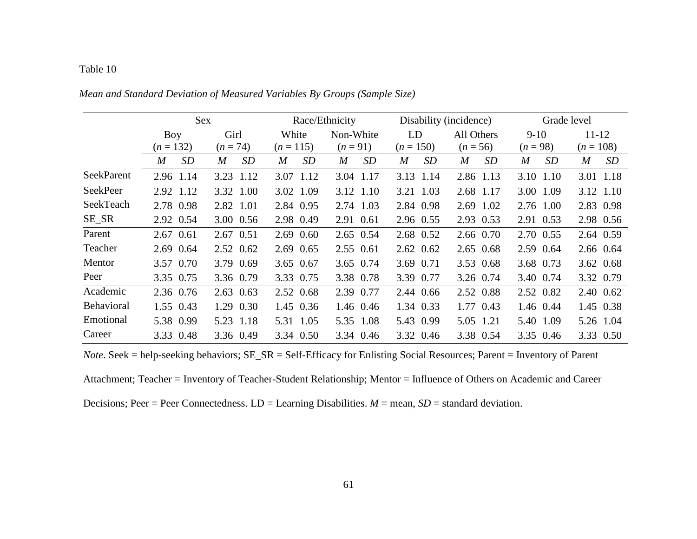# Table 10

|                   | <b>Sex</b>  |                        |                        | Race/Ethnicity         |                               | Disability (incidence) | Grade level |             |  |
|-------------------|-------------|------------------------|------------------------|------------------------|-------------------------------|------------------------|-------------|-------------|--|
|                   | Boy         | Girl                   | White                  | Non-White              | LD                            | All Others             | $9-10$      | $11 - 12$   |  |
|                   | $(n = 132)$ | $(n = 74)$             | $(n = 115)$            | $(n = 91)$             | $(n = 150)$                   | $(n = 56)$             | $(n = 98)$  | $(n = 108)$ |  |
|                   | SD<br>M     | SD<br>$\boldsymbol{M}$ | SD<br>$\boldsymbol{M}$ | SD<br>$\boldsymbol{M}$ | <i>SD</i><br>$\boldsymbol{M}$ | SD<br>M                | SD<br>M     | SD<br>M     |  |
| <b>SeekParent</b> | 2.96 1.14   | 3.23<br>1.12           | 3.07 1.12              | 3.04 1.17              | 3.13<br>1.14                  | 2.86 1.13              | 3.10 1.10   | 3.01 1.18   |  |
| <b>SeekPeer</b>   | 2.92 1.12   | 3.32 1.00              | 3.02 1.09              | 3.12 1.10              | 3.21 1.03                     | 2.68 1.17              | 3.00 1.09   | 3.12 1.10   |  |
| SeekTeach         | 2.78 0.98   | 2.82 1.01              | 2.84 0.95              | 2.74 1.03              | 2.84 0.98                     | 2.69 1.02              | 2.76 1.00   | 2.83 0.98   |  |
| SE_SR             | 2.92 0.54   | 3.00 0.56              | 2.98 0.49              | 2.91 0.61              | 2.96 0.55                     | 2.93 0.53              | 2.91 0.53   | 2.98 0.56   |  |
| Parent            | 2.67 0.61   | 2.67 0.51              | 2.69 0.60              | 2.65 0.54              | 2.68 0.52                     | 2.66 0.70              | 2.70 0.55   | 2.64 0.59   |  |
| Teacher           | 2.69 0.64   | 2.52 0.62              | 2.69 0.65              | 2.55 0.61              | $2.62 \quad 0.62$             | 2.65 0.68              | 2.59 0.64   | 2.66 0.64   |  |
| Mentor            | 3.57 0.70   | 3.79 0.69              | 3.65 0.67              | 3.65 0.74              | 3.69 0.71                     | 3.53 0.68              | 3.68 0.73   | 3.62 0.68   |  |
| Peer              | 3.35 0.75   | 3.36 0.79              | 3.33 0.75              | 3.38 0.78              | 3.39 0.77                     | 3.26 0.74              | 3.40 0.74   | 3.32 0.79   |  |
| Academic          | 2.36 0.76   | 2.63 0.63              | 2.52 0.68              | 2.39<br>0.77           | 2.44 0.66                     | 2.52 0.88              | 2.52 0.82   | 2.40 0.62   |  |
| Behavioral        | 1.55 0.43   | 1.29 0.30              | 1.45 0.36              | 1.46 0.46              | 1.34 0.33                     | 1.77 0.43              | 1.46 0.44   | 1.45 0.38   |  |
| Emotional         | 5.38 0.99   | 5.23 1.18              | 5.31 1.05              | 5.35 1.08              | 5.43 0.99                     | 5.05 1.21              | 5.40 1.09   | 5.26 1.04   |  |
| Career            | 3.33 0.48   | 3.36 0.49              | 3.34 0.50              | 3.34 0.46              | 3.32 0.46                     | 3.38 0.54              | 3.35 0.46   | 3.33 0.50   |  |

*Mean and Standard Deviation of Measured Variables By Groups (Sample Size)* 

*Note*. Seek = help-seeking behaviors; SE\_SR = Self-Efficacy for Enlisting Social Resources; Parent = Inventory of Parent

Attachment; Teacher = Inventory of Teacher-Student Relationship; Mentor = Influence of Others on Academic and Career

Decisions; Peer = Peer Connectedness. LD = Learning Disabilities. *M* = mean, *SD* = standard deviation.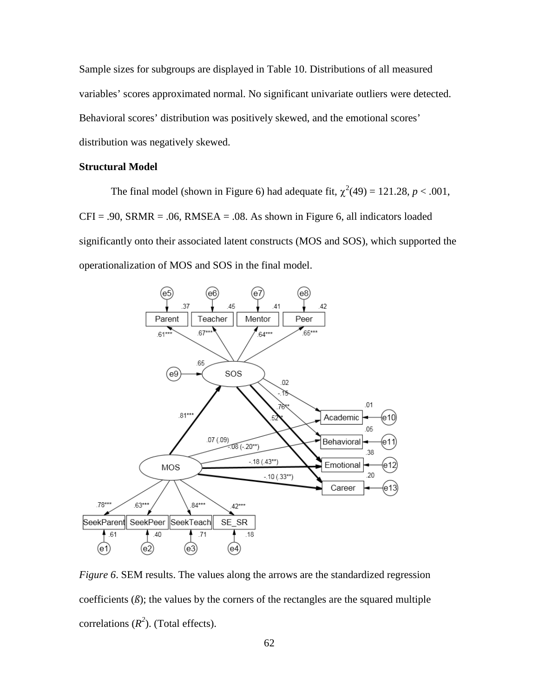Sample sizes for subgroups are displayed in Table 10. Distributions of all measured variables' scores approximated normal. No significant univariate outliers were detected. Behavioral scores' distribution was positively skewed, and the emotional scores' distribution was negatively skewed.

# **Structural Model**

The final model (shown in Figure 6) had adequate fit,  $\chi^2(49) = 121.28$ ,  $p < .001$ ,  $CFI = .90$ ,  $SRMR = .06$ ,  $RMSEA = .08$ . As shown in Figure 6, all indicators loaded significantly onto their associated latent constructs (MOS and SOS), which supported the operationalization of MOS and SOS in the final model.



*Figure 6*. SEM results. The values along the arrows are the standardized regression coefficients  $(\beta)$ ; the values by the corners of the rectangles are the squared multiple correlations  $(R^2)$ . (Total effects).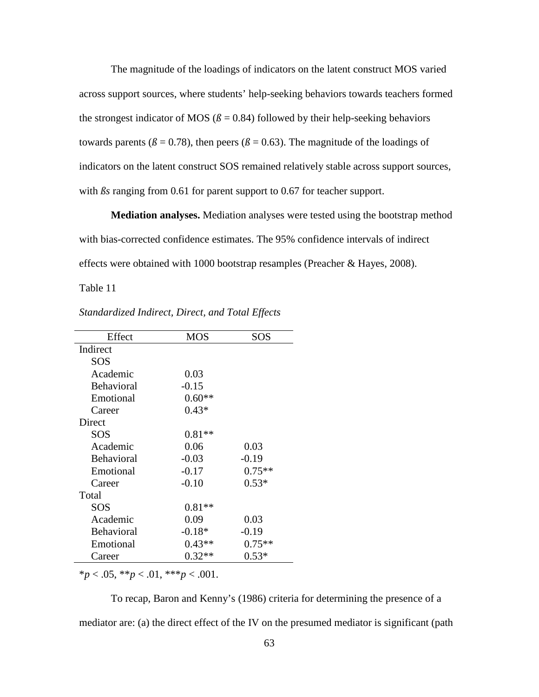The magnitude of the loadings of indicators on the latent construct MOS varied across support sources, where students' help-seeking behaviors towards teachers formed the strongest indicator of MOS ( $\beta$  = 0.84) followed by their help-seeking behaviors towards parents ( $\beta$  = 0.78), then peers ( $\beta$  = 0.63). The magnitude of the loadings of indicators on the latent construct SOS remained relatively stable across support sources, with  $\beta s$  ranging from 0.61 for parent support to 0.67 for teacher support.

**Mediation analyses.** Mediation analyses were tested using the bootstrap method with bias-corrected confidence estimates. The 95% confidence intervals of indirect effects were obtained with 1000 bootstrap resamples (Preacher & Hayes, 2008).

Table 11

| Effect            | <b>MOS</b> | SOS      |
|-------------------|------------|----------|
| Indirect          |            |          |
| SOS               |            |          |
| Academic          | 0.03       |          |
| <b>Behavioral</b> | $-0.15$    |          |
| Emotional         | $0.60**$   |          |
| Career            | $0.43*$    |          |
| Direct            |            |          |
| SOS               | $0.81**$   |          |
| Academic          | 0.06       | 0.03     |
| <b>Behavioral</b> | $-0.03$    | $-0.19$  |
| Emotional         | $-0.17$    | $0.75**$ |
| Career            | $-0.10$    | $0.53*$  |
| Total             |            |          |
| SOS               | $0.81**$   |          |
| Academic          | 0.09       | 0.03     |
| Behavioral        | $-0.18*$   | $-0.19$  |
| Emotional         | $0.43**$   | $0.75**$ |
| Career            | $0.32**$   | $0.53*$  |

*Standardized Indirect, Direct, and Total Effects* 

 $*_{p}$  < .05, \*\**p* < .01, \*\*\**p* < .001.

To recap, Baron and Kenny's (1986) criteria for determining the presence of a mediator are: (a) the direct effect of the IV on the presumed mediator is significant (path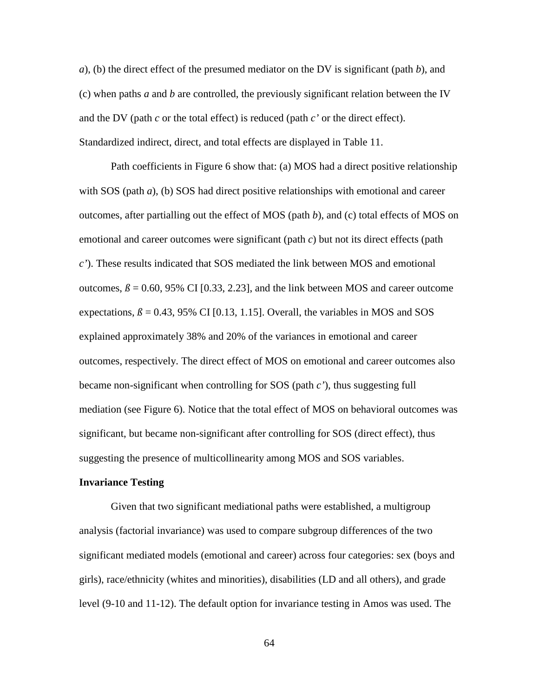*a*), (b) the direct effect of the presumed mediator on the DV is significant (path *b*), and (c) when paths *a* and *b* are controlled, the previously significant relation between the IV and the DV (path *c* or the total effect) is reduced (path *c'* or the direct effect). Standardized indirect, direct, and total effects are displayed in Table 11.

Path coefficients in Figure 6 show that: (a) MOS had a direct positive relationship with SOS (path *a*), (b) SOS had direct positive relationships with emotional and career outcomes, after partialling out the effect of MOS (path *b*), and (c) total effects of MOS on emotional and career outcomes were significant (path *c*) but not its direct effects (path *c'*). These results indicated that SOS mediated the link between MOS and emotional outcomes,  $\beta$  = 0.60, 95% CI [0.33, 2.23], and the link between MOS and career outcome expectations,  $\beta$  = 0.43, 95% CI [0.13, 1.15]. Overall, the variables in MOS and SOS explained approximately 38% and 20% of the variances in emotional and career outcomes, respectively. The direct effect of MOS on emotional and career outcomes also became non-significant when controlling for SOS (path *c'*), thus suggesting full mediation (see Figure 6). Notice that the total effect of MOS on behavioral outcomes was significant, but became non-significant after controlling for SOS (direct effect), thus suggesting the presence of multicollinearity among MOS and SOS variables.

### **Invariance Testing**

 Given that two significant mediational paths were established, a multigroup analysis (factorial invariance) was used to compare subgroup differences of the two significant mediated models (emotional and career) across four categories: sex (boys and girls), race/ethnicity (whites and minorities), disabilities (LD and all others), and grade level (9-10 and 11-12). The default option for invariance testing in Amos was used. The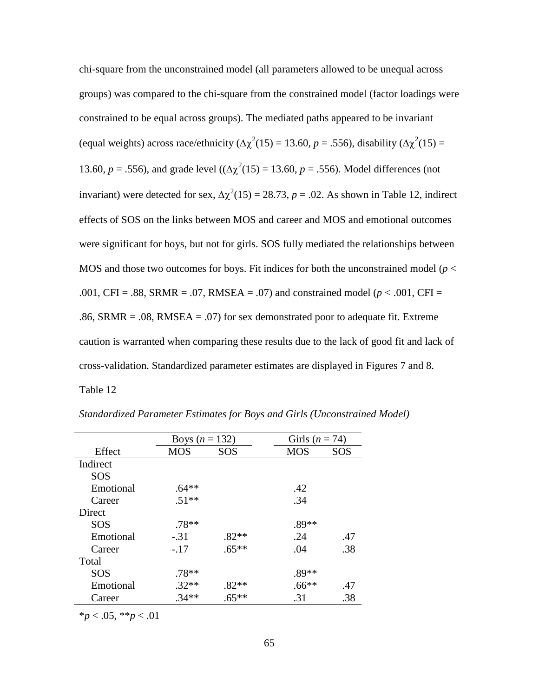chi-square from the unconstrained model (all parameters allowed to be unequal across groups) was compared to the chi-square from the constrained model (factor loadings were constrained to be equal across groups). The mediated paths appeared to be invariant (equal weights) across race/ethnicity ( $\Delta \chi^2(15) = 13.60$ ,  $p = .556$ ), disability ( $\Delta \chi^2(15) =$ 13.60, *p* = .556), and grade level  $((\Delta \chi^2(15) = 13.60, p = .556)$ . Model differences (not invariant) were detected for sex,  $\Delta \chi^2(15) = 28.73$ ,  $p = .02$ . As shown in Table 12, indirect effects of SOS on the links between MOS and career and MOS and emotional outcomes were significant for boys, but not for girls. SOS fully mediated the relationships between MOS and those two outcomes for boys. Fit indices for both the unconstrained model ( $p <$ .001, CFI = .88, SRMR = .07, RMSEA = .07) and constrained model (*p* < .001, CFI = .86, SRMR = .08, RMSEA = .07) for sex demonstrated poor to adequate fit. Extreme caution is warranted when comparing these results due to the lack of good fit and lack of cross-validation. Standardized parameter estimates are displayed in Figures 7 and 8. Table 12

|            | Boys $(n = 132)$ |         |            | Girls ( $n = 74$ ) |  |
|------------|------------------|---------|------------|--------------------|--|
| Effect     | <b>MOS</b>       | SOS     | <b>MOS</b> | <b>SOS</b>         |  |
| Indirect   |                  |         |            |                    |  |
| <b>SOS</b> |                  |         |            |                    |  |
| Emotional  | $.64**$          |         | .42        |                    |  |
| Career     | $.51**$          |         | .34        |                    |  |
| Direct     |                  |         |            |                    |  |
| <b>SOS</b> | $.78**$          |         | $.89**$    |                    |  |
| Emotional  | $-.31$           | $.82**$ | .24        | .47                |  |
| Career     | $-.17$           | $.65**$ | .04        | .38                |  |
| Total      |                  |         |            |                    |  |
| <b>SOS</b> | $.78**$          |         | $.89**$    |                    |  |
| Emotional  | $.32**$          | .82**   | $.66**$    | .47                |  |
| Career     | $.34**$          | $.65**$ | .31        | .38                |  |

*Standardized Parameter Estimates for Boys and Girls (Unconstrained Model)* 

\**p* < .05, \*\**p* < .01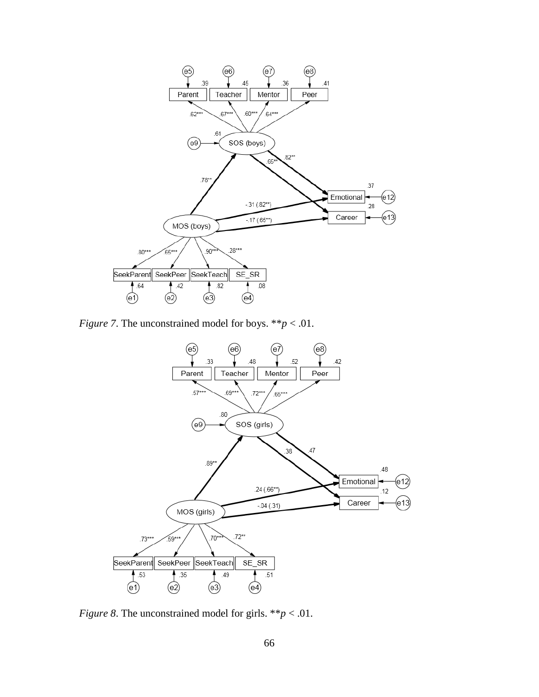

*Figure 7*. The unconstrained model for boys. \*\**p* < .01.



*Figure 8*. The unconstrained model for girls. \*\**p* < .01.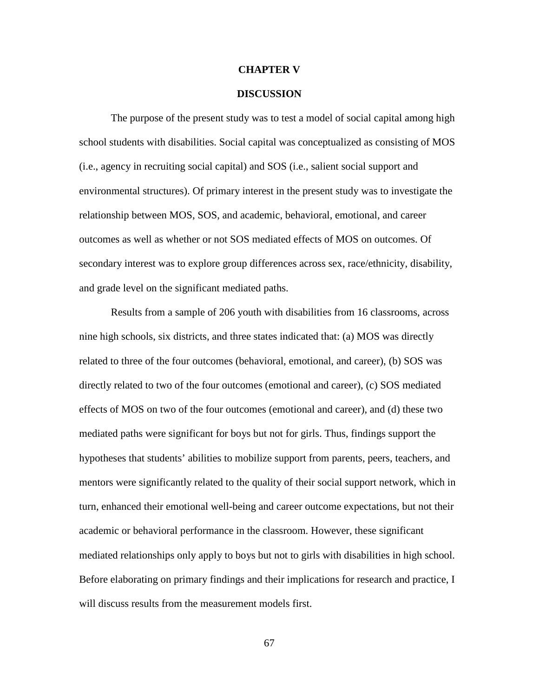#### **CHAPTER V**

### **DISCUSSION**

The purpose of the present study was to test a model of social capital among high school students with disabilities. Social capital was conceptualized as consisting of MOS (i.e., agency in recruiting social capital) and SOS (i.e., salient social support and environmental structures). Of primary interest in the present study was to investigate the relationship between MOS, SOS, and academic, behavioral, emotional, and career outcomes as well as whether or not SOS mediated effects of MOS on outcomes. Of secondary interest was to explore group differences across sex, race/ethnicity, disability, and grade level on the significant mediated paths.

Results from a sample of 206 youth with disabilities from 16 classrooms, across nine high schools, six districts, and three states indicated that: (a) MOS was directly related to three of the four outcomes (behavioral, emotional, and career), (b) SOS was directly related to two of the four outcomes (emotional and career), (c) SOS mediated effects of MOS on two of the four outcomes (emotional and career), and (d) these two mediated paths were significant for boys but not for girls. Thus, findings support the hypotheses that students' abilities to mobilize support from parents, peers, teachers, and mentors were significantly related to the quality of their social support network, which in turn, enhanced their emotional well-being and career outcome expectations, but not their academic or behavioral performance in the classroom. However, these significant mediated relationships only apply to boys but not to girls with disabilities in high school. Before elaborating on primary findings and their implications for research and practice, I will discuss results from the measurement models first.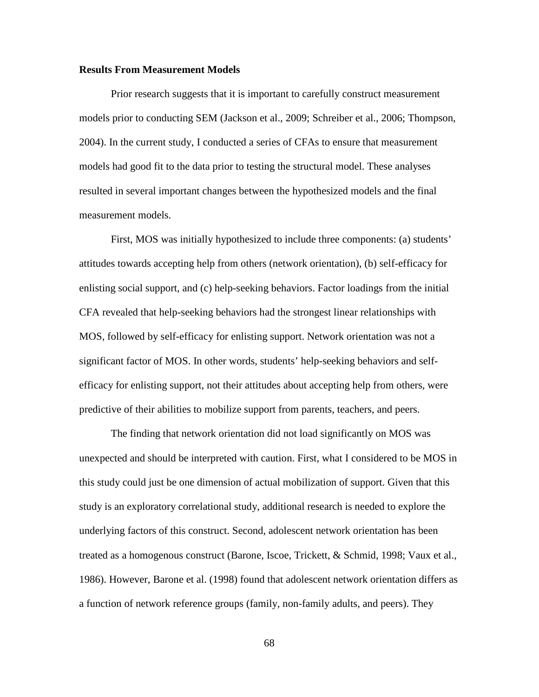# **Results From Measurement Models**

 Prior research suggests that it is important to carefully construct measurement models prior to conducting SEM (Jackson et al., 2009; Schreiber et al., 2006; Thompson, 2004). In the current study, I conducted a series of CFAs to ensure that measurement models had good fit to the data prior to testing the structural model. These analyses resulted in several important changes between the hypothesized models and the final measurement models.

First, MOS was initially hypothesized to include three components: (a) students' attitudes towards accepting help from others (network orientation), (b) self-efficacy for enlisting social support, and (c) help-seeking behaviors. Factor loadings from the initial CFA revealed that help-seeking behaviors had the strongest linear relationships with MOS, followed by self-efficacy for enlisting support. Network orientation was not a significant factor of MOS. In other words, students' help-seeking behaviors and selfefficacy for enlisting support, not their attitudes about accepting help from others, were predictive of their abilities to mobilize support from parents, teachers, and peers.

The finding that network orientation did not load significantly on MOS was unexpected and should be interpreted with caution. First, what I considered to be MOS in this study could just be one dimension of actual mobilization of support. Given that this study is an exploratory correlational study, additional research is needed to explore the underlying factors of this construct. Second, adolescent network orientation has been treated as a homogenous construct (Barone, Iscoe, Trickett, & Schmid, 1998; Vaux et al., 1986). However, Barone et al. (1998) found that adolescent network orientation differs as a function of network reference groups (family, non-family adults, and peers). They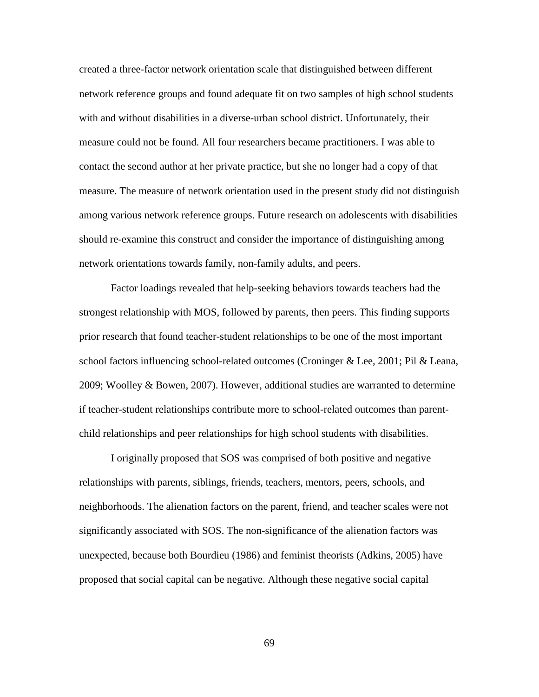created a three-factor network orientation scale that distinguished between different network reference groups and found adequate fit on two samples of high school students with and without disabilities in a diverse-urban school district. Unfortunately, their measure could not be found. All four researchers became practitioners. I was able to contact the second author at her private practice, but she no longer had a copy of that measure. The measure of network orientation used in the present study did not distinguish among various network reference groups. Future research on adolescents with disabilities should re-examine this construct and consider the importance of distinguishing among network orientations towards family, non-family adults, and peers.

Factor loadings revealed that help-seeking behaviors towards teachers had the strongest relationship with MOS, followed by parents, then peers. This finding supports prior research that found teacher-student relationships to be one of the most important school factors influencing school-related outcomes (Croninger & Lee, 2001; Pil & Leana, 2009; Woolley & Bowen, 2007). However, additional studies are warranted to determine if teacher-student relationships contribute more to school-related outcomes than parentchild relationships and peer relationships for high school students with disabilities.

 I originally proposed that SOS was comprised of both positive and negative relationships with parents, siblings, friends, teachers, mentors, peers, schools, and neighborhoods. The alienation factors on the parent, friend, and teacher scales were not significantly associated with SOS. The non-significance of the alienation factors was unexpected, because both Bourdieu (1986) and feminist theorists (Adkins, 2005) have proposed that social capital can be negative. Although these negative social capital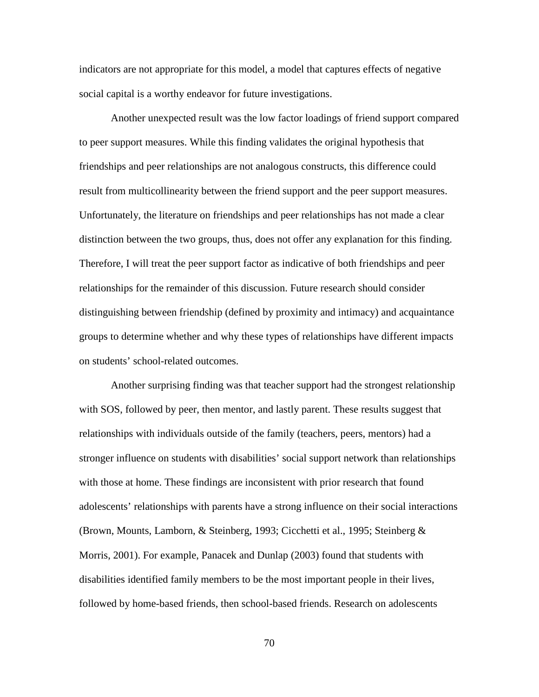indicators are not appropriate for this model, a model that captures effects of negative social capital is a worthy endeavor for future investigations.

Another unexpected result was the low factor loadings of friend support compared to peer support measures. While this finding validates the original hypothesis that friendships and peer relationships are not analogous constructs, this difference could result from multicollinearity between the friend support and the peer support measures. Unfortunately, the literature on friendships and peer relationships has not made a clear distinction between the two groups, thus, does not offer any explanation for this finding. Therefore, I will treat the peer support factor as indicative of both friendships and peer relationships for the remainder of this discussion. Future research should consider distinguishing between friendship (defined by proximity and intimacy) and acquaintance groups to determine whether and why these types of relationships have different impacts on students' school-related outcomes.

Another surprising finding was that teacher support had the strongest relationship with SOS, followed by peer, then mentor, and lastly parent. These results suggest that relationships with individuals outside of the family (teachers, peers, mentors) had a stronger influence on students with disabilities' social support network than relationships with those at home. These findings are inconsistent with prior research that found adolescents' relationships with parents have a strong influence on their social interactions (Brown, Mounts, Lamborn, & Steinberg, 1993; Cicchetti et al., 1995; Steinberg & Morris, 2001). For example, Panacek and Dunlap (2003) found that students with disabilities identified family members to be the most important people in their lives, followed by home-based friends, then school-based friends. Research on adolescents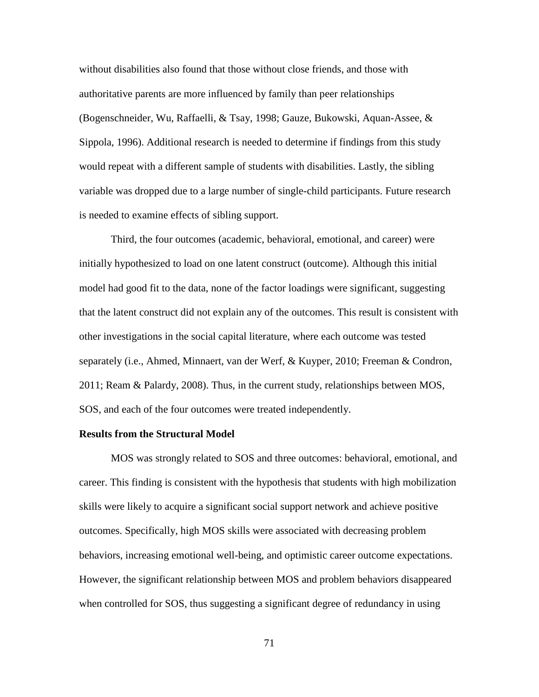without disabilities also found that those without close friends, and those with authoritative parents are more influenced by family than peer relationships (Bogenschneider, Wu, Raffaelli, & Tsay, 1998; Gauze, Bukowski, Aquan-Assee, & Sippola, 1996). Additional research is needed to determine if findings from this study would repeat with a different sample of students with disabilities. Lastly, the sibling variable was dropped due to a large number of single-child participants. Future research is needed to examine effects of sibling support.

 Third, the four outcomes (academic, behavioral, emotional, and career) were initially hypothesized to load on one latent construct (outcome). Although this initial model had good fit to the data, none of the factor loadings were significant, suggesting that the latent construct did not explain any of the outcomes. This result is consistent with other investigations in the social capital literature, where each outcome was tested separately (i.e., Ahmed, Minnaert, van der Werf, & Kuyper, 2010; Freeman & Condron, 2011; Ream & Palardy, 2008). Thus, in the current study, relationships between MOS, SOS, and each of the four outcomes were treated independently.

# **Results from the Structural Model**

 MOS was strongly related to SOS and three outcomes: behavioral, emotional, and career. This finding is consistent with the hypothesis that students with high mobilization skills were likely to acquire a significant social support network and achieve positive outcomes. Specifically, high MOS skills were associated with decreasing problem behaviors, increasing emotional well-being, and optimistic career outcome expectations. However, the significant relationship between MOS and problem behaviors disappeared when controlled for SOS, thus suggesting a significant degree of redundancy in using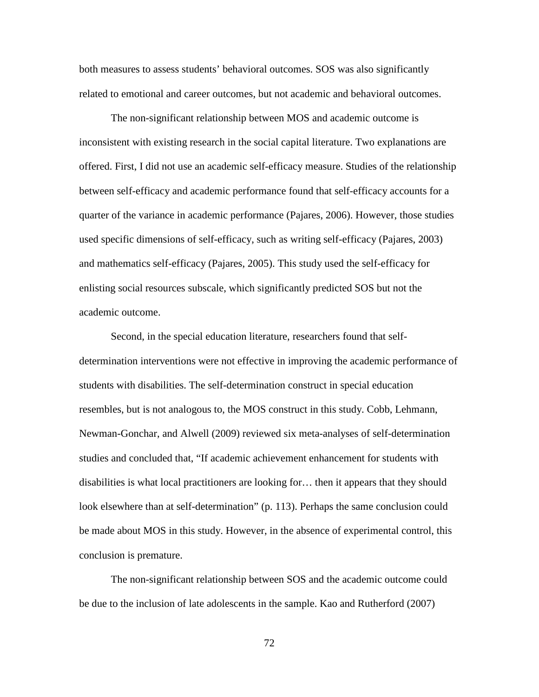both measures to assess students' behavioral outcomes. SOS was also significantly related to emotional and career outcomes, but not academic and behavioral outcomes.

The non-significant relationship between MOS and academic outcome is inconsistent with existing research in the social capital literature. Two explanations are offered. First, I did not use an academic self-efficacy measure. Studies of the relationship between self-efficacy and academic performance found that self-efficacy accounts for a quarter of the variance in academic performance (Pajares, 2006). However, those studies used specific dimensions of self-efficacy, such as writing self-efficacy (Pajares, 2003) and mathematics self-efficacy (Pajares, 2005). This study used the self-efficacy for enlisting social resources subscale, which significantly predicted SOS but not the academic outcome.

Second, in the special education literature, researchers found that selfdetermination interventions were not effective in improving the academic performance of students with disabilities. The self-determination construct in special education resembles, but is not analogous to, the MOS construct in this study. Cobb, Lehmann, Newman-Gonchar, and Alwell (2009) reviewed six meta-analyses of self-determination studies and concluded that, "If academic achievement enhancement for students with disabilities is what local practitioners are looking for… then it appears that they should look elsewhere than at self-determination" (p. 113). Perhaps the same conclusion could be made about MOS in this study. However, in the absence of experimental control, this conclusion is premature.

The non-significant relationship between SOS and the academic outcome could be due to the inclusion of late adolescents in the sample. Kao and Rutherford (2007)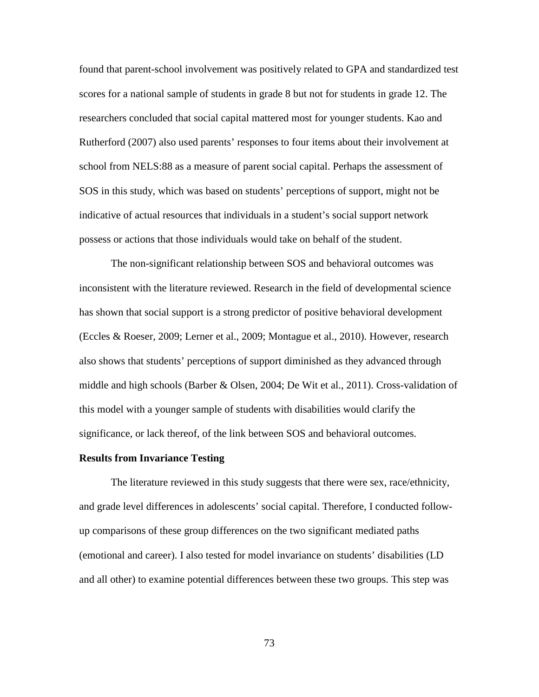found that parent-school involvement was positively related to GPA and standardized test scores for a national sample of students in grade 8 but not for students in grade 12. The researchers concluded that social capital mattered most for younger students. Kao and Rutherford (2007) also used parents' responses to four items about their involvement at school from NELS:88 as a measure of parent social capital. Perhaps the assessment of SOS in this study, which was based on students' perceptions of support, might not be indicative of actual resources that individuals in a student's social support network possess or actions that those individuals would take on behalf of the student.

The non-significant relationship between SOS and behavioral outcomes was inconsistent with the literature reviewed. Research in the field of developmental science has shown that social support is a strong predictor of positive behavioral development (Eccles & Roeser, 2009; Lerner et al., 2009; Montague et al., 2010). However, research also shows that students' perceptions of support diminished as they advanced through middle and high schools (Barber & Olsen, 2004; De Wit et al., 2011). Cross-validation of this model with a younger sample of students with disabilities would clarify the significance, or lack thereof, of the link between SOS and behavioral outcomes.

#### **Results from Invariance Testing**

 The literature reviewed in this study suggests that there were sex, race/ethnicity, and grade level differences in adolescents' social capital. Therefore, I conducted followup comparisons of these group differences on the two significant mediated paths (emotional and career). I also tested for model invariance on students' disabilities (LD and all other) to examine potential differences between these two groups. This step was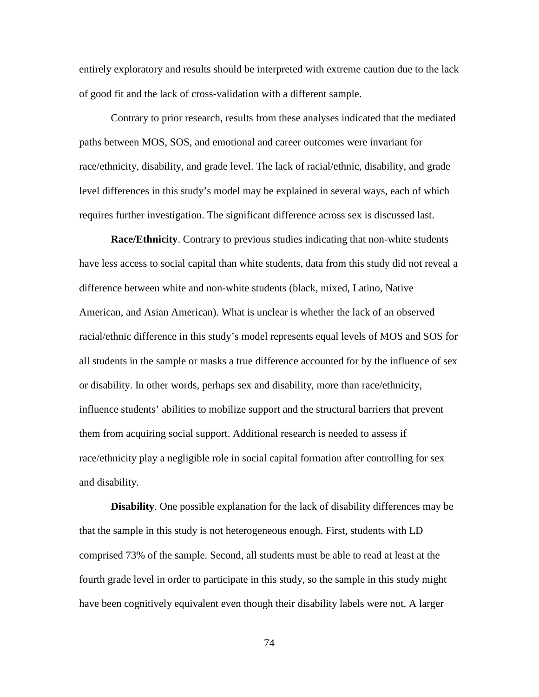entirely exploratory and results should be interpreted with extreme caution due to the lack of good fit and the lack of cross-validation with a different sample.

Contrary to prior research, results from these analyses indicated that the mediated paths between MOS, SOS, and emotional and career outcomes were invariant for race/ethnicity, disability, and grade level. The lack of racial/ethnic, disability, and grade level differences in this study's model may be explained in several ways, each of which requires further investigation. The significant difference across sex is discussed last.

**Race/Ethnicity**. Contrary to previous studies indicating that non-white students have less access to social capital than white students, data from this study did not reveal a difference between white and non-white students (black, mixed, Latino, Native American, and Asian American). What is unclear is whether the lack of an observed racial/ethnic difference in this study's model represents equal levels of MOS and SOS for all students in the sample or masks a true difference accounted for by the influence of sex or disability. In other words, perhaps sex and disability, more than race/ethnicity, influence students' abilities to mobilize support and the structural barriers that prevent them from acquiring social support. Additional research is needed to assess if race/ethnicity play a negligible role in social capital formation after controlling for sex and disability.

**Disability**. One possible explanation for the lack of disability differences may be that the sample in this study is not heterogeneous enough. First, students with LD comprised 73% of the sample. Second, all students must be able to read at least at the fourth grade level in order to participate in this study, so the sample in this study might have been cognitively equivalent even though their disability labels were not. A larger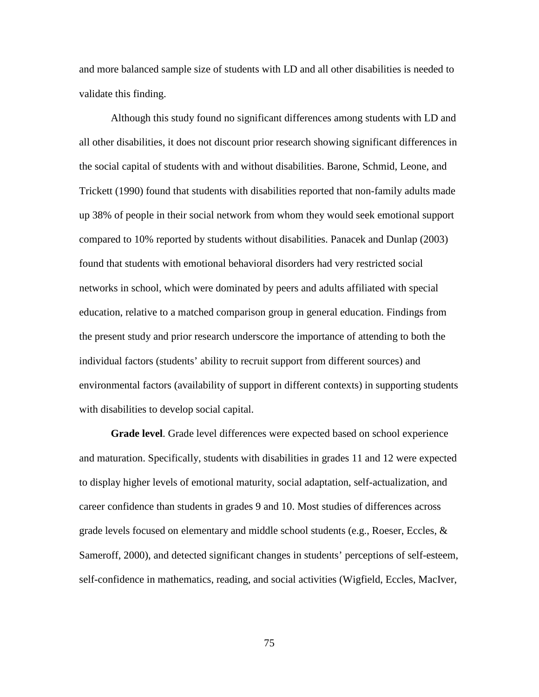and more balanced sample size of students with LD and all other disabilities is needed to validate this finding.

Although this study found no significant differences among students with LD and all other disabilities, it does not discount prior research showing significant differences in the social capital of students with and without disabilities. Barone, Schmid, Leone, and Trickett (1990) found that students with disabilities reported that non-family adults made up 38% of people in their social network from whom they would seek emotional support compared to 10% reported by students without disabilities. Panacek and Dunlap (2003) found that students with emotional behavioral disorders had very restricted social networks in school, which were dominated by peers and adults affiliated with special education, relative to a matched comparison group in general education. Findings from the present study and prior research underscore the importance of attending to both the individual factors (students' ability to recruit support from different sources) and environmental factors (availability of support in different contexts) in supporting students with disabilities to develop social capital.

**Grade level**. Grade level differences were expected based on school experience and maturation. Specifically, students with disabilities in grades 11 and 12 were expected to display higher levels of emotional maturity, social adaptation, self-actualization, and career confidence than students in grades 9 and 10. Most studies of differences across grade levels focused on elementary and middle school students (e.g., Roeser, Eccles,  $\&$ Sameroff, 2000), and detected significant changes in students' perceptions of self-esteem, self-confidence in mathematics, reading, and social activities (Wigfield, Eccles, MacIver,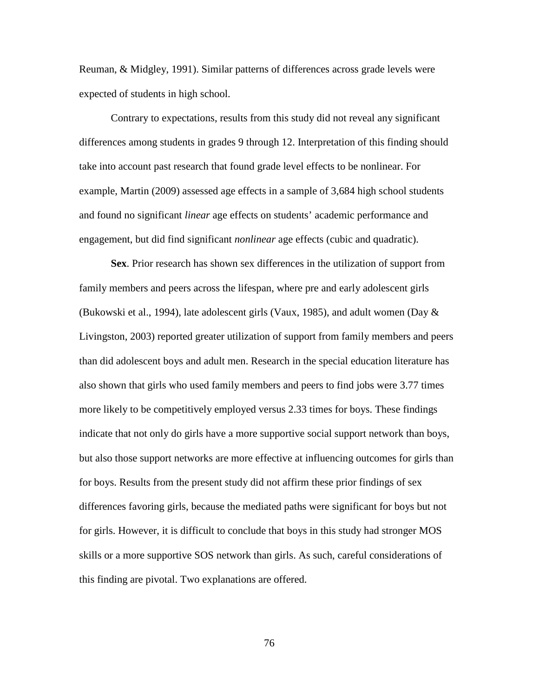Reuman, & Midgley, 1991). Similar patterns of differences across grade levels were expected of students in high school.

Contrary to expectations, results from this study did not reveal any significant differences among students in grades 9 through 12. Interpretation of this finding should take into account past research that found grade level effects to be nonlinear. For example, Martin (2009) assessed age effects in a sample of 3,684 high school students and found no significant *linear* age effects on students' academic performance and engagement, but did find significant *nonlinear* age effects (cubic and quadratic).

**Sex**. Prior research has shown sex differences in the utilization of support from family members and peers across the lifespan, where pre and early adolescent girls (Bukowski et al., 1994), late adolescent girls (Vaux, 1985), and adult women (Day  $\&$ Livingston, 2003) reported greater utilization of support from family members and peers than did adolescent boys and adult men. Research in the special education literature has also shown that girls who used family members and peers to find jobs were 3.77 times more likely to be competitively employed versus 2.33 times for boys. These findings indicate that not only do girls have a more supportive social support network than boys, but also those support networks are more effective at influencing outcomes for girls than for boys. Results from the present study did not affirm these prior findings of sex differences favoring girls, because the mediated paths were significant for boys but not for girls. However, it is difficult to conclude that boys in this study had stronger MOS skills or a more supportive SOS network than girls. As such, careful considerations of this finding are pivotal. Two explanations are offered.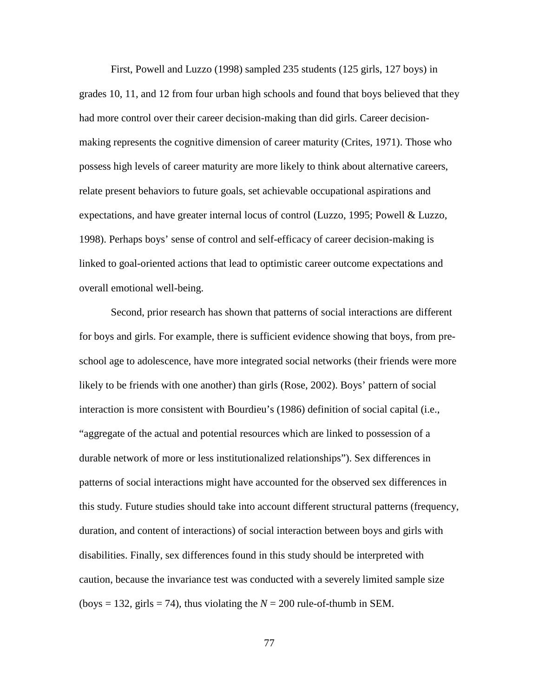First, Powell and Luzzo (1998) sampled 235 students (125 girls, 127 boys) in grades 10, 11, and 12 from four urban high schools and found that boys believed that they had more control over their career decision-making than did girls. Career decisionmaking represents the cognitive dimension of career maturity (Crites, 1971). Those who possess high levels of career maturity are more likely to think about alternative careers, relate present behaviors to future goals, set achievable occupational aspirations and expectations, and have greater internal locus of control (Luzzo, 1995; Powell & Luzzo, 1998). Perhaps boys' sense of control and self-efficacy of career decision-making is linked to goal-oriented actions that lead to optimistic career outcome expectations and overall emotional well-being.

Second, prior research has shown that patterns of social interactions are different for boys and girls. For example, there is sufficient evidence showing that boys, from preschool age to adolescence, have more integrated social networks (their friends were more likely to be friends with one another) than girls (Rose, 2002). Boys' pattern of social interaction is more consistent with Bourdieu's (1986) definition of social capital (i.e., "aggregate of the actual and potential resources which are linked to possession of a durable network of more or less institutionalized relationships"). Sex differences in patterns of social interactions might have accounted for the observed sex differences in this study. Future studies should take into account different structural patterns (frequency, duration, and content of interactions) of social interaction between boys and girls with disabilities. Finally, sex differences found in this study should be interpreted with caution, because the invariance test was conducted with a severely limited sample size (boys = 132, girls = 74), thus violating the  $N = 200$  rule-of-thumb in SEM.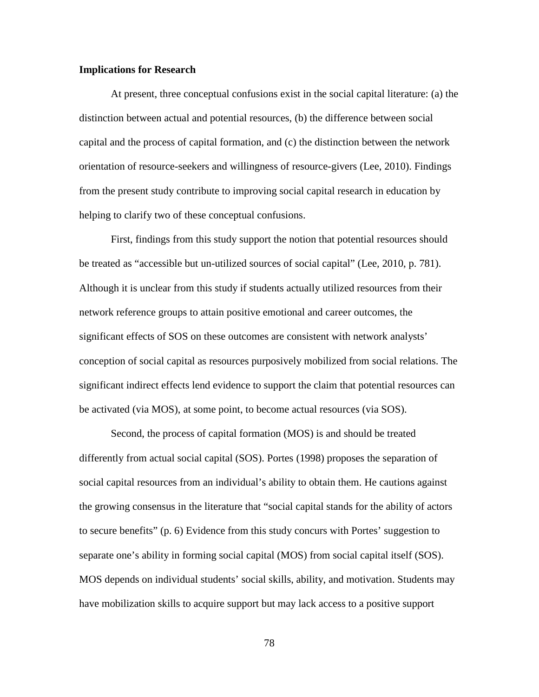# **Implications for Research**

At present, three conceptual confusions exist in the social capital literature: (a) the distinction between actual and potential resources, (b) the difference between social capital and the process of capital formation, and (c) the distinction between the network orientation of resource-seekers and willingness of resource-givers (Lee, 2010). Findings from the present study contribute to improving social capital research in education by helping to clarify two of these conceptual confusions.

First, findings from this study support the notion that potential resources should be treated as "accessible but un-utilized sources of social capital" (Lee, 2010, p. 781). Although it is unclear from this study if students actually utilized resources from their network reference groups to attain positive emotional and career outcomes, the significant effects of SOS on these outcomes are consistent with network analysts' conception of social capital as resources purposively mobilized from social relations. The significant indirect effects lend evidence to support the claim that potential resources can be activated (via MOS), at some point, to become actual resources (via SOS).

 Second, the process of capital formation (MOS) is and should be treated differently from actual social capital (SOS). Portes (1998) proposes the separation of social capital resources from an individual's ability to obtain them. He cautions against the growing consensus in the literature that "social capital stands for the ability of actors to secure benefits" (p. 6) Evidence from this study concurs with Portes' suggestion to separate one's ability in forming social capital (MOS) from social capital itself (SOS). MOS depends on individual students' social skills, ability, and motivation. Students may have mobilization skills to acquire support but may lack access to a positive support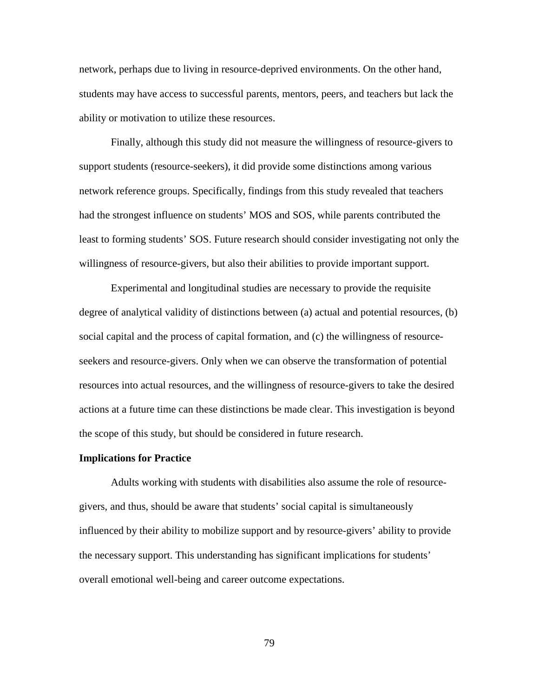network, perhaps due to living in resource-deprived environments. On the other hand, students may have access to successful parents, mentors, peers, and teachers but lack the ability or motivation to utilize these resources.

 Finally, although this study did not measure the willingness of resource-givers to support students (resource-seekers), it did provide some distinctions among various network reference groups. Specifically, findings from this study revealed that teachers had the strongest influence on students' MOS and SOS, while parents contributed the least to forming students' SOS. Future research should consider investigating not only the willingness of resource-givers, but also their abilities to provide important support.

Experimental and longitudinal studies are necessary to provide the requisite degree of analytical validity of distinctions between (a) actual and potential resources, (b) social capital and the process of capital formation, and (c) the willingness of resourceseekers and resource-givers. Only when we can observe the transformation of potential resources into actual resources, and the willingness of resource-givers to take the desired actions at a future time can these distinctions be made clear. This investigation is beyond the scope of this study, but should be considered in future research.

#### **Implications for Practice**

 Adults working with students with disabilities also assume the role of resourcegivers, and thus, should be aware that students' social capital is simultaneously influenced by their ability to mobilize support and by resource-givers' ability to provide the necessary support. This understanding has significant implications for students' overall emotional well-being and career outcome expectations.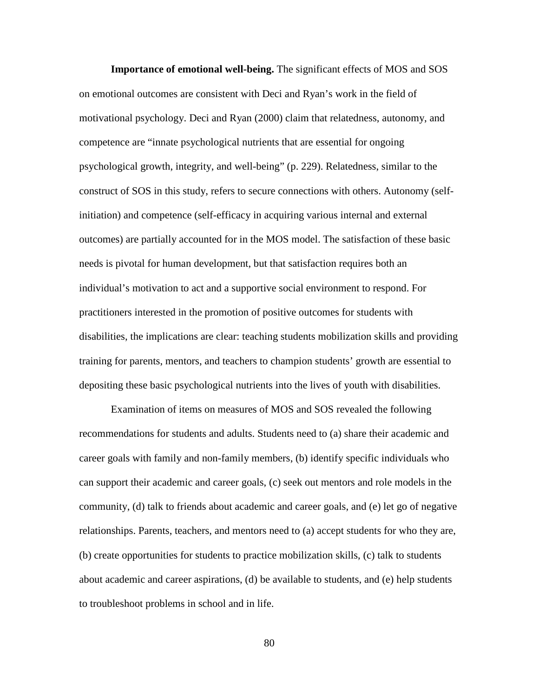**Importance of emotional well-being.** The significant effects of MOS and SOS on emotional outcomes are consistent with Deci and Ryan's work in the field of motivational psychology. Deci and Ryan (2000) claim that relatedness, autonomy, and competence are "innate psychological nutrients that are essential for ongoing psychological growth, integrity, and well-being" (p. 229). Relatedness, similar to the construct of SOS in this study, refers to secure connections with others. Autonomy (selfinitiation) and competence (self-efficacy in acquiring various internal and external outcomes) are partially accounted for in the MOS model. The satisfaction of these basic needs is pivotal for human development, but that satisfaction requires both an individual's motivation to act and a supportive social environment to respond. For practitioners interested in the promotion of positive outcomes for students with disabilities, the implications are clear: teaching students mobilization skills and providing training for parents, mentors, and teachers to champion students' growth are essential to depositing these basic psychological nutrients into the lives of youth with disabilities.

Examination of items on measures of MOS and SOS revealed the following recommendations for students and adults. Students need to (a) share their academic and career goals with family and non-family members, (b) identify specific individuals who can support their academic and career goals, (c) seek out mentors and role models in the community, (d) talk to friends about academic and career goals, and (e) let go of negative relationships. Parents, teachers, and mentors need to (a) accept students for who they are, (b) create opportunities for students to practice mobilization skills, (c) talk to students about academic and career aspirations, (d) be available to students, and (e) help students to troubleshoot problems in school and in life.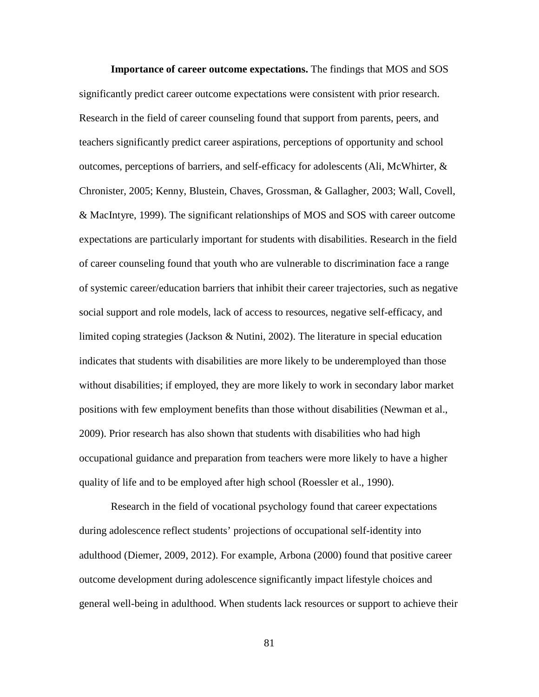**Importance of career outcome expectations.** The findings that MOS and SOS significantly predict career outcome expectations were consistent with prior research. Research in the field of career counseling found that support from parents, peers, and teachers significantly predict career aspirations, perceptions of opportunity and school outcomes, perceptions of barriers, and self-efficacy for adolescents (Ali, McWhirter,  $\&$ Chronister, 2005; Kenny, Blustein, Chaves, Grossman, & Gallagher, 2003; Wall, Covell, & MacIntyre, 1999). The significant relationships of MOS and SOS with career outcome expectations are particularly important for students with disabilities. Research in the field of career counseling found that youth who are vulnerable to discrimination face a range of systemic career/education barriers that inhibit their career trajectories, such as negative social support and role models, lack of access to resources, negative self-efficacy, and limited coping strategies (Jackson & Nutini, 2002). The literature in special education indicates that students with disabilities are more likely to be underemployed than those without disabilities; if employed, they are more likely to work in secondary labor market positions with few employment benefits than those without disabilities (Newman et al., 2009). Prior research has also shown that students with disabilities who had high occupational guidance and preparation from teachers were more likely to have a higher quality of life and to be employed after high school (Roessler et al., 1990).

Research in the field of vocational psychology found that career expectations during adolescence reflect students' projections of occupational self-identity into adulthood (Diemer, 2009, 2012). For example, Arbona (2000) found that positive career outcome development during adolescence significantly impact lifestyle choices and general well-being in adulthood. When students lack resources or support to achieve their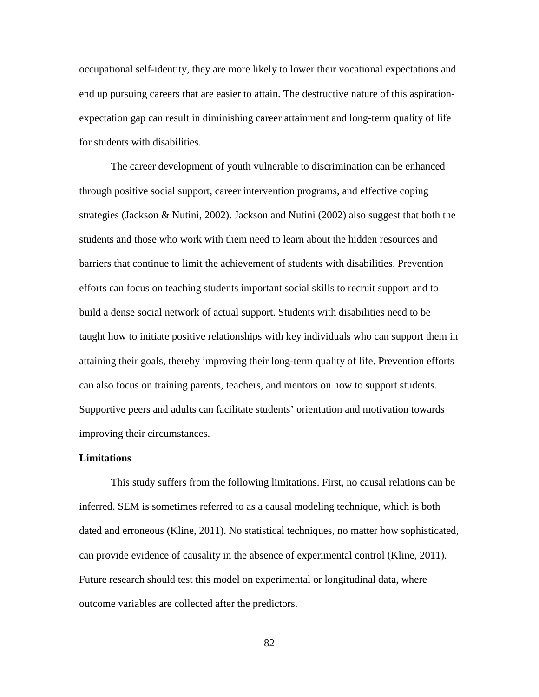occupational self-identity, they are more likely to lower their vocational expectations and end up pursuing careers that are easier to attain. The destructive nature of this aspirationexpectation gap can result in diminishing career attainment and long-term quality of life for students with disabilities.

The career development of youth vulnerable to discrimination can be enhanced through positive social support, career intervention programs, and effective coping strategies (Jackson & Nutini, 2002). Jackson and Nutini (2002) also suggest that both the students and those who work with them need to learn about the hidden resources and barriers that continue to limit the achievement of students with disabilities. Prevention efforts can focus on teaching students important social skills to recruit support and to build a dense social network of actual support. Students with disabilities need to be taught how to initiate positive relationships with key individuals who can support them in attaining their goals, thereby improving their long-term quality of life. Prevention efforts can also focus on training parents, teachers, and mentors on how to support students. Supportive peers and adults can facilitate students' orientation and motivation towards improving their circumstances.

# **Limitations**

This study suffers from the following limitations. First, no causal relations can be inferred. SEM is sometimes referred to as a causal modeling technique, which is both dated and erroneous (Kline, 2011). No statistical techniques, no matter how sophisticated, can provide evidence of causality in the absence of experimental control (Kline, 2011). Future research should test this model on experimental or longitudinal data, where outcome variables are collected after the predictors.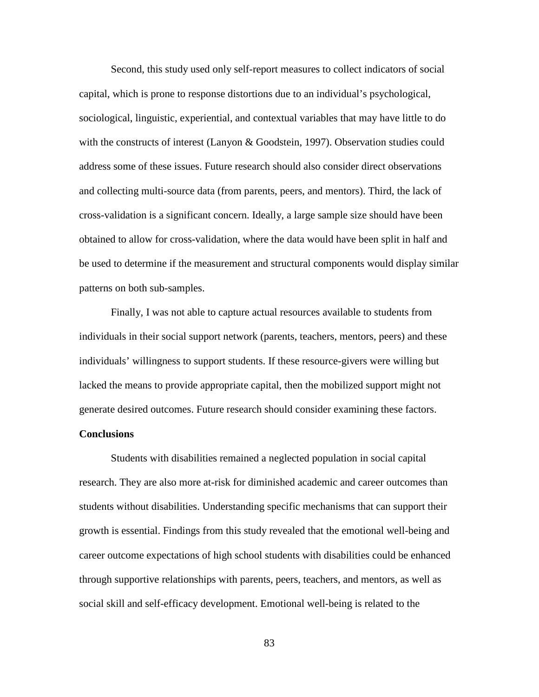Second, this study used only self-report measures to collect indicators of social capital, which is prone to response distortions due to an individual's psychological, sociological, linguistic, experiential, and contextual variables that may have little to do with the constructs of interest (Lanyon & Goodstein, 1997). Observation studies could address some of these issues. Future research should also consider direct observations and collecting multi-source data (from parents, peers, and mentors). Third, the lack of cross-validation is a significant concern. Ideally, a large sample size should have been obtained to allow for cross-validation, where the data would have been split in half and be used to determine if the measurement and structural components would display similar patterns on both sub-samples.

Finally, I was not able to capture actual resources available to students from individuals in their social support network (parents, teachers, mentors, peers) and these individuals' willingness to support students. If these resource-givers were willing but lacked the means to provide appropriate capital, then the mobilized support might not generate desired outcomes. Future research should consider examining these factors.

# **Conclusions**

Students with disabilities remained a neglected population in social capital research. They are also more at-risk for diminished academic and career outcomes than students without disabilities. Understanding specific mechanisms that can support their growth is essential. Findings from this study revealed that the emotional well-being and career outcome expectations of high school students with disabilities could be enhanced through supportive relationships with parents, peers, teachers, and mentors, as well as social skill and self-efficacy development. Emotional well-being is related to the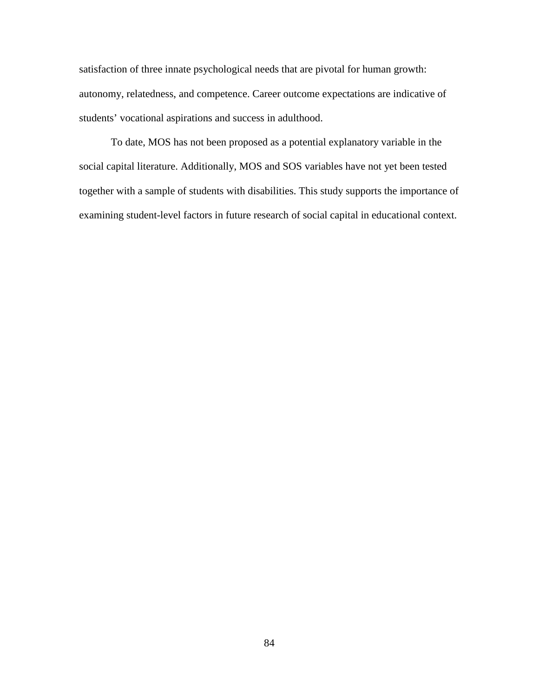satisfaction of three innate psychological needs that are pivotal for human growth: autonomy, relatedness, and competence. Career outcome expectations are indicative of students' vocational aspirations and success in adulthood.

To date, MOS has not been proposed as a potential explanatory variable in the social capital literature. Additionally, MOS and SOS variables have not yet been tested together with a sample of students with disabilities. This study supports the importance of examining student-level factors in future research of social capital in educational context.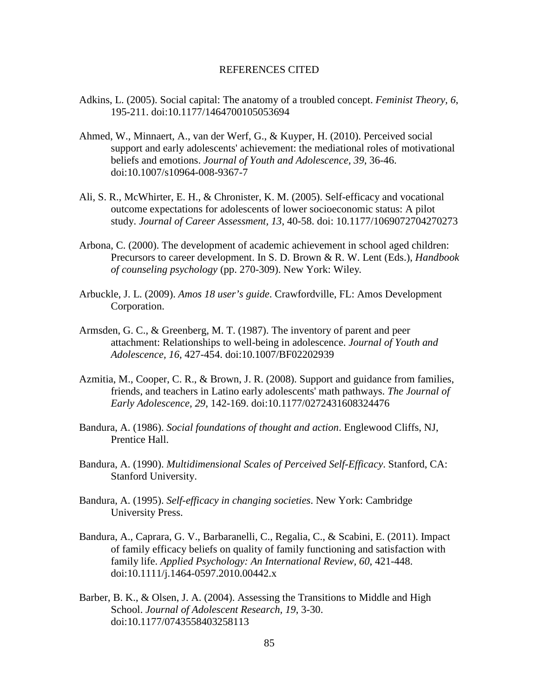### REFERENCES CITED

- Adkins, L. (2005). Social capital: The anatomy of a troubled concept. *Feminist Theory, 6*, 195-211. doi:10.1177/1464700105053694
- Ahmed, W., Minnaert, A., van der Werf, G., & Kuyper, H. (2010). Perceived social support and early adolescents' achievement: the mediational roles of motivational beliefs and emotions. *Journal of Youth and Adolescence, 39*, 36-46. doi:10.1007/s10964-008-9367-7
- Ali, S. R., McWhirter, E. H., & Chronister, K. M. (2005). Self-efficacy and vocational outcome expectations for adolescents of lower socioeconomic status: A pilot study. *Journal of Career Assessment, 13*, 40-58. doi: 10.1177/1069072704270273
- Arbona, C. (2000). The development of academic achievement in school aged children: Precursors to career development. In S. D. Brown & R. W. Lent (Eds.), *Handbook of counseling psychology* (pp. 270-309). New York: Wiley*.*
- Arbuckle, J. L. (2009). *Amos 18 user's guide*. Crawfordville, FL: Amos Development Corporation.
- Armsden, G. C., & Greenberg, M. T. (1987). The inventory of parent and peer attachment: Relationships to well-being in adolescence. *Journal of Youth and Adolescence, 16,* 427-454. doi:10.1007/BF02202939
- Azmitia, M., Cooper, C. R., & Brown, J. R. (2008). Support and guidance from families, friends, and teachers in Latino early adolescents' math pathways. *The Journal of Early Adolescence, 29*, 142-169. doi:10.1177/0272431608324476
- Bandura, A. (1986). *Social foundations of thought and action*. Englewood Cliffs, NJ, Prentice Hall.
- Bandura, A. (1990). *Multidimensional Scales of Perceived Self-Efficacy*. Stanford, CA: Stanford University.
- Bandura, A. (1995). *Self-efficacy in changing societies*. New York: Cambridge University Press.
- Bandura, A., Caprara, G. V., Barbaranelli, C., Regalia, C., & Scabini, E. (2011). Impact of family efficacy beliefs on quality of family functioning and satisfaction with family life. *Applied Psychology: An International Review, 60*, 421-448. doi:10.1111/j.1464-0597.2010.00442.x
- Barber, B. K., & Olsen, J. A. (2004). Assessing the Transitions to Middle and High School. *Journal of Adolescent Research, 19*, 3-30. doi:10.1177/0743558403258113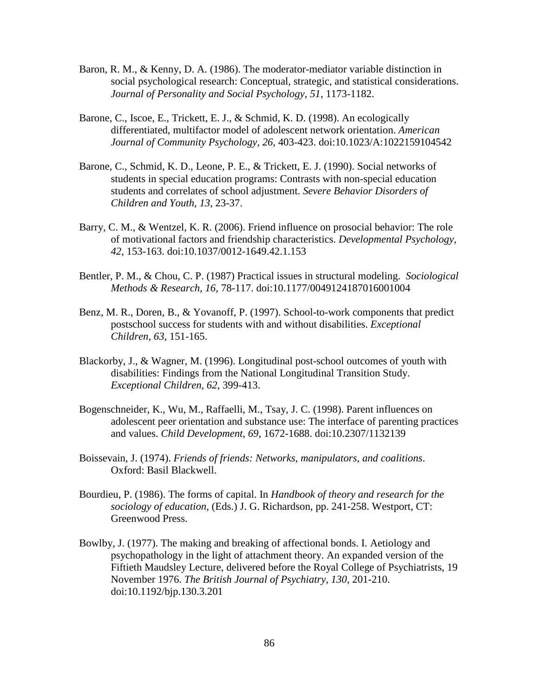- Baron, R. M., & Kenny, D. A. (1986). The moderator-mediator variable distinction in social psychological research: Conceptual, strategic, and statistical considerations. *Journal of Personality and Social Psychology, 51*, 1173-1182.
- Barone, C., Iscoe, E., Trickett, E. J., & Schmid, K. D. (1998). An ecologically differentiated, multifactor model of adolescent network orientation. *American Journal of Community Psychology, 26*, 403-423. doi:10.1023/A:1022159104542
- Barone, C., Schmid, K. D., Leone, P. E., & Trickett, E. J. (1990). Social networks of students in special education programs: Contrasts with non-special education students and correlates of school adjustment. *Severe Behavior Disorders of Children and Youth, 13*, 23-37.
- Barry, C. M., & Wentzel, K. R. (2006). Friend influence on prosocial behavior: The role of motivational factors and friendship characteristics. *Developmental Psychology, 42,* 153-163. doi:10.1037/0012-1649.42.1.153
- Bentler, P. M., & Chou, C. P. (1987) Practical issues in structural modeling. *Sociological Methods & Research, 16*, 78-117. doi:10.1177/0049124187016001004
- Benz, M. R., Doren, B., & Yovanoff, P. (1997). School-to-work components that predict postschool success for students with and without disabilities. *Exceptional Children, 63*, 151-165.
- Blackorby, J., & Wagner, M. (1996). Longitudinal post-school outcomes of youth with disabilities: Findings from the National Longitudinal Transition Study. *Exceptional Children, 62*, 399-413.
- Bogenschneider, K., Wu, M., Raffaelli, M., Tsay, J. C. (1998). Parent influences on adolescent peer orientation and substance use: The interface of parenting practices and values. *Child Development, 69*, 1672-1688. doi:10.2307/1132139
- Boissevain, J. (1974). *Friends of friends: Networks, manipulators, and coalitions*. Oxford: Basil Blackwell.
- Bourdieu, P. (1986). The forms of capital. In *Handbook of theory and research for the sociology of education,* (Eds.) J. G. Richardson, pp. 241-258. Westport, CT: Greenwood Press.
- Bowlby, J. (1977). The making and breaking of affectional bonds. I. Aetiology and psychopathology in the light of attachment theory. An expanded version of the Fiftieth Maudsley Lecture, delivered before the Royal College of Psychiatrists, 19 November 1976. *The British Journal of Psychiatry, 130*, 201-210. doi:10.1192/bjp.130.3.201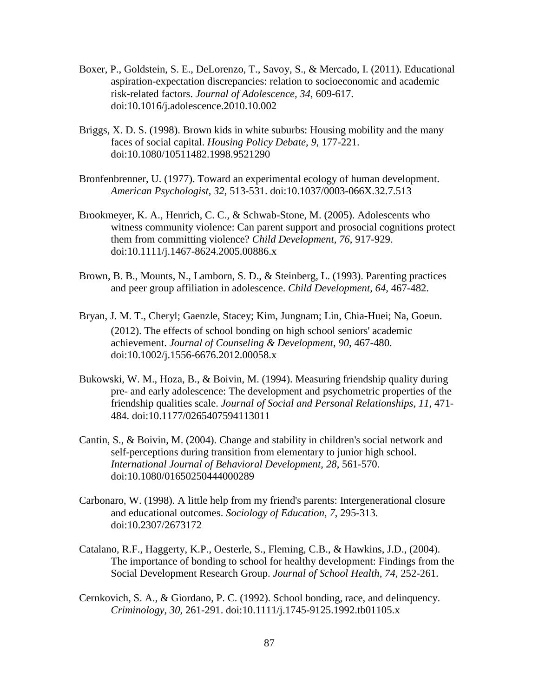- Boxer, P., Goldstein, S. E., DeLorenzo, T., Savoy, S., & Mercado, I. (2011). Educational aspiration-expectation discrepancies: relation to socioeconomic and academic risk-related factors. *Journal of Adolescence, 34*, 609-617. doi:10.1016/j.adolescence.2010.10.002
- Briggs, X. D. S. (1998). Brown kids in white suburbs: Housing mobility and the many faces of social capital. *Housing Policy Debate, 9*, 177-221. doi:10.1080/10511482.1998.9521290
- Bronfenbrenner, U. (1977). Toward an experimental ecology of human development. *American Psychologist, 32*, 513-531. doi:10.1037/0003-066X.32.7.513
- Brookmeyer, K. A., Henrich, C. C., & Schwab-Stone, M. (2005). Adolescents who witness community violence: Can parent support and prosocial cognitions protect them from committing violence? *Child Development, 76*, 917-929. doi:10.1111/j.1467-8624.2005.00886.x
- Brown, B. B., Mounts, N., Lamborn, S. D., & Steinberg, L. (1993). Parenting practices and peer group affiliation in adolescence. *Child Development, 64*, 467-482.
- Bryan, J. M. T., Cheryl; Gaenzle, Stacey; Kim, Jungnam; Lin, Chia‐Huei; Na, Goeun. (2012). The effects of school bonding on high school seniors' academic achievement. *Journal of Counseling & Development, 90*, 467-480. doi:10.1002/j.1556-6676.2012.00058.x
- Bukowski, W. M., Hoza, B., & Boivin, M. (1994). Measuring friendship quality during pre- and early adolescence: The development and psychometric properties of the friendship qualities scale. *Journal of Social and Personal Relationships*, *11*, 471- 484. doi:10.1177/0265407594113011
- Cantin, S., & Boivin, M. (2004). Change and stability in children's social network and self-perceptions during transition from elementary to junior high school. *International Journal of Behavioral Development, 28*, 561-570. doi:10.1080/01650250444000289
- Carbonaro, W. (1998). A little help from my friend's parents: Intergenerational closure and educational outcomes. *Sociology of Education, 7*, 295-313. doi:10.2307/2673172
- Catalano, R.F., Haggerty, K.P., Oesterle, S., Fleming, C.B., & Hawkins, J.D., (2004). The importance of bonding to school for healthy development: Findings from the Social Development Research Group. *Journal of School Health, 74*, 252-261.
- Cernkovich, S. A., & Giordano, P. C. (1992). School bonding, race, and delinquency. *Criminology, 30,* 261-291. doi:10.1111/j.1745-9125.1992.tb01105.x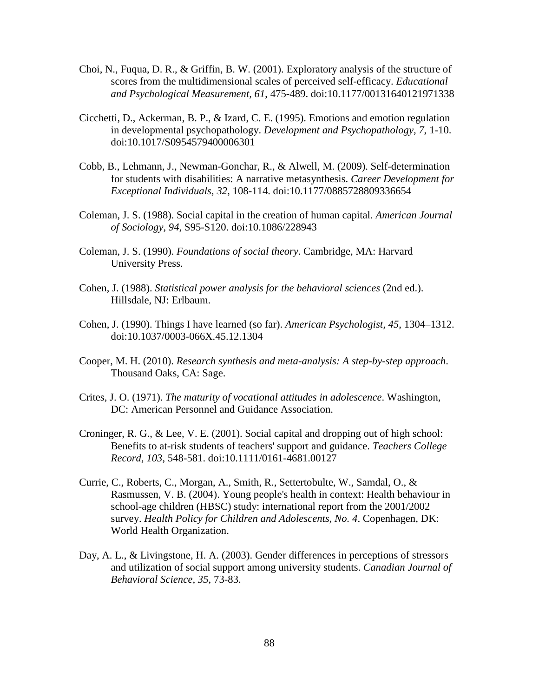- Choi, N., Fuqua, D. R., & Griffin, B. W. (2001). Exploratory analysis of the structure of scores from the multidimensional scales of perceived self-efficacy. *Educational and Psychological Measurement, 61*, 475-489. doi:10.1177/00131640121971338
- Cicchetti, D., Ackerman, B. P., & Izard, C. E. (1995). Emotions and emotion regulation in developmental psychopathology. *Development and Psychopathology, 7*, 1-10. doi:10.1017/S0954579400006301
- Cobb, B., Lehmann, J., Newman-Gonchar, R., & Alwell, M. (2009). Self-determination for students with disabilities: A narrative metasynthesis. *Career Development for Exceptional Individuals, 32*, 108-114. doi:10.1177/0885728809336654
- Coleman, J. S. (1988). Social capital in the creation of human capital. *American Journal of Sociology, 94*, S95-S120. doi:10.1086/228943
- Coleman, J. S. (1990). *Foundations of social theory*. Cambridge, MA: Harvard University Press.
- Cohen, J. (1988). *Statistical power analysis for the behavioral sciences* (2nd ed.). Hillsdale, NJ: Erlbaum.
- Cohen, J. (1990). Things I have learned (so far). *American Psychologist, 45*, 1304–1312. doi:10.1037/0003-066X.45.12.1304
- Cooper, M. H. (2010). *Research synthesis and meta-analysis: A step-by-step approach*. Thousand Oaks, CA: Sage.
- Crites, J. O. (1971). *The maturity of vocational attitudes in adolescence*. Washington, DC: American Personnel and Guidance Association.
- Croninger, R. G., & Lee, V. E. (2001). Social capital and dropping out of high school: Benefits to at-risk students of teachers' support and guidance. *Teachers College Record, 103*, 548-581. doi:10.1111/0161-4681.00127
- Currie, C., Roberts, C., Morgan, A., Smith, R., Settertobulte, W., Samdal, O., & Rasmussen, V. B. (2004). Young people's health in context: Health behaviour in school-age children (HBSC) study: international report from the 2001/2002 survey. *Health Policy for Children and Adolescents, No. 4*. Copenhagen, DK: World Health Organization.
- Day, A. L., & Livingstone, H. A. (2003). Gender differences in perceptions of stressors and utilization of social support among university students. *Canadian Journal of Behavioral Science, 35*, 73-83.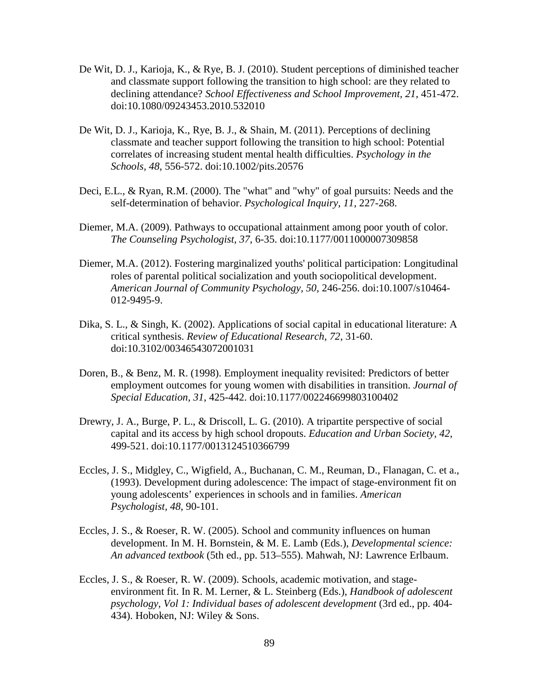- De Wit, D. J., Karioja, K., & Rye, B. J. (2010). Student perceptions of diminished teacher and classmate support following the transition to high school: are they related to declining attendance? *School Effectiveness and School Improvement, 21*, 451-472. doi:10.1080/09243453.2010.532010
- De Wit, D. J., Karioja, K., Rye, B. J., & Shain, M. (2011). Perceptions of declining classmate and teacher support following the transition to high school: Potential correlates of increasing student mental health difficulties. *Psychology in the Schools, 48*, 556-572. doi:10.1002/pits.20576
- Deci, E.L., & Ryan, R.M. (2000). The "what" and "why" of goal pursuits: Needs and the self-determination of behavior. *Psychological Inquiry, 11*, 227-268.
- Diemer, M.A. (2009). Pathways to occupational attainment among poor youth of color. *The Counseling Psychologist, 37*, 6-35. doi:10.1177/0011000007309858
- Diemer, M.A. (2012). Fostering marginalized youths' political participation: Longitudinal roles of parental political socialization and youth sociopolitical development. *American Journal of Community Psychology, 50*, 246-256. doi:10.1007/s10464- 012-9495-9.
- Dika, S. L., & Singh, K. (2002). Applications of social capital in educational literature: A critical synthesis. *Review of Educational Research, 72*, 31-60. doi:10.3102/00346543072001031
- Doren, B., & Benz, M. R. (1998). Employment inequality revisited: Predictors of better employment outcomes for young women with disabilities in transition. *Journal of Special Education, 31*, 425-442. doi:10.1177/002246699803100402
- Drewry, J. A., Burge, P. L., & Driscoll, L. G. (2010). A tripartite perspective of social capital and its access by high school dropouts. *Education and Urban Society, 42*, 499-521. doi:10.1177/0013124510366799
- Eccles, J. S., Midgley, C., Wigfield, A., Buchanan, C. M., Reuman, D., Flanagan, C. et a., (1993). Development during adolescence: The impact of stage-environment fit on young adolescents' experiences in schools and in families. *American Psychologist, 48*, 90-101.
- Eccles, J. S., & Roeser, R. W. (2005). School and community influences on human development. In M. H. Bornstein, & M. E. Lamb (Eds.), *Developmental science: An advanced textbook* (5th ed., pp. 513–555). Mahwah, NJ: Lawrence Erlbaum.
- Eccles, J. S., & Roeser, R. W. (2009). Schools, academic motivation, and stageenvironment fit. In R. M. Lerner, & L. Steinberg (Eds.), *Handbook of adolescent psychology, Vol 1: Individual bases of adolescent development* (3rd ed., pp. 404- 434). Hoboken, NJ: Wiley & Sons.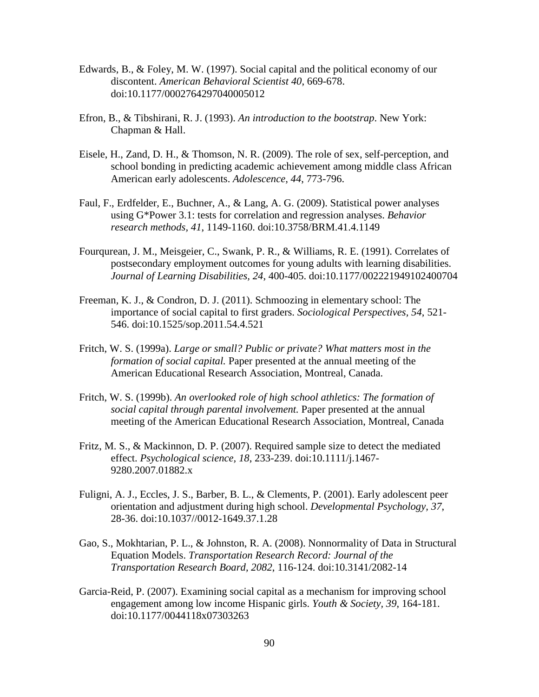- Edwards, B., & Foley, M. W. (1997). Social capital and the political economy of our discontent. *American Behavioral Scientist 40*, 669-678. doi:10.1177/0002764297040005012
- Efron, B., & Tibshirani, R. J. (1993). *An introduction to the bootstrap*. New York: Chapman & Hall.
- Eisele, H., Zand, D. H., & Thomson, N. R. (2009). The role of sex, self-perception, and school bonding in predicting academic achievement among middle class African American early adolescents. *Adolescence, 44*, 773-796.
- Faul, F., Erdfelder, E., Buchner, A., & Lang, A. G. (2009). Statistical power analyses using G\*Power 3.1: tests for correlation and regression analyses. *Behavior research methods, 41*, 1149-1160. doi:10.3758/BRM.41.4.1149
- Fourqurean, J. M., Meisgeier, C., Swank, P. R., & Williams, R. E. (1991). Correlates of postsecondary employment outcomes for young adults with learning disabilities. *Journal of Learning Disabilities, 24*, 400-405. doi:10.1177/002221949102400704
- Freeman, K. J., & Condron, D. J. (2011). Schmoozing in elementary school: The importance of social capital to first graders. *Sociological Perspectives, 54*, 521- 546. doi:10.1525/sop.2011.54.4.521
- Fritch, W. S. (1999a). *Large or small? Public or private? What matters most in the formation of social capital.* Paper presented at the annual meeting of the American Educational Research Association, Montreal, Canada.
- Fritch, W. S. (1999b). *An overlooked role of high school athletics: The formation of social capital through parental involvement.* Paper presented at the annual meeting of the American Educational Research Association, Montreal, Canada
- Fritz, M. S., & Mackinnon, D. P. (2007). Required sample size to detect the mediated effect. *Psychological science, 18*, 233-239. doi:10.1111/j.1467- 9280.2007.01882.x
- Fuligni, A. J., Eccles, J. S., Barber, B. L., & Clements, P. (2001). Early adolescent peer orientation and adjustment during high school. *Developmental Psychology, 37*, 28-36. doi:10.1037//0012-1649.37.1.28
- Gao, S., Mokhtarian, P. L., & Johnston, R. A. (2008). Nonnormality of Data in Structural Equation Models. *Transportation Research Record: Journal of the Transportation Research Board, 2082*, 116-124. doi:10.3141/2082-14
- Garcia-Reid, P. (2007). Examining social capital as a mechanism for improving school engagement among low income Hispanic girls. *Youth & Society, 39*, 164-181. doi:10.1177/0044118x07303263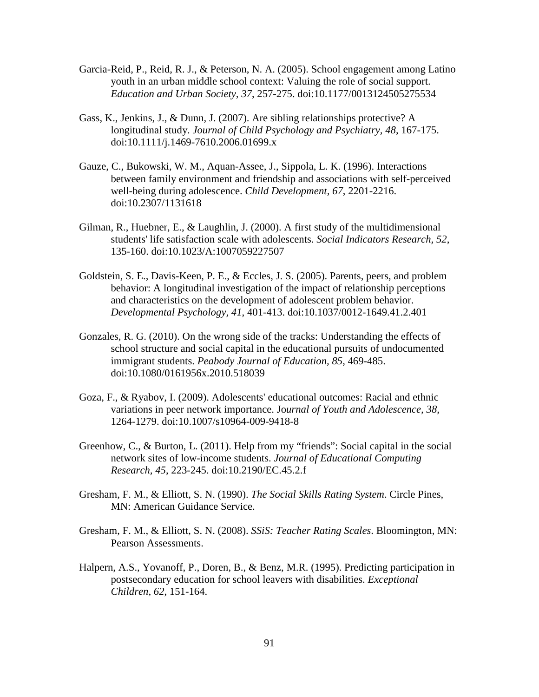- Garcia-Reid, P., Reid, R. J., & Peterson, N. A. (2005). School engagement among Latino youth in an urban middle school context: Valuing the role of social support. *Education and Urban Society, 37*, 257-275. doi:10.1177/0013124505275534
- Gass, K., Jenkins, J., & Dunn, J. (2007). Are sibling relationships protective? A longitudinal study. *Journal of Child Psychology and Psychiatry, 48*, 167-175. doi:10.1111/j.1469-7610.2006.01699.x
- Gauze, C., Bukowski, W. M., Aquan-Assee, J., Sippola, L. K. (1996). Interactions between family environment and friendship and associations with self-perceived well-being during adolescence. *Child Development, 67*, 2201-2216. doi:10.2307/1131618
- Gilman, R., Huebner, E., & Laughlin, J. (2000). A first study of the multidimensional students' life satisfaction scale with adolescents. *Social Indicators Research, 52*, 135-160. doi:10.1023/A:1007059227507
- Goldstein, S. E., Davis-Keen, P. E., & Eccles, J. S. (2005). Parents, peers, and problem behavior: A longitudinal investigation of the impact of relationship perceptions and characteristics on the development of adolescent problem behavior. *Developmental Psychology, 41*, 401-413. doi:10.1037/0012-1649.41.2.401
- Gonzales, R. G. (2010). On the wrong side of the tracks: Understanding the effects of school structure and social capital in the educational pursuits of undocumented immigrant students. *Peabody Journal of Education, 85*, 469-485. doi:10.1080/0161956x.2010.518039
- Goza, F., & Ryabov, I. (2009). Adolescents' educational outcomes: Racial and ethnic variations in peer network importance. Jo*urnal of Youth and Adolescence, 38*, 1264-1279. doi:10.1007/s10964-009-9418-8
- Greenhow, C., & Burton, L. (2011). Help from my "friends": Social capital in the social network sites of low-income students. *Journal of Educational Computing Research, 45*, 223-245. doi:10.2190/EC.45.2.f
- Gresham, F. M., & Elliott, S. N. (1990). *The Social Skills Rating System*. Circle Pines, MN: American Guidance Service.
- Gresham, F. M., & Elliott, S. N. (2008). *SSiS: Teacher Rating Scales*. Bloomington, MN: Pearson Assessments.
- Halpern, A.S., Yovanoff, P., Doren, B., & Benz, M.R. (1995). Predicting participation in postsecondary education for school leavers with disabilities. *Exceptional Children, 62*, 151-164.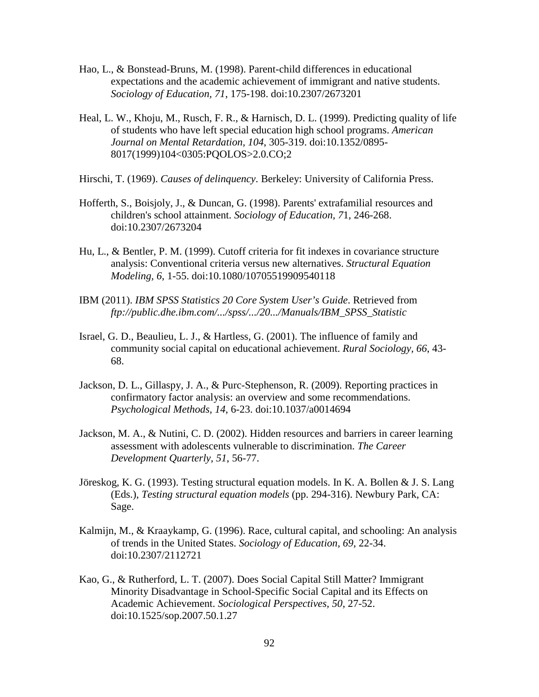- Hao, L., & Bonstead-Bruns, M. (1998). Parent-child differences in educational expectations and the academic achievement of immigrant and native students. *Sociology of Education, 71*, 175-198. doi:10.2307/2673201
- Heal, L. W., Khoju, M., Rusch, F. R., & Harnisch, D. L. (1999). Predicting quality of life of students who have left special education high school programs. *American Journal on Mental Retardation, 104*, 305-319. doi:10.1352/0895- 8017(1999)104<0305:PQOLOS>2.0.CO;2
- Hirschi, T. (1969). *Causes of delinquency*. Berkeley: University of California Press.
- Hofferth, S., Boisjoly, J., & Duncan, G. (1998). Parents' extrafamilial resources and children's school attainment. *Sociology of Education, 7*1, 246-268. doi:10.2307/2673204
- Hu, L., & Bentler, P. M. (1999). Cutoff criteria for fit indexes in covariance structure analysis: Conventional criteria versus new alternatives. *Structural Equation Modeling, 6*, 1-55. doi:10.1080/10705519909540118
- IBM (2011). *IBM SPSS Statistics 20 Core System User's Guide*. Retrieved from *ftp://public.dhe.ibm.com/.../spss/.../20.../Manuals/IBM\_SPSS\_Statistic*
- Israel, G. D., Beaulieu, L. J., & Hartless, G. (2001). The influence of family and community social capital on educational achievement. *Rural Sociology, 66*, 43- 68.
- Jackson, D. L., Gillaspy, J. A., & Purc-Stephenson, R. (2009). Reporting practices in confirmatory factor analysis: an overview and some recommendations. *Psychological Methods, 14*, 6-23. doi:10.1037/a0014694
- Jackson, M. A., & Nutini, C. D. (2002). Hidden resources and barriers in career learning assessment with adolescents vulnerable to discrimination. *The Career Development Quarterly, 51*, 56-77.
- Jöreskog, K. G. (1993). Testing structural equation models. In K. A. Bollen & J. S. Lang (Eds.), *Testing structural equation models* (pp. 294-316). Newbury Park, CA: Sage.
- Kalmijn, M., & Kraaykamp, G. (1996). Race, cultural capital, and schooling: An analysis of trends in the United States. *Sociology of Education, 69*, 22-34. doi:10.2307/2112721
- Kao, G., & Rutherford, L. T. (2007). Does Social Capital Still Matter? Immigrant Minority Disadvantage in School-Specific Social Capital and its Effects on Academic Achievement. *Sociological Perspectives, 50*, 27-52. doi:10.1525/sop.2007.50.1.27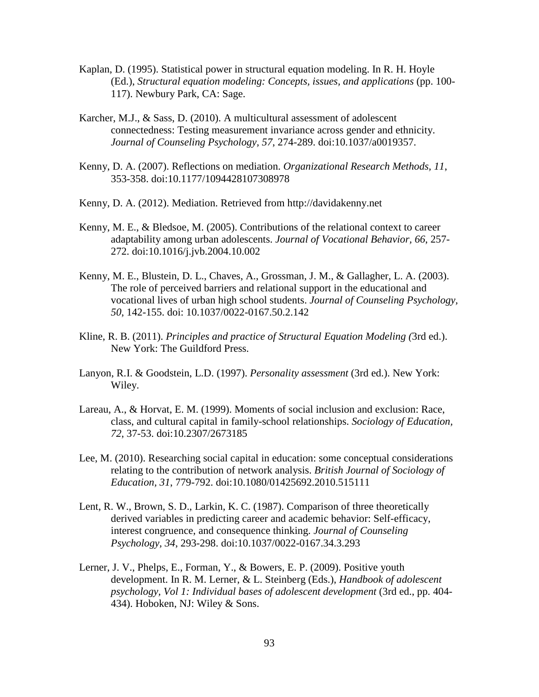- Kaplan, D. (1995). Statistical power in structural equation modeling. In R. H. Hoyle (Ed.), *Structural equation modeling: Concepts, issues, and applications* (pp. 100- 117). Newbury Park, CA: Sage.
- Karcher, M.J., & Sass, D. (2010). A multicultural assessment of adolescent connectedness: Testing measurement invariance across gender and ethnicity. *Journal of Counseling Psychology, 57*, 274-289. doi:10.1037/a0019357.
- Kenny, D. A. (2007). Reflections on mediation. *Organizational Research Methods, 11*, 353-358. doi:10.1177/1094428107308978
- Kenny, D. A. (2012). Mediation. Retrieved from http://davidakenny.net
- Kenny, M. E., & Bledsoe, M. (2005). Contributions of the relational context to career adaptability among urban adolescents. *Journal of Vocational Behavior, 66*, 257- 272. doi:10.1016/j.jvb.2004.10.002
- Kenny, M. E., Blustein, D. L., Chaves, A., Grossman, J. M., & Gallagher, L. A. (2003). The role of perceived barriers and relational support in the educational and vocational lives of urban high school students. *Journal of Counseling Psychology, 50*, 142-155. doi: 10.1037/0022-0167.50.2.142
- Kline, R. B. (2011). *Principles and practice of Structural Equation Modeling (*3rd ed.). New York: The Guildford Press.
- Lanyon, R.I. & Goodstein, L.D. (1997). *Personality assessment* (3rd ed.). New York: Wiley.
- Lareau, A., & Horvat, E. M. (1999). Moments of social inclusion and exclusion: Race, class, and cultural capital in family-school relationships. *Sociology of Education, 72*, 37-53. doi:10.2307/2673185
- Lee, M. (2010). Researching social capital in education: some conceptual considerations relating to the contribution of network analysis. *British Journal of Sociology of Education, 31*, 779-792. doi:10.1080/01425692.2010.515111
- Lent, R. W., Brown, S. D., Larkin, K. C. (1987). Comparison of three theoretically derived variables in predicting career and academic behavior: Self-efficacy, interest congruence, and consequence thinking. *Journal of Counseling Psychology, 34*, 293-298. doi:10.1037/0022-0167.34.3.293
- Lerner, J. V., Phelps, E., Forman, Y., & Bowers, E. P. (2009). Positive youth development. In R. M. Lerner, & L. Steinberg (Eds.), *Handbook of adolescent psychology, Vol 1: Individual bases of adolescent development* (3rd ed., pp. 404- 434). Hoboken, NJ: Wiley & Sons.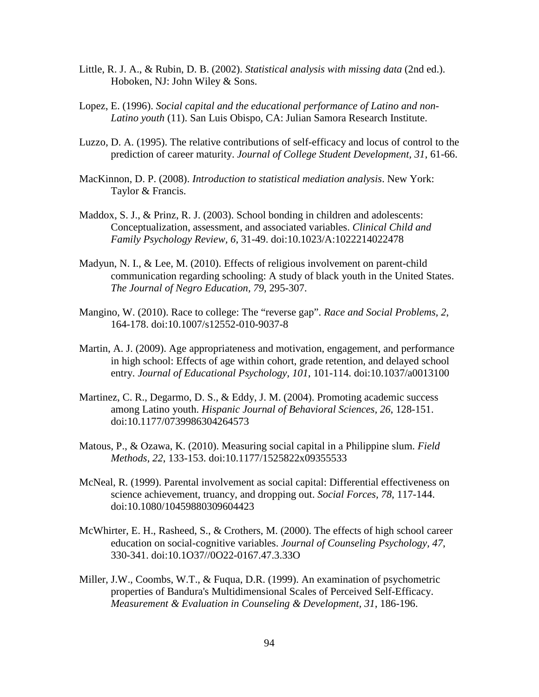- Little, R. J. A., & Rubin, D. B. (2002). *Statistical analysis with missing data* (2nd ed.). Hoboken, NJ: John Wiley & Sons.
- Lopez, E. (1996). *Social capital and the educational performance of Latino and non-Latino youth* (11). San Luis Obispo, CA: Julian Samora Research Institute.
- Luzzo, D. A. (1995). The relative contributions of self-efficacy and locus of control to the prediction of career maturity. *Journal of College Student Development, 31*, 61-66.
- MacKinnon, D. P. (2008). *Introduction to statistical mediation analysis*. New York: Taylor & Francis.
- Maddox, S. J., & Prinz, R. J. (2003). School bonding in children and adolescents: Conceptualization, assessment, and associated variables. *Clinical Child and Family Psychology Review, 6*, 31-49. doi:10.1023/A:1022214022478
- Madyun, N. I., & Lee, M. (2010). Effects of religious involvement on parent-child communication regarding schooling: A study of black youth in the United States. *The Journal of Negro Education, 79*, 295-307.
- Mangino, W. (2010). Race to college: The "reverse gap". *Race and Social Problems, 2*, 164-178. doi:10.1007/s12552-010-9037-8
- Martin, A. J. (2009). Age appropriateness and motivation, engagement, and performance in high school: Effects of age within cohort, grade retention, and delayed school entry. *Journal of Educational Psychology, 101*, 101-114. doi:10.1037/a0013100
- Martinez, C. R., Degarmo, D. S., & Eddy, J. M. (2004). Promoting academic success among Latino youth. *Hispanic Journal of Behavioral Sciences, 26*, 128-151. doi:10.1177/0739986304264573
- Matous, P., & Ozawa, K. (2010). Measuring social capital in a Philippine slum. *Field Methods, 22*, 133-153. doi:10.1177/1525822x09355533
- McNeal, R. (1999). Parental involvement as social capital: Differential effectiveness on science achievement, truancy, and dropping out. *Social Forces, 78*, 117-144. doi:10.1080/10459880309604423
- McWhirter, E. H., Rasheed, S., & Crothers, M. (2000). The effects of high school career education on social-cognitive variables. *Journal of Counseling Psychology, 47*, 330-341. doi:10.1O37//0O22-0167.47.3.33O
- Miller, J.W., Coombs, W.T., & Fuqua, D.R. (1999). An examination of psychometric properties of Bandura's Multidimensional Scales of Perceived Self-Efficacy. *Measurement & Evaluation in Counseling & Development, 31*, 186-196.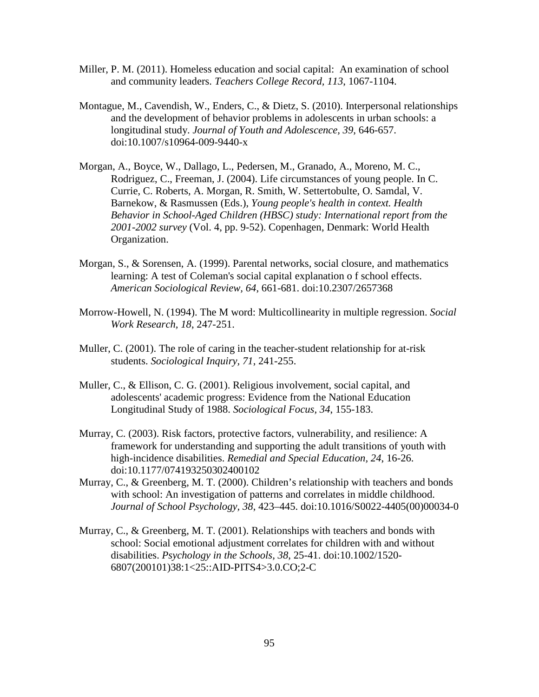- Miller, P. M. (2011). Homeless education and social capital: An examination of school and community leaders. *Teachers College Record, 113*, 1067-1104.
- Montague, M., Cavendish, W., Enders, C., & Dietz, S. (2010). Interpersonal relationships and the development of behavior problems in adolescents in urban schools: a longitudinal study. *Journal of Youth and Adolescence, 39*, 646-657. doi:10.1007/s10964-009-9440-x
- Morgan, A., Boyce, W., Dallago, L., Pedersen, M., Granado, A., Moreno, M. C., Rodriguez, C., Freeman, J. (2004). Life circumstances of young people. In C. Currie, C. Roberts, A. Morgan, R. Smith, W. Settertobulte, O. Samdal, V. Barnekow, & Rasmussen (Eds.), *Young people's health in context. Health Behavior in School-Aged Children (HBSC) study: International report from the 2001-2002 survey* (Vol. 4, pp. 9-52). Copenhagen, Denmark: World Health Organization.
- Morgan, S., & Sorensen, A. (1999). Parental networks, social closure, and mathematics learning: A test of Coleman's social capital explanation o f school effects. *American Sociological Review, 64*, 661-681. doi:10.2307/2657368
- Morrow-Howell, N. (1994). The M word: Multicollinearity in multiple regression. *Social Work Research, 18*, 247-251.
- Muller, C. (2001). The role of caring in the teacher-student relationship for at-risk students. *Sociological Inquiry, 71*, 241-255.
- Muller, C., & Ellison, C. G. (2001). Religious involvement, social capital, and adolescents' academic progress: Evidence from the National Education Longitudinal Study of 1988. *Sociological Focus, 34*, 155-183.
- Murray, C. (2003). Risk factors, protective factors, vulnerability, and resilience: A framework for understanding and supporting the adult transitions of youth with high-incidence disabilities. *Remedial and Special Education, 24*, 16-26. doi:10.1177/074193250302400102
- Murray, C., & Greenberg, M. T. (2000). Children's relationship with teachers and bonds with school: An investigation of patterns and correlates in middle childhood. *Journal of School Psychology, 38*, 423–445. doi:10.1016/S0022-4405(00)00034-0
- Murray, C., & Greenberg, M. T. (2001). Relationships with teachers and bonds with school: Social emotional adjustment correlates for children with and without disabilities. *Psychology in the Schools, 38*, 25-41. doi:10.1002/1520- 6807(200101)38:1<25::AID-PITS4>3.0.CO;2-C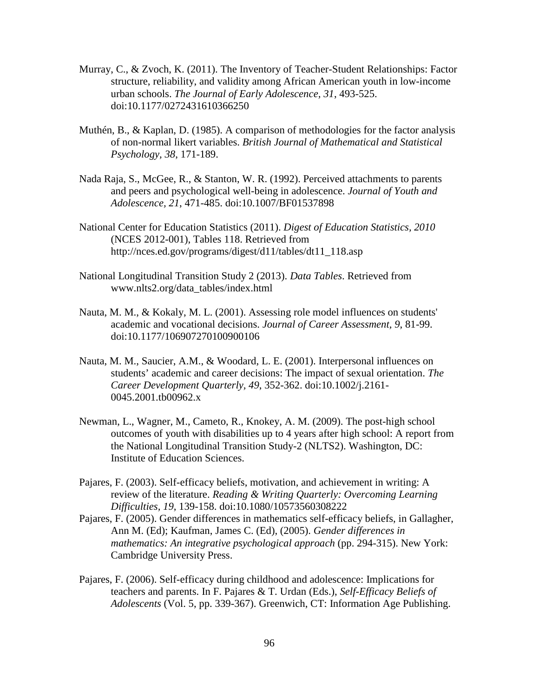- Murray, C., & Zvoch, K. (2011). The Inventory of Teacher-Student Relationships: Factor structure, reliability, and validity among African American youth in low-income urban schools. *The Journal of Early Adolescence, 31*, 493-525. doi:10.1177/0272431610366250
- Muthén, B., & Kaplan, D. (1985). A comparison of methodologies for the factor analysis of non-normal likert variables. *British Journal of Mathematical and Statistical Psychology, 38*, 171-189.
- Nada Raja, S., McGee, R., & Stanton, W. R. (1992). Perceived attachments to parents and peers and psychological well-being in adolescence. *Journal of Youth and Adolescence, 21*, 471-485. doi:10.1007/BF01537898
- National Center for Education Statistics (2011). *Digest of Education Statistics, 2010* (NCES 2012-001), Tables 118. Retrieved from http://nces.ed.gov/programs/digest/d11/tables/dt11\_118.asp
- National Longitudinal Transition Study 2 (2013). *Data Tables*. Retrieved from www.nlts2.org/data\_tables/index.html
- Nauta, M. M., & Kokaly, M. L. (2001). Assessing role model influences on students' academic and vocational decisions. *Journal of Career Assessment, 9*, 81-99. doi:10.1177/106907270100900106
- Nauta, M. M., Saucier, A.M., & Woodard, L. E. (2001). Interpersonal influences on students' academic and career decisions: The impact of sexual orientation. *The Career Development Quarterly, 49*, 352-362. doi:10.1002/j.2161- 0045.2001.tb00962.x
- Newman, L., Wagner, M., Cameto, R., Knokey, A. M. (2009). The post-high school outcomes of youth with disabilities up to 4 years after high school: A report from the National Longitudinal Transition Study-2 (NLTS2). Washington, DC: Institute of Education Sciences.
- Pajares, F. (2003). Self-efficacy beliefs, motivation, and achievement in writing: A review of the literature. *Reading & Writing Quarterly: Overcoming Learning Difficulties, 19*, 139-158. doi:10.1080/10573560308222
- Pajares, F. (2005). Gender differences in mathematics self-efficacy beliefs, in Gallagher, Ann M. (Ed); Kaufman, James C. (Ed), (2005). *Gender differences in mathematics: An integrative psychological approach* (pp. 294-315). New York: Cambridge University Press.
- Pajares, F. (2006). Self-efficacy during childhood and adolescence: Implications for teachers and parents. In F. Pajares & T. Urdan (Eds.), *Self-Efficacy Beliefs of Adolescents* (Vol. 5, pp. 339-367). Greenwich, CT: Information Age Publishing.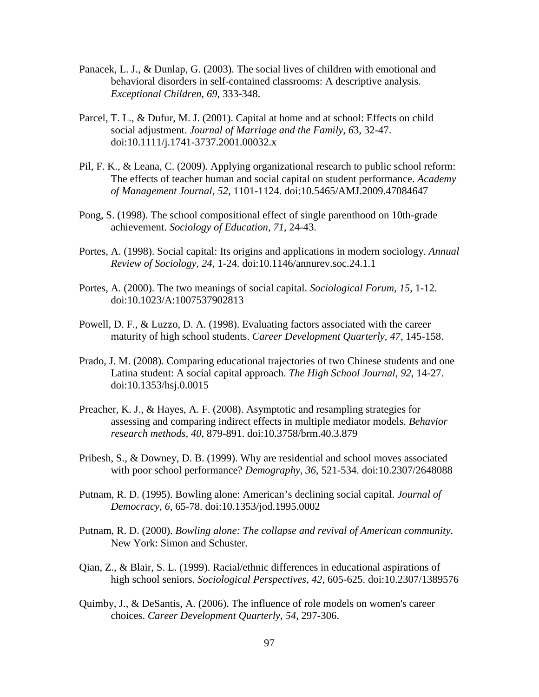- Panacek, L. J., & Dunlap, G. (2003). The social lives of children with emotional and behavioral disorders in self-contained classrooms: A descriptive analysis. *Exceptional Children, 69*, 333-348.
- Parcel, T. L., & Dufur, M. J. (2001). Capital at home and at school: Effects on child social adjustment. *Journal of Marriage and the Family, 6*3, 32-47. doi:10.1111/j.1741-3737.2001.00032.x
- Pil, F. K., & Leana, C. (2009). Applying organizational research to public school reform: The effects of teacher human and social capital on student performance. *Academy of Management Journal, 52*, 1101-1124. doi:10.5465/AMJ.2009.47084647
- Pong, S. (1998). The school compositional effect of single parenthood on 10th-grade achievement. *Sociology of Education, 71*, 24-43.
- Portes, A. (1998). Social capital: Its origins and applications in modern sociology. *Annual Review of Sociology, 24*, 1-24. doi:10.1146/annurev.soc.24.1.1
- Portes, A. (2000). The two meanings of social capital. *Sociological Forum, 15*, 1-12. doi:10.1023/A:1007537902813
- Powell, D. F., & Luzzo, D. A. (1998). Evaluating factors associated with the career maturity of high school students. *Career Development Quarterly, 47*, 145-158.
- Prado, J. M. (2008). Comparing educational trajectories of two Chinese students and one Latina student: A social capital approach. *The High School Journal, 92*, 14-27. doi:10.1353/hsj.0.0015
- Preacher, K. J., & Hayes, A. F. (2008). Asymptotic and resampling strategies for assessing and comparing indirect effects in multiple mediator models. *Behavior research methods, 40*, 879-891. doi:10.3758/brm.40.3.879
- Pribesh, S., & Downey, D. B. (1999). Why are residential and school moves associated with poor school performance? *Demography, 36*, 521-534. doi:10.2307/2648088
- Putnam, R. D. (1995). Bowling alone: American's declining social capital. *Journal of Democracy, 6*, 65-78. doi:10.1353/jod.1995.0002
- Putnam, R. D. (2000). *Bowling alone: The collapse and revival of American community*. New York: Simon and Schuster.
- Qian, Z., & Blair, S. L. (1999). Racial/ethnic differences in educational aspirations of high school seniors. *Sociological Perspectives, 42*, 605-625. doi:10.2307/1389576
- Quimby, J., & DeSantis, A. (2006). The influence of role models on women's career choices. *Career Development Quarterly, 54*, 297-306.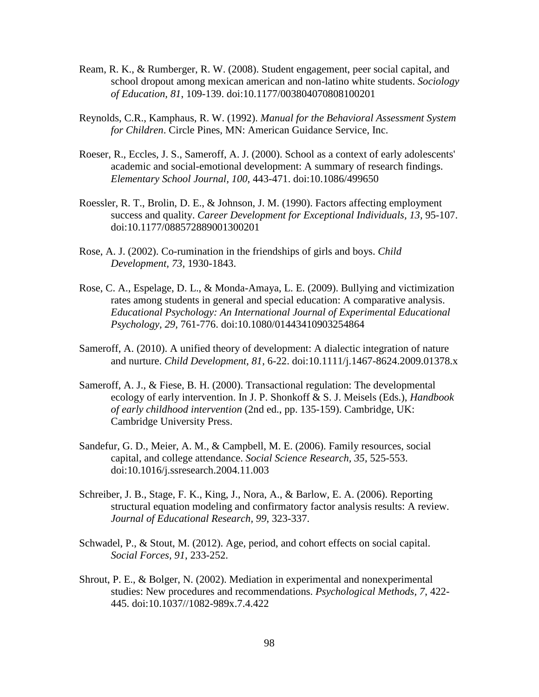- Ream, R. K., & Rumberger, R. W. (2008). Student engagement, peer social capital, and school dropout among mexican american and non-latino white students. *Sociology of Education, 81*, 109-139. doi:10.1177/003804070808100201
- Reynolds, C.R., Kamphaus, R. W. (1992). *Manual for the Behavioral Assessment System for Children*. Circle Pines, MN: American Guidance Service, Inc.
- Roeser, R., Eccles, J. S., Sameroff, A. J. (2000). School as a context of early adolescents' academic and social-emotional development: A summary of research findings. *Elementary School Journal, 100*, 443-471. doi:10.1086/499650
- Roessler, R. T., Brolin, D. E., & Johnson, J. M. (1990). Factors affecting employment success and quality. *Career Development for Exceptional Individuals, 13,* 95-107. doi:10.1177/088572889001300201
- Rose, A. J. (2002). Co-rumination in the friendships of girls and boys. *Child Development, 73*, 1930-1843.
- Rose, C. A., Espelage, D. L., & Monda-Amaya, L. E. (2009). Bullying and victimization rates among students in general and special education: A comparative analysis. *Educational Psychology: An International Journal of Experimental Educational Psychology, 29,* 761-776. doi:10.1080/01443410903254864
- Sameroff, A. (2010). A unified theory of development: A dialectic integration of nature and nurture. *Child Development, 81*, 6-22. doi:10.1111/j.1467-8624.2009.01378.x
- Sameroff, A. J., & Fiese, B. H. (2000). Transactional regulation: The developmental ecology of early intervention. In J. P. Shonkoff & S. J. Meisels (Eds.), *Handbook of early childhood intervention* (2nd ed., pp. 135-159). Cambridge, UK: Cambridge University Press.
- Sandefur, G. D., Meier, A. M., & Campbell, M. E. (2006). Family resources, social capital, and college attendance. *Social Science Research, 35*, 525-553. doi:10.1016/j.ssresearch.2004.11.003
- Schreiber, J. B., Stage, F. K., King, J., Nora, A., & Barlow, E. A. (2006). Reporting structural equation modeling and confirmatory factor analysis results: A review. *Journal of Educational Research, 99*, 323-337.
- Schwadel, P., & Stout, M. (2012). Age, period, and cohort effects on social capital. *Social Forces, 91*, 233-252.
- Shrout, P. E., & Bolger, N. (2002). Mediation in experimental and nonexperimental studies: New procedures and recommendations. *Psychological Methods, 7*, 422- 445. doi:10.1037//1082-989x.7.4.422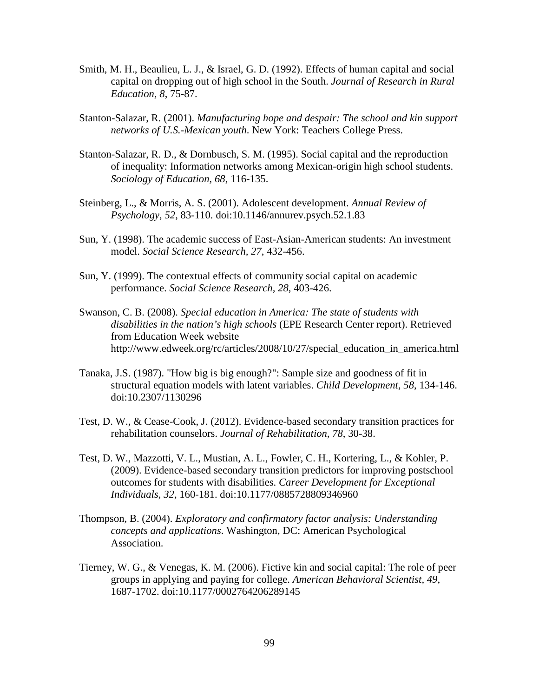- Smith, M. H., Beaulieu, L. J., & Israel, G. D. (1992). Effects of human capital and social capital on dropping out of high school in the South. *Journal of Research in Rural Education, 8*, 75-87.
- Stanton-Salazar, R. (2001). *Manufacturing hope and despair: The school and kin support networks of U.S.-Mexican youth*. New York: Teachers College Press.
- Stanton-Salazar, R. D., & Dornbusch, S. M. (1995). Social capital and the reproduction of inequality: Information networks among Mexican-origin high school students. *Sociology of Education, 68*, 116-135.
- Steinberg, L., & Morris, A. S. (2001). Adolescent development. *Annual Review of Psychology, 52*, 83-110. doi:10.1146/annurev.psych.52.1.83
- Sun, Y. (1998). The academic success of East-Asian-American students: An investment model. *Social Science Research, 27*, 432-456.
- Sun, Y. (1999). The contextual effects of community social capital on academic performance. *Social Science Research, 28*, 403-426.
- Swanson, C. B. (2008). *Special education in America: The state of students with disabilities in the nation's high schools* (EPE Research Center report). Retrieved from Education Week website http://www.edweek.org/rc/articles/2008/10/27/special\_education\_in\_america.html
- Tanaka, J.S. (1987). "How big is big enough?": Sample size and goodness of fit in structural equation models with latent variables. *Child Development, 58*, 134-146. doi:10.2307/1130296
- Test, D. W., & Cease-Cook, J. (2012). Evidence-based secondary transition practices for rehabilitation counselors. *Journal of Rehabilitation, 78*, 30-38.
- Test, D. W., Mazzotti, V. L., Mustian, A. L., Fowler, C. H., Kortering, L., & Kohler, P. (2009). Evidence-based secondary transition predictors for improving postschool outcomes for students with disabilities. *Career Development for Exceptional Individuals, 32*, 160-181. doi:10.1177/0885728809346960
- Thompson, B. (2004). *Exploratory and confirmatory factor analysis: Understanding concepts and applications*. Washington, DC: American Psychological Association.
- Tierney, W. G., & Venegas, K. M. (2006). Fictive kin and social capital: The role of peer groups in applying and paying for college. *American Behavioral Scientist, 49*, 1687-1702. doi:10.1177/0002764206289145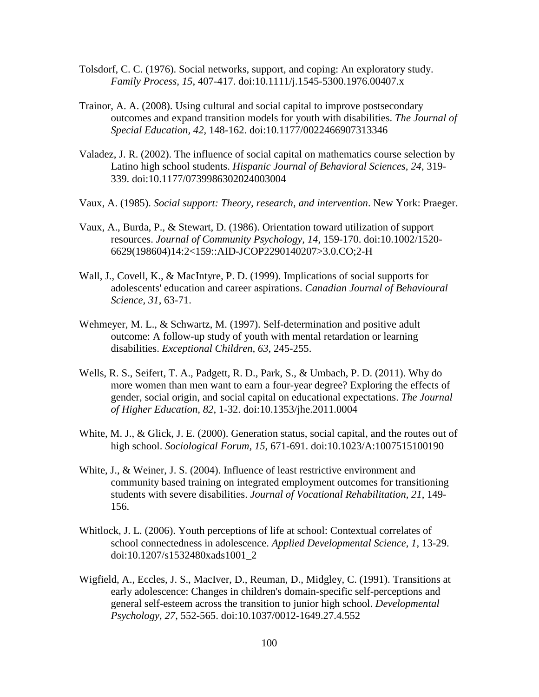- Tolsdorf, C. C. (1976). Social networks, support, and coping: An exploratory study. *Family Process, 15*, 407-417. doi:10.1111/j.1545-5300.1976.00407.x
- Trainor, A. A. (2008). Using cultural and social capital to improve postsecondary outcomes and expand transition models for youth with disabilities. *The Journal of Special Education, 42*, 148-162. doi:10.1177/0022466907313346
- Valadez, J. R. (2002). The influence of social capital on mathematics course selection by Latino high school students. *Hispanic Journal of Behavioral Sciences, 24*, 319- 339. doi:10.1177/0739986302024003004
- Vaux, A. (1985). *Social support: Theory, research, and intervention*. New York: Praeger.
- Vaux, A., Burda, P., & Stewart, D. (1986). Orientation toward utilization of support resources. *Journal of Community Psychology, 14*, 159-170. doi:10.1002/1520- 6629(198604)14:2<159::AID-JCOP2290140207>3.0.CO;2-H
- Wall, J., Covell, K., & MacIntyre, P. D. (1999). Implications of social supports for adolescents' education and career aspirations. *Canadian Journal of Behavioural Science, 31*, 63-71.
- Wehmeyer, M. L., & Schwartz, M. (1997). Self-determination and positive adult outcome: A follow-up study of youth with mental retardation or learning disabilities. *Exceptional Children, 63*, 245-255.
- Wells, R. S., Seifert, T. A., Padgett, R. D., Park, S., & Umbach, P. D. (2011). Why do more women than men want to earn a four-year degree? Exploring the effects of gender, social origin, and social capital on educational expectations. *The Journal of Higher Education, 82*, 1-32. doi:10.1353/jhe.2011.0004
- White, M. J., & Glick, J. E. (2000). Generation status, social capital, and the routes out of high school. *Sociological Forum, 15*, 671-691. doi:10.1023/A:1007515100190
- White, J., & Weiner, J. S. (2004). Influence of least restrictive environment and community based training on integrated employment outcomes for transitioning students with severe disabilities. *Journal of Vocational Rehabilitation, 21*, 149- 156.
- Whitlock, J. L. (2006). Youth perceptions of life at school: Contextual correlates of school connectedness in adolescence. *Applied Developmental Science, 1*, 13-29. doi:10.1207/s1532480xads1001\_2
- Wigfield, A., Eccles, J. S., MacIver, D., Reuman, D., Midgley, C. (1991). Transitions at early adolescence: Changes in children's domain-specific self-perceptions and general self-esteem across the transition to junior high school. *Developmental Psychology, 27*, 552-565. doi:10.1037/0012-1649.27.4.552